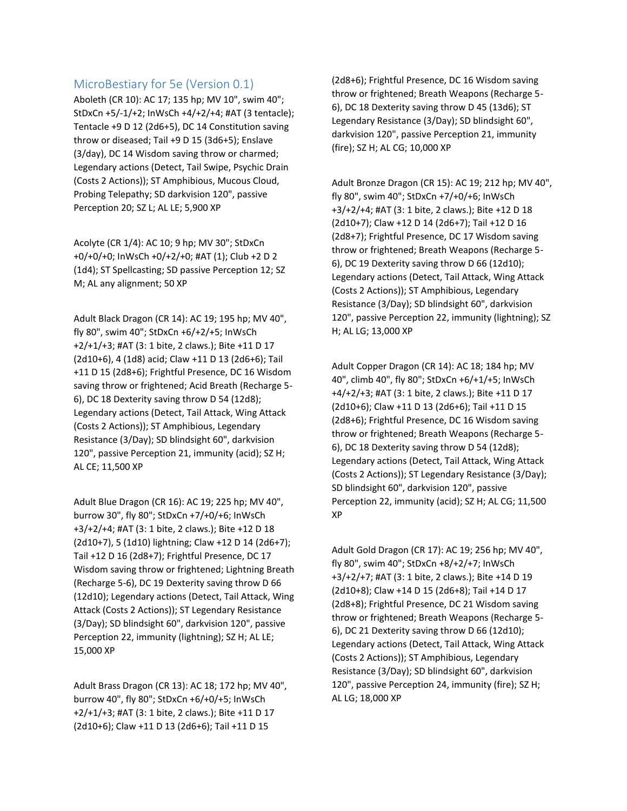## MicroBestiary for 5e (Version 0.1)

Aboleth (CR 10): AC 17; 135 hp; MV 10", swim 40"; StDxCn +5/-1/+2; InWsCh +4/+2/+4; #AT (3 tentacle); Tentacle +9 D 12 (2d6+5), DC 14 Constitution saving throw or diseased; Tail +9 D 15 (3d6+5); Enslave (3/day), DC 14 Wisdom saving throw or charmed; Legendary actions (Detect, Tail Swipe, Psychic Drain (Costs 2 Actions)); ST Amphibious, Mucous Cloud, Probing Telepathy; SD darkvision 120", passive Perception 20; SZ L; AL LE; 5,900 XP

Acolyte (CR 1/4): AC 10; 9 hp; MV 30"; StDxCn +0/+0/+0; InWsCh +0/+2/+0; #AT (1); Club +2 D 2 (1d4); ST Spellcasting; SD passive Perception 12; SZ M; AL any alignment; 50 XP

Adult Black Dragon (CR 14): AC 19; 195 hp; MV 40", fly 80", swim 40"; StDxCn +6/+2/+5; InWsCh +2/+1/+3; #AT (3: 1 bite, 2 claws.); Bite +11 D 17 (2d10+6), 4 (1d8) acid; Claw +11 D 13 (2d6+6); Tail +11 D 15 (2d8+6); Frightful Presence, DC 16 Wisdom saving throw or frightened; Acid Breath (Recharge 5- 6), DC 18 Dexterity saving throw D 54 (12d8); Legendary actions (Detect, Tail Attack, Wing Attack (Costs 2 Actions)); ST Amphibious, Legendary Resistance (3/Day); SD blindsight 60", darkvision 120", passive Perception 21, immunity (acid); SZ H; AL CE; 11,500 XP

Adult Blue Dragon (CR 16): AC 19; 225 hp; MV 40", burrow 30", fly 80"; StDxCn +7/+0/+6; InWsCh +3/+2/+4; #AT (3: 1 bite, 2 claws.); Bite +12 D 18 (2d10+7), 5 (1d10) lightning; Claw +12 D 14 (2d6+7); Tail +12 D 16 (2d8+7); Frightful Presence, DC 17 Wisdom saving throw or frightened; Lightning Breath (Recharge 5-6), DC 19 Dexterity saving throw D 66 (12d10); Legendary actions (Detect, Tail Attack, Wing Attack (Costs 2 Actions)); ST Legendary Resistance (3/Day); SD blindsight 60", darkvision 120", passive Perception 22, immunity (lightning); SZ H; AL LE; 15,000 XP

Adult Brass Dragon (CR 13): AC 18; 172 hp; MV 40", burrow 40", fly 80"; StDxCn +6/+0/+5; InWsCh +2/+1/+3; #AT (3: 1 bite, 2 claws.); Bite +11 D 17 (2d10+6); Claw +11 D 13 (2d6+6); Tail +11 D 15

(2d8+6); Frightful Presence, DC 16 Wisdom saving throw or frightened; Breath Weapons (Recharge 5- 6), DC 18 Dexterity saving throw D 45 (13d6); ST Legendary Resistance (3/Day); SD blindsight 60", darkvision 120", passive Perception 21, immunity (fire); SZ H; AL CG; 10,000 XP

Adult Bronze Dragon (CR 15): AC 19; 212 hp; MV 40", fly 80", swim 40"; StDxCn +7/+0/+6; InWsCh +3/+2/+4; #AT (3: 1 bite, 2 claws.); Bite +12 D 18 (2d10+7); Claw +12 D 14 (2d6+7); Tail +12 D 16 (2d8+7); Frightful Presence, DC 17 Wisdom saving throw or frightened; Breath Weapons (Recharge 5- 6), DC 19 Dexterity saving throw D 66 (12d10); Legendary actions (Detect, Tail Attack, Wing Attack (Costs 2 Actions)); ST Amphibious, Legendary Resistance (3/Day); SD blindsight 60", darkvision 120", passive Perception 22, immunity (lightning); SZ H; AL LG; 13,000 XP

Adult Copper Dragon (CR 14): AC 18; 184 hp; MV 40", climb 40", fly 80"; StDxCn +6/+1/+5; InWsCh +4/+2/+3; #AT (3: 1 bite, 2 claws.); Bite +11 D 17 (2d10+6); Claw +11 D 13 (2d6+6); Tail +11 D 15 (2d8+6); Frightful Presence, DC 16 Wisdom saving throw or frightened; Breath Weapons (Recharge 5- 6), DC 18 Dexterity saving throw D 54 (12d8); Legendary actions (Detect, Tail Attack, Wing Attack (Costs 2 Actions)); ST Legendary Resistance (3/Day); SD blindsight 60", darkvision 120", passive Perception 22, immunity (acid); SZ H; AL CG; 11,500 XP

Adult Gold Dragon (CR 17): AC 19; 256 hp; MV 40", fly 80", swim 40"; StDxCn +8/+2/+7; InWsCh +3/+2/+7; #AT (3: 1 bite, 2 claws.); Bite +14 D 19 (2d10+8); Claw +14 D 15 (2d6+8); Tail +14 D 17 (2d8+8); Frightful Presence, DC 21 Wisdom saving throw or frightened; Breath Weapons (Recharge 5- 6), DC 21 Dexterity saving throw D 66 (12d10); Legendary actions (Detect, Tail Attack, Wing Attack (Costs 2 Actions)); ST Amphibious, Legendary Resistance (3/Day); SD blindsight 60", darkvision 120", passive Perception 24, immunity (fire); SZ H; AL LG; 18,000 XP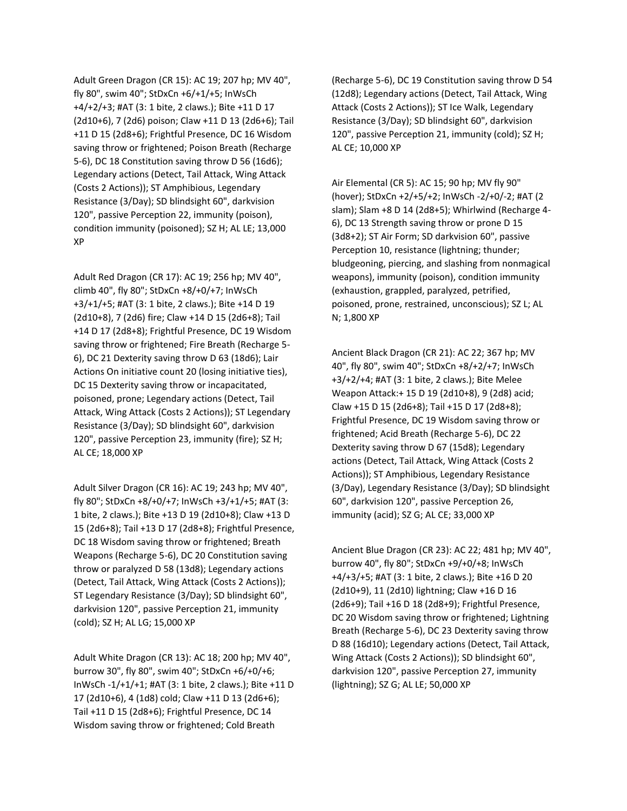Adult Green Dragon (CR 15): AC 19; 207 hp; MV 40", fly 80", swim 40"; StDxCn +6/+1/+5; InWsCh +4/+2/+3; #AT (3: 1 bite, 2 claws.); Bite +11 D 17 (2d10+6), 7 (2d6) poison; Claw +11 D 13 (2d6+6); Tail +11 D 15 (2d8+6); Frightful Presence, DC 16 Wisdom saving throw or frightened; Poison Breath (Recharge 5-6), DC 18 Constitution saving throw D 56 (16d6); Legendary actions (Detect, Tail Attack, Wing Attack (Costs 2 Actions)); ST Amphibious, Legendary Resistance (3/Day); SD blindsight 60", darkvision 120", passive Perception 22, immunity (poison), condition immunity (poisoned); SZ H; AL LE; 13,000 XP

Adult Red Dragon (CR 17): AC 19; 256 hp; MV 40", climb 40", fly 80"; StDxCn +8/+0/+7; InWsCh +3/+1/+5; #AT (3: 1 bite, 2 claws.); Bite +14 D 19 (2d10+8), 7 (2d6) fire; Claw +14 D 15 (2d6+8); Tail +14 D 17 (2d8+8); Frightful Presence, DC 19 Wisdom saving throw or frightened; Fire Breath (Recharge 5- 6), DC 21 Dexterity saving throw D 63 (18d6); Lair Actions On initiative count 20 (losing initiative ties), DC 15 Dexterity saving throw or incapacitated, poisoned, prone; Legendary actions (Detect, Tail Attack, Wing Attack (Costs 2 Actions)); ST Legendary Resistance (3/Day); SD blindsight 60", darkvision 120", passive Perception 23, immunity (fire); SZ H; AL CE; 18,000 XP

Adult Silver Dragon (CR 16): AC 19; 243 hp; MV 40", fly 80"; StDxCn +8/+0/+7; InWsCh +3/+1/+5; #AT (3: 1 bite, 2 claws.); Bite +13 D 19 (2d10+8); Claw +13 D 15 (2d6+8); Tail +13 D 17 (2d8+8); Frightful Presence, DC 18 Wisdom saving throw or frightened; Breath Weapons (Recharge 5-6), DC 20 Constitution saving throw or paralyzed D 58 (13d8); Legendary actions (Detect, Tail Attack, Wing Attack (Costs 2 Actions)); ST Legendary Resistance (3/Day); SD blindsight 60", darkvision 120", passive Perception 21, immunity (cold); SZ H; AL LG; 15,000 XP

Adult White Dragon (CR 13): AC 18; 200 hp; MV 40", burrow 30", fly 80", swim 40"; StDxCn +6/+0/+6; InWsCh -1/+1/+1; #AT (3: 1 bite, 2 claws.); Bite +11 D 17 (2d10+6), 4 (1d8) cold; Claw +11 D 13 (2d6+6); Tail +11 D 15 (2d8+6); Frightful Presence, DC 14 Wisdom saving throw or frightened; Cold Breath

(Recharge 5-6), DC 19 Constitution saving throw D 54 (12d8); Legendary actions (Detect, Tail Attack, Wing Attack (Costs 2 Actions)); ST Ice Walk, Legendary Resistance (3/Day); SD blindsight 60", darkvision 120", passive Perception 21, immunity (cold); SZ H; AL CE; 10,000 XP

Air Elemental (CR 5): AC 15; 90 hp; MV fly 90" (hover); StDxCn +2/+5/+2; InWsCh -2/+0/-2; #AT (2 slam); Slam +8 D 14 (2d8+5); Whirlwind (Recharge 4- 6), DC 13 Strength saving throw or prone D 15 (3d8+2); ST Air Form; SD darkvision 60", passive Perception 10, resistance (lightning; thunder; bludgeoning, piercing, and slashing from nonmagical weapons), immunity (poison), condition immunity (exhaustion, grappled, paralyzed, petrified, poisoned, prone, restrained, unconscious); SZ L; AL N; 1,800 XP

Ancient Black Dragon (CR 21): AC 22; 367 hp; MV 40", fly 80", swim 40"; StDxCn +8/+2/+7; InWsCh +3/+2/+4; #AT (3: 1 bite, 2 claws.); Bite Melee Weapon Attack:+ 15 D 19 (2d10+8), 9 (2d8) acid; Claw +15 D 15 (2d6+8); Tail +15 D 17 (2d8+8); Frightful Presence, DC 19 Wisdom saving throw or frightened; Acid Breath (Recharge 5-6), DC 22 Dexterity saving throw D 67 (15d8); Legendary actions (Detect, Tail Attack, Wing Attack (Costs 2 Actions)); ST Amphibious, Legendary Resistance (3/Day), Legendary Resistance (3/Day); SD blindsight 60", darkvision 120", passive Perception 26, immunity (acid); SZ G; AL CE; 33,000 XP

Ancient Blue Dragon (CR 23): AC 22; 481 hp; MV 40", burrow 40", fly 80"; StDxCn +9/+0/+8; InWsCh +4/+3/+5; #AT (3: 1 bite, 2 claws.); Bite +16 D 20 (2d10+9), 11 (2d10) lightning; Claw +16 D 16 (2d6+9); Tail +16 D 18 (2d8+9); Frightful Presence, DC 20 Wisdom saving throw or frightened; Lightning Breath (Recharge 5-6), DC 23 Dexterity saving throw D 88 (16d10); Legendary actions (Detect, Tail Attack, Wing Attack (Costs 2 Actions)); SD blindsight 60", darkvision 120", passive Perception 27, immunity (lightning); SZ G; AL LE; 50,000 XP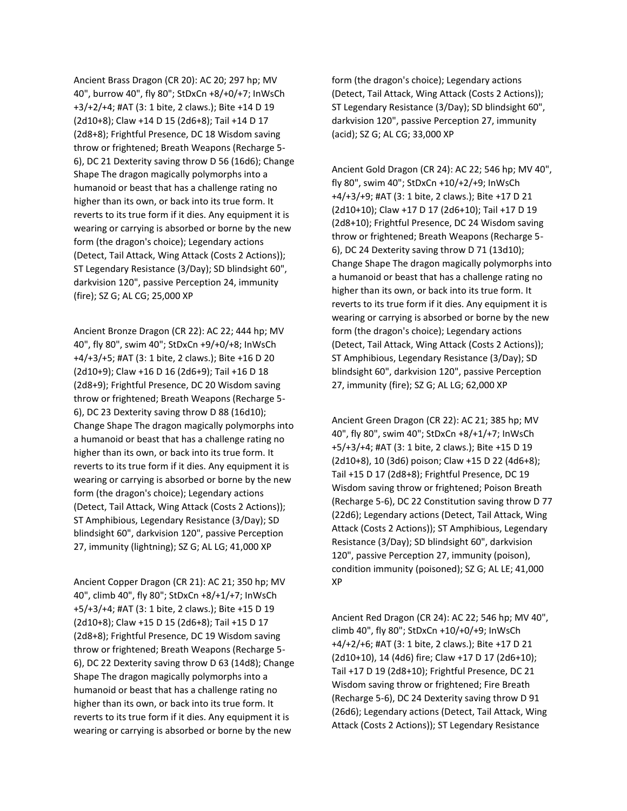Ancient Brass Dragon (CR 20): AC 20; 297 hp; MV 40", burrow 40", fly 80"; StDxCn +8/+0/+7; InWsCh +3/+2/+4; #AT (3: 1 bite, 2 claws.); Bite +14 D 19 (2d10+8); Claw +14 D 15 (2d6+8); Tail +14 D 17 (2d8+8); Frightful Presence, DC 18 Wisdom saving throw or frightened; Breath Weapons (Recharge 5- 6), DC 21 Dexterity saving throw D 56 (16d6); Change Shape The dragon magically polymorphs into a humanoid or beast that has a challenge rating no higher than its own, or back into its true form. It reverts to its true form if it dies. Any equipment it is wearing or carrying is absorbed or borne by the new form (the dragon's choice); Legendary actions (Detect, Tail Attack, Wing Attack (Costs 2 Actions)); ST Legendary Resistance (3/Day); SD blindsight 60", darkvision 120", passive Perception 24, immunity (fire); SZ G; AL CG; 25,000 XP

Ancient Bronze Dragon (CR 22): AC 22; 444 hp; MV 40", fly 80", swim 40"; StDxCn +9/+0/+8; InWsCh +4/+3/+5; #AT (3: 1 bite, 2 claws.); Bite +16 D 20 (2d10+9); Claw +16 D 16 (2d6+9); Tail +16 D 18 (2d8+9); Frightful Presence, DC 20 Wisdom saving throw or frightened; Breath Weapons (Recharge 5- 6), DC 23 Dexterity saving throw D 88 (16d10); Change Shape The dragon magically polymorphs into a humanoid or beast that has a challenge rating no higher than its own, or back into its true form. It reverts to its true form if it dies. Any equipment it is wearing or carrying is absorbed or borne by the new form (the dragon's choice); Legendary actions (Detect, Tail Attack, Wing Attack (Costs 2 Actions)); ST Amphibious, Legendary Resistance (3/Day); SD blindsight 60", darkvision 120", passive Perception 27, immunity (lightning); SZ G; AL LG; 41,000 XP

Ancient Copper Dragon (CR 21): AC 21; 350 hp; MV 40", climb 40", fly 80"; StDxCn +8/+1/+7; InWsCh +5/+3/+4; #AT (3: 1 bite, 2 claws.); Bite +15 D 19 (2d10+8); Claw +15 D 15 (2d6+8); Tail +15 D 17 (2d8+8); Frightful Presence, DC 19 Wisdom saving throw or frightened; Breath Weapons (Recharge 5- 6), DC 22 Dexterity saving throw D 63 (14d8); Change Shape The dragon magically polymorphs into a humanoid or beast that has a challenge rating no higher than its own, or back into its true form. It reverts to its true form if it dies. Any equipment it is wearing or carrying is absorbed or borne by the new

form (the dragon's choice); Legendary actions (Detect, Tail Attack, Wing Attack (Costs 2 Actions)); ST Legendary Resistance (3/Day); SD blindsight 60", darkvision 120", passive Perception 27, immunity (acid); SZ G; AL CG; 33,000 XP

Ancient Gold Dragon (CR 24): AC 22; 546 hp; MV 40", fly 80", swim 40"; StDxCn +10/+2/+9; InWsCh +4/+3/+9; #AT (3: 1 bite, 2 claws.); Bite +17 D 21 (2d10+10); Claw +17 D 17 (2d6+10); Tail +17 D 19 (2d8+10); Frightful Presence, DC 24 Wisdom saving throw or frightened; Breath Weapons (Recharge 5- 6), DC 24 Dexterity saving throw D 71 (13d10); Change Shape The dragon magically polymorphs into a humanoid or beast that has a challenge rating no higher than its own, or back into its true form. It reverts to its true form if it dies. Any equipment it is wearing or carrying is absorbed or borne by the new form (the dragon's choice); Legendary actions (Detect, Tail Attack, Wing Attack (Costs 2 Actions)); ST Amphibious, Legendary Resistance (3/Day); SD blindsight 60", darkvision 120", passive Perception 27, immunity (fire); SZ G; AL LG; 62,000 XP

Ancient Green Dragon (CR 22): AC 21; 385 hp; MV 40", fly 80", swim 40"; StDxCn +8/+1/+7; InWsCh +5/+3/+4; #AT (3: 1 bite, 2 claws.); Bite +15 D 19 (2d10+8), 10 (3d6) poison; Claw +15 D 22 (4d6+8); Tail +15 D 17 (2d8+8); Frightful Presence, DC 19 Wisdom saving throw or frightened; Poison Breath (Recharge 5-6), DC 22 Constitution saving throw D 77 (22d6); Legendary actions (Detect, Tail Attack, Wing Attack (Costs 2 Actions)); ST Amphibious, Legendary Resistance (3/Day); SD blindsight 60", darkvision 120", passive Perception 27, immunity (poison), condition immunity (poisoned); SZ G; AL LE; 41,000 XP

Ancient Red Dragon (CR 24): AC 22; 546 hp; MV 40", climb 40", fly 80"; StDxCn +10/+0/+9; InWsCh +4/+2/+6; #AT (3: 1 bite, 2 claws.); Bite +17 D 21 (2d10+10), 14 (4d6) fire; Claw +17 D 17 (2d6+10); Tail +17 D 19 (2d8+10); Frightful Presence, DC 21 Wisdom saving throw or frightened; Fire Breath (Recharge 5-6), DC 24 Dexterity saving throw D 91 (26d6); Legendary actions (Detect, Tail Attack, Wing Attack (Costs 2 Actions)); ST Legendary Resistance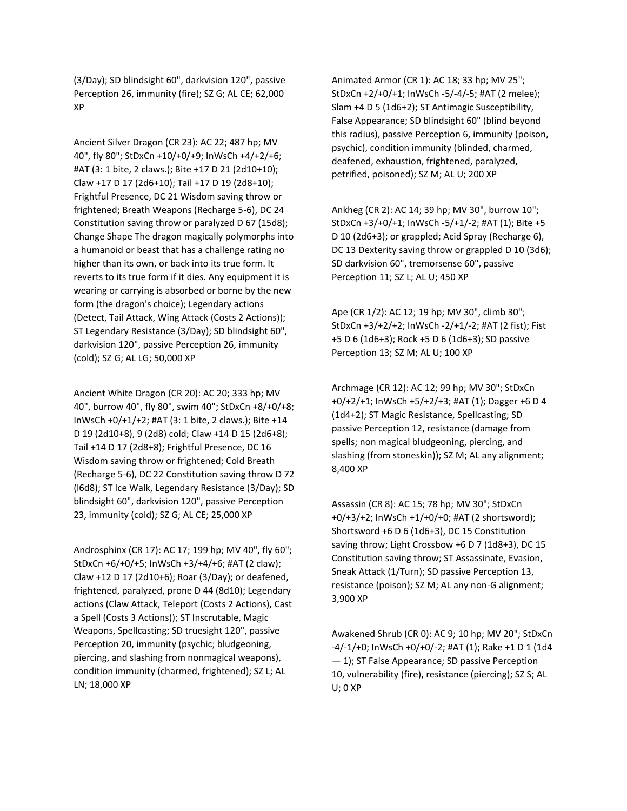(3/Day); SD blindsight 60", darkvision 120", passive Perception 26, immunity (fire); SZ G; AL CE; 62,000 XP

Ancient Silver Dragon (CR 23): AC 22; 487 hp; MV 40", fly 80"; StDxCn +10/+0/+9; InWsCh +4/+2/+6; #AT (3: 1 bite, 2 claws.); Bite +17 D 21 (2d10+10); Claw +17 D 17 (2d6+10); Tail +17 D 19 (2d8+10); Frightful Presence, DC 21 Wisdom saving throw or frightened; Breath Weapons (Recharge 5-6), DC 24 Constitution saving throw or paralyzed D 67 (15d8); Change Shape The dragon magically polymorphs into a humanoid or beast that has a challenge rating no higher than its own, or back into its true form. It reverts to its true form if it dies. Any equipment it is wearing or carrying is absorbed or borne by the new form (the dragon's choice); Legendary actions (Detect, Tail Attack, Wing Attack (Costs 2 Actions)); ST Legendary Resistance (3/Day); SD blindsight 60", darkvision 120", passive Perception 26, immunity (cold); SZ G; AL LG; 50,000 XP

Ancient White Dragon (CR 20): AC 20; 333 hp; MV 40", burrow 40", fly 80", swim 40"; StDxCn +8/+0/+8; InWsCh +0/+1/+2; #AT (3: 1 bite, 2 claws.); Bite +14 D 19 (2d10+8), 9 (2d8) cold; Claw +14 D 15 (2d6+8); Tail +14 D 17 (2d8+8); Frightful Presence, DC 16 Wisdom saving throw or frightened; Cold Breath (Recharge 5-6), DC 22 Constitution saving throw D 72 (l6d8); ST Ice Walk, Legendary Resistance (3/Day); SD blindsight 60", darkvision 120", passive Perception 23, immunity (cold); SZ G; AL CE; 25,000 XP

Androsphinx (CR 17): AC 17; 199 hp; MV 40", fly 60"; StDxCn +6/+0/+5; InWsCh +3/+4/+6; #AT (2 claw); Claw +12 D 17 (2d10+6); Roar (3/Day); or deafened, frightened, paralyzed, prone D 44 (8d10); Legendary actions (Claw Attack, Teleport (Costs 2 Actions), Cast a Spell (Costs 3 Actions)); ST Inscrutable, Magic Weapons, Spellcasting; SD truesight 120", passive Perception 20, immunity (psychic; bludgeoning, piercing, and slashing from nonmagical weapons), condition immunity (charmed, frightened); SZ L; AL LN; 18,000 XP

Animated Armor (CR 1): AC 18; 33 hp; MV 25"; StDxCn +2/+0/+1; InWsCh -5/-4/-5; #AT (2 melee); Slam +4 D 5 (1d6+2); ST Antimagic Susceptibility, False Appearance; SD blindsight 60" (blind beyond this radius), passive Perception 6, immunity (poison, psychic), condition immunity (blinded, charmed, deafened, exhaustion, frightened, paralyzed, petrified, poisoned); SZ M; AL U; 200 XP

Ankheg (CR 2): AC 14; 39 hp; MV 30", burrow 10"; StDxCn +3/+0/+1; InWsCh -5/+1/-2; #AT (1); Bite +5 D 10 (2d6+3); or grappled; Acid Spray (Recharge 6), DC 13 Dexterity saving throw or grappled D 10 (3d6); SD darkvision 60", tremorsense 60", passive Perception 11; SZ L; AL U; 450 XP

Ape (CR 1/2): AC 12; 19 hp; MV 30", climb 30"; StDxCn +3/+2/+2; InWsCh -2/+1/-2; #AT (2 fist); Fist +5 D 6 (1d6+3); Rock +5 D 6 (1d6+3); SD passive Perception 13; SZ M; AL U; 100 XP

Archmage (CR 12): AC 12; 99 hp; MV 30"; StDxCn +0/+2/+1; InWsCh +5/+2/+3; #AT (1); Dagger +6 D 4 (1d4+2); ST Magic Resistance, Spellcasting; SD passive Perception 12, resistance (damage from spells; non magical bludgeoning, piercing, and slashing (from stoneskin)); SZ M; AL any alignment; 8,400 XP

Assassin (CR 8): AC 15; 78 hp; MV 30"; StDxCn +0/+3/+2; InWsCh +1/+0/+0; #AT (2 shortsword); Shortsword +6 D 6 (1d6+3), DC 15 Constitution saving throw; Light Crossbow +6 D 7 (1d8+3), DC 15 Constitution saving throw; ST Assassinate, Evasion, Sneak Attack (1/Turn); SD passive Perception 13, resistance (poison); SZ M; AL any non-G alignment; 3,900 XP

Awakened Shrub (CR 0): AC 9; 10 hp; MV 20"; StDxCn -4/-1/+0; InWsCh +0/+0/-2; #AT (1); Rake +1 D 1 (1d4 — 1); ST False Appearance; SD passive Perception 10, vulnerability (fire), resistance (piercing); SZ S; AL U; 0 XP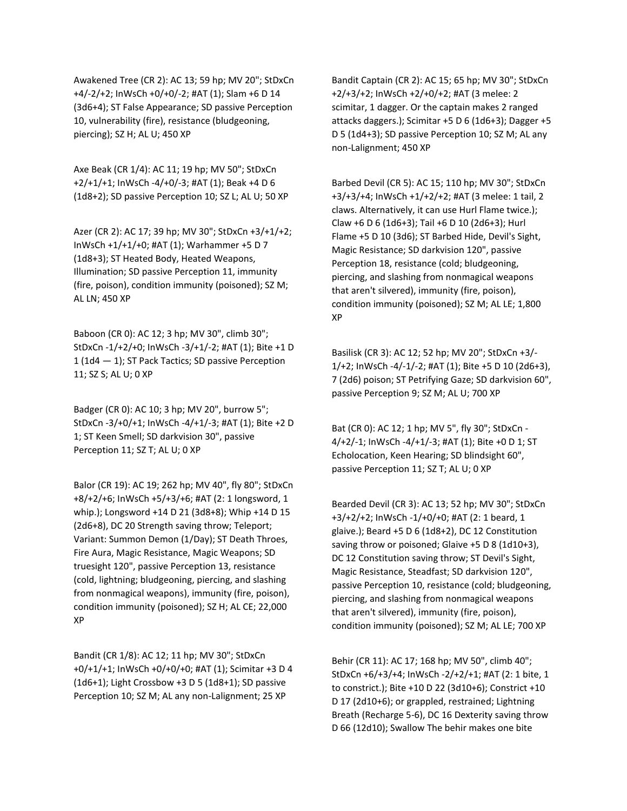Awakened Tree (CR 2): AC 13; 59 hp; MV 20"; StDxCn +4/-2/+2; InWsCh +0/+0/-2; #AT (1); Slam +6 D 14 (3d6+4); ST False Appearance; SD passive Perception 10, vulnerability (fire), resistance (bludgeoning, piercing); SZ H; AL U; 450 XP

Axe Beak (CR 1/4): AC 11; 19 hp; MV 50"; StDxCn +2/+1/+1; InWsCh -4/+0/-3; #AT (1); Beak +4 D 6 (1d8+2); SD passive Perception 10; SZ L; AL U; 50 XP

Azer (CR 2): AC 17; 39 hp; MV 30"; StDxCn +3/+1/+2; InWsCh +1/+1/+0; #AT (1); Warhammer +5 D 7 (1d8+3); ST Heated Body, Heated Weapons, Illumination; SD passive Perception 11, immunity (fire, poison), condition immunity (poisoned); SZ M; AL LN; 450 XP

Baboon (CR 0): AC 12; 3 hp; MV 30", climb 30"; StDxCn -1/+2/+0; InWsCh -3/+1/-2; #AT (1); Bite +1 D 1 (1d4 — 1); ST Pack Tactics; SD passive Perception 11; SZ S; AL U; 0 XP

Badger (CR 0): AC 10; 3 hp; MV 20", burrow 5"; StDxCn -3/+0/+1; InWsCh -4/+1/-3; #AT (1); Bite +2 D 1; ST Keen Smell; SD darkvision 30", passive Perception 11; SZ T; AL U; 0 XP

Balor (CR 19): AC 19; 262 hp; MV 40", fly 80"; StDxCn +8/+2/+6; InWsCh +5/+3/+6; #AT (2: 1 longsword, 1 whip.); Longsword +14 D 21 (3d8+8); Whip +14 D 15 (2d6+8), DC 20 Strength saving throw; Teleport; Variant: Summon Demon (1/Day); ST Death Throes, Fire Aura, Magic Resistance, Magic Weapons; SD truesight 120", passive Perception 13, resistance (cold, lightning; bludgeoning, piercing, and slashing from nonmagical weapons), immunity (fire, poison), condition immunity (poisoned); SZ H; AL CE; 22,000 XP

Bandit (CR 1/8): AC 12; 11 hp; MV 30"; StDxCn +0/+1/+1; InWsCh +0/+0/+0; #AT (1); Scimitar +3 D 4  $(1d6+1)$ ; Light Crossbow +3 D 5  $(1d8+1)$ ; SD passive Perception 10; SZ M; AL any non-Lalignment; 25 XP

Bandit Captain (CR 2): AC 15; 65 hp; MV 30"; StDxCn +2/+3/+2; InWsCh +2/+0/+2; #AT (3 melee: 2 scimitar, 1 dagger. Or the captain makes 2 ranged attacks daggers.); Scimitar +5 D 6 (1d6+3); Dagger +5 D 5 (1d4+3); SD passive Perception 10; SZ M; AL any non-Lalignment; 450 XP

Barbed Devil (CR 5): AC 15; 110 hp; MV 30"; StDxCn +3/+3/+4; InWsCh +1/+2/+2; #AT (3 melee: 1 tail, 2 claws. Alternatively, it can use Hurl Flame twice.); Claw +6 D 6 (1d6+3); Tail +6 D 10 (2d6+3); Hurl Flame +5 D 10 (3d6); ST Barbed Hide, Devil's Sight, Magic Resistance; SD darkvision 120", passive Perception 18, resistance (cold; bludgeoning, piercing, and slashing from nonmagical weapons that aren't silvered), immunity (fire, poison), condition immunity (poisoned); SZ M; AL LE; 1,800 XP

Basilisk (CR 3): AC 12; 52 hp; MV 20"; StDxCn +3/- 1/+2; InWsCh -4/-1/-2; #AT (1); Bite +5 D 10 (2d6+3), 7 (2d6) poison; ST Petrifying Gaze; SD darkvision 60", passive Perception 9; SZ M; AL U; 700 XP

Bat (CR 0): AC 12; 1 hp; MV 5", fly 30"; StDxCn - 4/+2/-1; InWsCh -4/+1/-3; #AT (1); Bite +0 D 1; ST Echolocation, Keen Hearing; SD blindsight 60", passive Perception 11; SZ T; AL U; 0 XP

Bearded Devil (CR 3): AC 13; 52 hp; MV 30"; StDxCn +3/+2/+2; InWsCh -1/+0/+0; #AT (2: 1 beard, 1 glaive.); Beard +5 D 6 (1d8+2), DC 12 Constitution saving throw or poisoned; Glaive +5 D 8 (1d10+3), DC 12 Constitution saving throw; ST Devil's Sight, Magic Resistance, Steadfast; SD darkvision 120", passive Perception 10, resistance (cold; bludgeoning, piercing, and slashing from nonmagical weapons that aren't silvered), immunity (fire, poison), condition immunity (poisoned); SZ M; AL LE; 700 XP

Behir (CR 11): AC 17; 168 hp; MV 50", climb 40"; StDxCn +6/+3/+4; InWsCh -2/+2/+1; #AT (2: 1 bite, 1 to constrict.); Bite +10 D 22 (3d10+6); Constrict +10 D 17 (2d10+6); or grappled, restrained; Lightning Breath (Recharge 5-6), DC 16 Dexterity saving throw D 66 (12d10); Swallow The behir makes one bite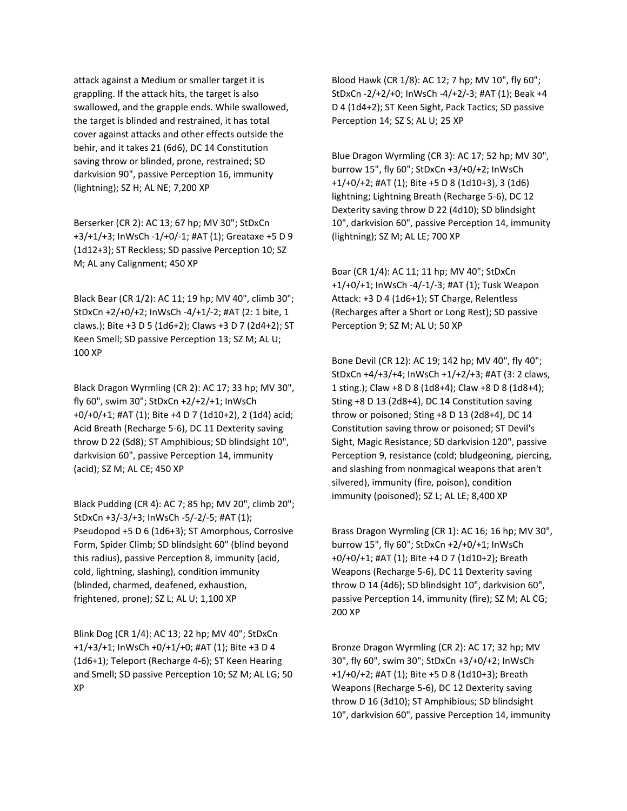attack against a Medium or smaller target it is grappling. If the attack hits, the target is also swallowed, and the grapple ends. While swallowed, the target is blinded and restrained, it has total cover against attacks and other effects outside the behir, and it takes 21 (6d6), DC 14 Constitution saving throw or blinded, prone, restrained; SD darkvision 90", passive Perception 16, immunity (lightning); SZ H; AL NE; 7,200 XP

Berserker (CR 2): AC 13; 67 hp; MV 30"; StDxCn +3/+1/+3; InWsCh -1/+0/-1; #AT (1); Greataxe +5 D 9 (1d12+3); ST Reckless; SD passive Perception 10; SZ M; AL any Calignment; 450 XP

Black Bear (CR 1/2): AC 11; 19 hp; MV 40", climb 30"; StDxCn +2/+0/+2; InWsCh -4/+1/-2; #AT (2: 1 bite, 1 claws.); Bite +3 D 5 (1d6+2); Claws +3 D 7 (2d4+2); ST Keen Smell; SD passive Perception 13; SZ M; AL U; 100 XP

Black Dragon Wyrmling (CR 2): AC 17; 33 hp; MV 30", fly 60", swim 30"; StDxCn +2/+2/+1; InWsCh +0/+0/+1; #AT (1); Bite +4 D 7 (1d10+2), 2 (1d4) acid; Acid Breath (Recharge 5-6), DC 11 Dexterity saving throw D 22 (Sd8); ST Amphibious; SD blindsight 10", darkvision 60", passive Perception 14, immunity (acid); SZ M; AL CE; 450 XP

Black Pudding (CR 4): AC 7; 85 hp; MV 20", climb 20"; StDxCn +3/-3/+3; InWsCh -5/-2/-5; #AT (1); Pseudopod +5 D 6 (1d6+3); ST Amorphous, Corrosive Form, Spider Climb; SD blindsight 60" (blind beyond this radius), passive Perception 8, immunity (acid, cold, lightning, slashing), condition immunity (blinded, charmed, deafened, exhaustion, frightened, prone); SZ L; AL U; 1,100 XP

Blink Dog (CR 1/4): AC 13; 22 hp; MV 40"; StDxCn +1/+3/+1; InWsCh +0/+1/+0; #AT (1); Bite +3 D 4 (1d6+1); Teleport (Recharge 4-6); ST Keen Hearing and Smell; SD passive Perception 10; SZ M; AL LG; 50 XP

Blood Hawk (CR 1/8): AC 12; 7 hp; MV 10", fly 60"; StDxCn -2/+2/+0; InWsCh -4/+2/-3; #AT (1); Beak +4 D 4 (1d4+2); ST Keen Sight, Pack Tactics; SD passive Perception 14; SZ S; AL U; 25 XP

Blue Dragon Wyrmling (CR 3): AC 17; 52 hp; MV 30", burrow 15", fly 60"; StDxCn +3/+0/+2; InWsCh +1/+0/+2; #AT (1); Bite +5 D 8 (1d10+3), 3 (1d6) lightning; Lightning Breath (Recharge 5-6), DC 12 Dexterity saving throw D 22 (4d10); SD blindsight 10", darkvision 60", passive Perception 14, immunity (lightning); SZ M; AL LE; 700 XP

Boar (CR 1/4): AC 11; 11 hp; MV 40"; StDxCn +1/+0/+1; InWsCh -4/-1/-3; #AT (1); Tusk Weapon Attack: +3 D 4 (1d6+1); ST Charge, Relentless (Recharges after a Short or Long Rest); SD passive Perception 9; SZ M; AL U; 50 XP

Bone Devil (CR 12): AC 19; 142 hp; MV 40", fly 40"; StDxCn +4/+3/+4; InWsCh +1/+2/+3; #AT (3: 2 claws, 1 sting.); Claw +8 D 8 (1d8+4); Claw +8 D 8 (1d8+4); Sting +8 D 13 (2d8+4), DC 14 Constitution saving throw or poisoned; Sting +8 D 13 (2d8+4), DC 14 Constitution saving throw or poisoned; ST Devil's Sight, Magic Resistance; SD darkvision 120", passive Perception 9, resistance (cold; bludgeoning, piercing, and slashing from nonmagical weapons that aren't silvered), immunity (fire, poison), condition immunity (poisoned); SZ L; AL LE; 8,400 XP

Brass Dragon Wyrmling (CR 1): AC 16; 16 hp; MV 30", burrow 15", fly 60"; StDxCn +2/+0/+1; InWsCh +0/+0/+1; #AT (1); Bite +4 D 7 (1d10+2); Breath Weapons (Recharge 5-6), DC 11 Dexterity saving throw D 14 (4d6); SD blindsight 10", darkvision 60", passive Perception 14, immunity (fire); SZ M; AL CG; 200 XP

Bronze Dragon Wyrmling (CR 2): AC 17; 32 hp; MV 30", fly 60", swim 30"; StDxCn +3/+0/+2; InWsCh +1/+0/+2; #AT (1); Bite +5 D 8 (1d10+3); Breath Weapons (Recharge 5-6), DC 12 Dexterity saving throw D 16 (3d10); ST Amphibious; SD blindsight 10", darkvision 60", passive Perception 14, immunity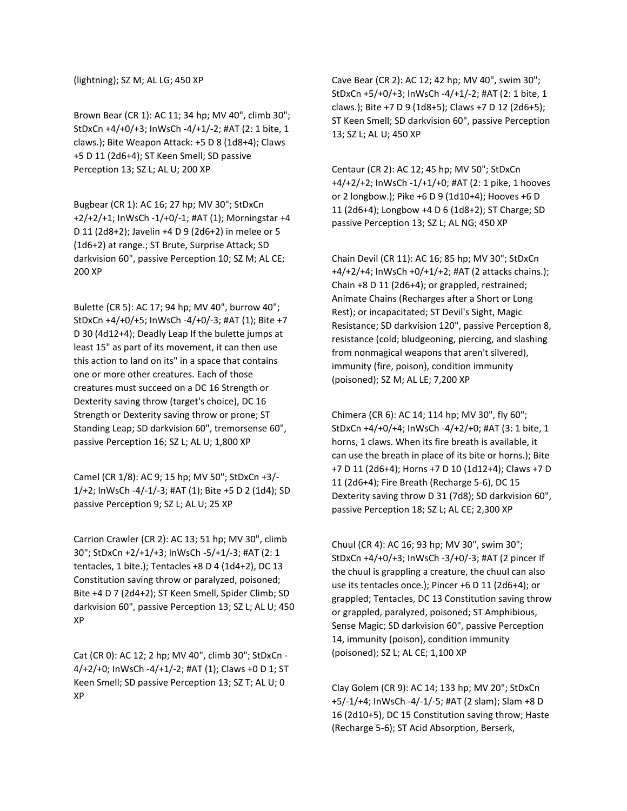(lightning); SZ M; AL LG; 450 XP

Brown Bear (CR 1): AC 11; 34 hp; MV 40", climb 30"; StDxCn +4/+0/+3; InWsCh -4/+1/-2; #AT (2: 1 bite, 1 claws.); Bite Weapon Attack: +5 D 8 (1d8+4); Claws +5 D 11 (2d6+4); ST Keen Smell; SD passive Perception 13; SZ L; AL U; 200 XP

Bugbear (CR 1): AC 16; 27 hp; MV 30"; StDxCn +2/+2/+1; InWsCh -1/+0/-1; #AT (1); Morningstar +4 D 11 (2d8+2); Javelin +4 D 9 (2d6+2) in melee or 5 (1d6+2) at range.; ST Brute, Surprise Attack; SD darkvision 60", passive Perception 10; SZ M; AL CE; 200 XP

Bulette (CR 5): AC 17; 94 hp; MV 40", burrow 40"; StDxCn +4/+0/+5; InWsCh -4/+0/-3; #AT (1); Bite +7 D 30 (4d12+4); Deadly Leap If the bulette jumps at least 15" as part of its movement, it can then use this action to land on its" in a space that contains one or more other creatures. Each of those creatures must succeed on a DC 16 Strength or Dexterity saving throw (target's choice), DC 16 Strength or Dexterity saving throw or prone; ST Standing Leap; SD darkvision 60", tremorsense 60", passive Perception 16; SZ L; AL U; 1,800 XP

Camel (CR 1/8): AC 9; 15 hp; MV 50"; StDxCn +3/- 1/+2; InWsCh -4/-1/-3; #AT (1); Bite +5 D 2 (1d4); SD passive Perception 9; SZ L; AL U; 25 XP

Carrion Crawler (CR 2): AC 13; 51 hp; MV 30", climb 30"; StDxCn +2/+1/+3; InWsCh -5/+1/-3; #AT (2: 1 tentacles, 1 bite.); Tentacles +8 D 4 (1d4+2), DC 13 Constitution saving throw or paralyzed, poisoned; Bite +4 D 7 (2d4+2); ST Keen Smell, Spider Climb; SD darkvision 60", passive Perception 13; SZ L; AL U; 450 XP

Cat (CR 0): AC 12; 2 hp; MV 40", climb 30"; StDxCn - 4/+2/+0; InWsCh -4/+1/-2; #AT (1); Claws +0 D 1; ST Keen Smell; SD passive Perception 13; SZ T; AL U; 0 XP

Cave Bear (CR 2): AC 12; 42 hp; MV 40", swim 30"; StDxCn +5/+0/+3; InWsCh -4/+1/-2; #AT (2: 1 bite, 1 claws.); Bite +7 D 9 (1d8+5); Claws +7 D 12 (2d6+5); ST Keen Smell; SD darkvision 60", passive Perception 13; SZ L; AL U; 450 XP

Centaur (CR 2): AC 12; 45 hp; MV 50"; StDxCn +4/+2/+2; InWsCh -1/+1/+0; #AT (2: 1 pike, 1 hooves or 2 longbow.); Pike +6 D 9 (1d10+4); Hooves +6 D 11 (2d6+4); Longbow +4 D 6 (1d8+2); ST Charge; SD passive Perception 13; SZ L; AL NG; 450 XP

Chain Devil (CR 11): AC 16; 85 hp; MV 30"; StDxCn +4/+2/+4; InWsCh +0/+1/+2; #AT (2 attacks chains.); Chain +8 D 11 (2d6+4); or grappled, restrained; Animate Chains (Recharges after a Short or Long Rest); or incapacitated; ST Devil's Sight, Magic Resistance; SD darkvision 120", passive Perception 8, resistance (cold; bludgeoning, piercing, and slashing from nonmagical weapons that aren't silvered), immunity (fire, poison), condition immunity (poisoned); SZ M; AL LE; 7,200 XP

Chimera (CR 6): AC 14; 114 hp; MV 30", fly 60"; StDxCn +4/+0/+4; InWsCh -4/+2/+0; #AT (3: 1 bite, 1 horns, 1 claws. When its fire breath is available, it can use the breath in place of its bite or horns.); Bite +7 D 11 (2d6+4); Horns +7 D 10 (1d12+4); Claws +7 D 11 (2d6+4); Fire Breath (Recharge 5-6), DC 15 Dexterity saving throw D 31 (7d8); SD darkvision 60", passive Perception 18; SZ L; AL CE; 2,300 XP

Chuul (CR 4): AC 16; 93 hp; MV 30", swim 30"; StDxCn +4/+0/+3; InWsCh -3/+0/-3; #AT (2 pincer If the chuul is grappling a creature, the chuul can also use its tentacles once.); Pincer +6 D 11 (2d6+4); or grappled; Tentacles, DC 13 Constitution saving throw or grappled, paralyzed, poisoned; ST Amphibious, Sense Magic; SD darkvision 60", passive Perception 14, immunity (poison), condition immunity (poisoned); SZ L; AL CE; 1,100 XP

Clay Golem (CR 9): AC 14; 133 hp; MV 20"; StDxCn +5/-1/+4; InWsCh -4/-1/-5; #AT (2 slam); Slam +8 D 16 (2d10+5), DC 15 Constitution saving throw; Haste (Recharge 5-6); ST Acid Absorption, Berserk,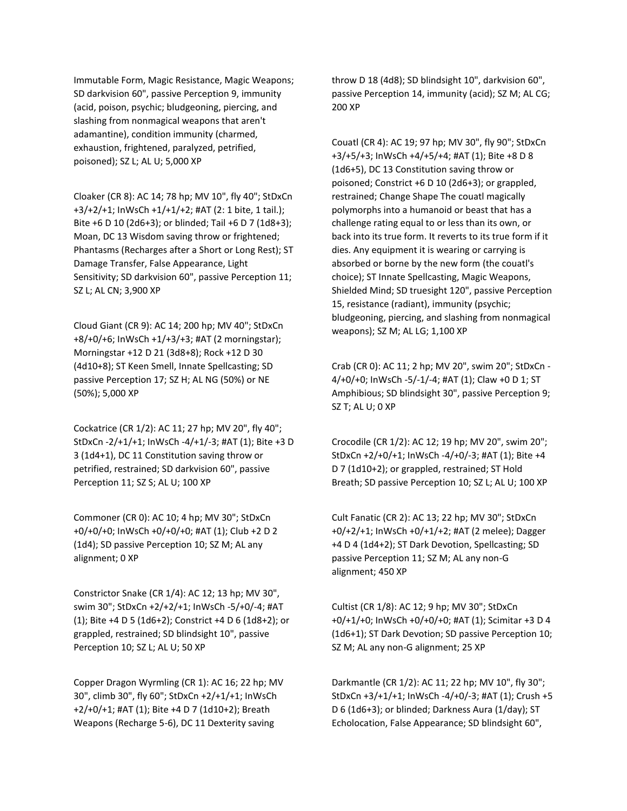Immutable Form, Magic Resistance, Magic Weapons; SD darkvision 60", passive Perception 9, immunity (acid, poison, psychic; bludgeoning, piercing, and slashing from nonmagical weapons that aren't adamantine), condition immunity (charmed, exhaustion, frightened, paralyzed, petrified, poisoned); SZ L; AL U; 5,000 XP

Cloaker (CR 8): AC 14; 78 hp; MV 10", fly 40"; StDxCn +3/+2/+1; InWsCh +1/+1/+2; #AT (2: 1 bite, 1 tail.); Bite +6 D 10 (2d6+3); or blinded; Tail +6 D 7 (1d8+3); Moan, DC 13 Wisdom saving throw or frightened; Phantasms (Recharges after a Short or Long Rest); ST Damage Transfer, False Appearance, Light Sensitivity; SD darkvision 60", passive Perception 11; SZ L; AL CN; 3,900 XP

Cloud Giant (CR 9): AC 14; 200 hp; MV 40"; StDxCn +8/+0/+6; InWsCh +1/+3/+3; #AT (2 morningstar); Morningstar +12 D 21 (3d8+8); Rock +12 D 30 (4d10+8); ST Keen Smell, Innate Spellcasting; SD passive Perception 17; SZ H; AL NG (50%) or NE (50%); 5,000 XP

Cockatrice (CR 1/2): AC 11; 27 hp; MV 20", fly 40"; StDxCn -2/+1/+1; InWsCh -4/+1/-3; #AT (1); Bite +3 D 3 (1d4+1), DC 11 Constitution saving throw or petrified, restrained; SD darkvision 60", passive Perception 11; SZ S; AL U; 100 XP

Commoner (CR 0): AC 10; 4 hp; MV 30"; StDxCn +0/+0/+0; InWsCh +0/+0/+0; #AT (1); Club +2 D 2 (1d4); SD passive Perception 10; SZ M; AL any alignment; 0 XP

Constrictor Snake (CR 1/4): AC 12; 13 hp; MV 30", swim 30"; StDxCn +2/+2/+1; InWsCh -5/+0/-4; #AT (1); Bite +4 D 5 (1d6+2); Constrict +4 D 6 (1d8+2); or grappled, restrained; SD blindsight 10", passive Perception 10; SZ L; AL U; 50 XP

Copper Dragon Wyrmling (CR 1): AC 16; 22 hp; MV 30", climb 30", fly 60"; StDxCn +2/+1/+1; InWsCh +2/+0/+1; #AT (1); Bite +4 D 7 (1d10+2); Breath Weapons (Recharge 5-6), DC 11 Dexterity saving

throw D 18 (4d8); SD blindsight 10", darkvision 60", passive Perception 14, immunity (acid); SZ M; AL CG; 200 XP

Couatl (CR 4): AC 19; 97 hp; MV 30", fly 90"; StDxCn +3/+5/+3; InWsCh +4/+5/+4; #AT (1); Bite +8 D 8 (1d6+5), DC 13 Constitution saving throw or poisoned; Constrict +6 D 10 (2d6+3); or grappled, restrained; Change Shape The couatl magically polymorphs into a humanoid or beast that has a challenge rating equal to or less than its own, or back into its true form. It reverts to its true form if it dies. Any equipment it is wearing or carrying is absorbed or borne by the new form (the couatl's choice); ST Innate Spellcasting, Magic Weapons, Shielded Mind; SD truesight 120", passive Perception 15, resistance (radiant), immunity (psychic; bludgeoning, piercing, and slashing from nonmagical weapons); SZ M; AL LG; 1,100 XP

Crab (CR 0): AC 11; 2 hp; MV 20", swim 20"; StDxCn - 4/+0/+0; InWsCh -5/-1/-4; #AT (1); Claw +0 D 1; ST Amphibious; SD blindsight 30", passive Perception 9; SZ T; AL U; 0 XP

Crocodile (CR 1/2): AC 12; 19 hp; MV 20", swim 20"; StDxCn +2/+0/+1; InWsCh -4/+0/-3; #AT (1); Bite +4 D 7 (1d10+2); or grappled, restrained; ST Hold Breath; SD passive Perception 10; SZ L; AL U; 100 XP

Cult Fanatic (CR 2): AC 13; 22 hp; MV 30"; StDxCn +0/+2/+1; InWsCh +0/+1/+2; #AT (2 melee); Dagger +4 D 4 (1d4+2); ST Dark Devotion, Spellcasting; SD passive Perception 11; SZ M; AL any non-G alignment; 450 XP

Cultist (CR 1/8): AC 12; 9 hp; MV 30"; StDxCn +0/+1/+0; InWsCh +0/+0/+0; #AT (1); Scimitar +3 D 4 (1d6+1); ST Dark Devotion; SD passive Perception 10; SZ M; AL any non-G alignment; 25 XP

Darkmantle (CR 1/2): AC 11; 22 hp; MV 10", fly 30"; StDxCn +3/+1/+1; InWsCh -4/+0/-3; #AT (1); Crush +5 D 6 (1d6+3); or blinded; Darkness Aura (1/day); ST Echolocation, False Appearance; SD blindsight 60",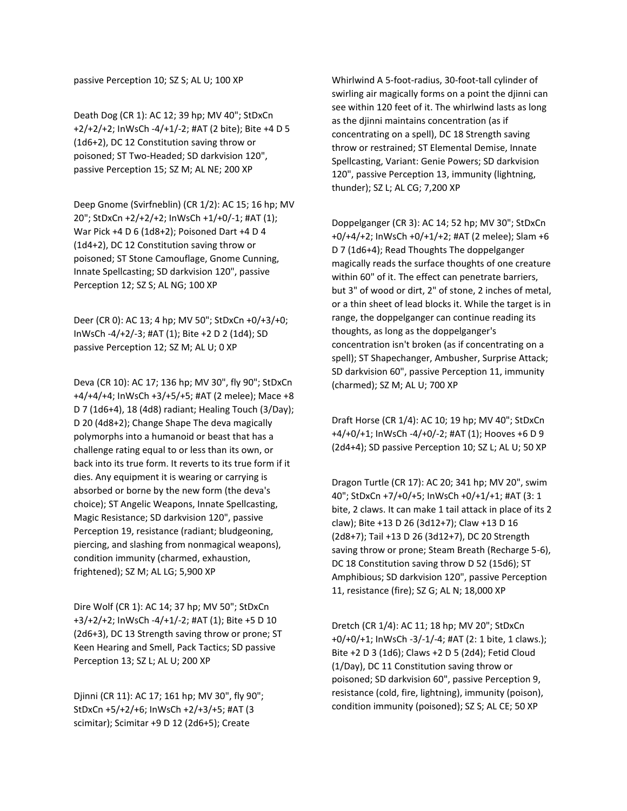passive Perception 10; SZ S; AL U; 100 XP

Death Dog (CR 1): AC 12; 39 hp; MV 40"; StDxCn +2/+2/+2; InWsCh -4/+1/-2; #AT (2 bite); Bite +4 D 5 (1d6+2), DC 12 Constitution saving throw or poisoned; ST Two-Headed; SD darkvision 120", passive Perception 15; SZ M; AL NE; 200 XP

Deep Gnome (Svirfneblin) (CR 1/2): AC 15; 16 hp; MV 20"; StDxCn +2/+2/+2; InWsCh +1/+0/-1; #AT (1); War Pick +4 D 6 (1d8+2); Poisoned Dart +4 D 4 (1d4+2), DC 12 Constitution saving throw or poisoned; ST Stone Camouflage, Gnome Cunning, Innate Spellcasting; SD darkvision 120", passive Perception 12; SZ S; AL NG; 100 XP

Deer (CR 0): AC 13; 4 hp; MV 50"; StDxCn +0/+3/+0; InWsCh -4/+2/-3; #AT (1); Bite +2 D 2 (1d4); SD passive Perception 12; SZ M; AL U; 0 XP

Deva (CR 10): AC 17; 136 hp; MV 30", fly 90"; StDxCn +4/+4/+4; InWsCh +3/+5/+5; #AT (2 melee); Mace +8 D 7 (1d6+4), 18 (4d8) radiant; Healing Touch (3/Day); D 20 (4d8+2); Change Shape The deva magically polymorphs into a humanoid or beast that has a challenge rating equal to or less than its own, or back into its true form. It reverts to its true form if it dies. Any equipment it is wearing or carrying is absorbed or borne by the new form (the deva's choice); ST Angelic Weapons, Innate Spellcasting, Magic Resistance; SD darkvision 120", passive Perception 19, resistance (radiant; bludgeoning, piercing, and slashing from nonmagical weapons), condition immunity (charmed, exhaustion, frightened); SZ M; AL LG; 5,900 XP

Dire Wolf (CR 1): AC 14; 37 hp; MV 50"; StDxCn +3/+2/+2; InWsCh -4/+1/-2; #AT (1); Bite +5 D 10 (2d6+3), DC 13 Strength saving throw or prone; ST Keen Hearing and Smell, Pack Tactics; SD passive Perception 13; SZ L; AL U; 200 XP

Djinni (CR 11): AC 17; 161 hp; MV 30", fly 90"; StDxCn +5/+2/+6; InWsCh +2/+3/+5; #AT (3 scimitar); Scimitar +9 D 12 (2d6+5); Create

Whirlwind A 5-foot-radius, 30-foot-tall cylinder of swirling air magically forms on a point the djinni can see within 120 feet of it. The whirlwind lasts as long as the djinni maintains concentration (as if concentrating on a spell), DC 18 Strength saving throw or restrained; ST Elemental Demise, Innate Spellcasting, Variant: Genie Powers; SD darkvision 120", passive Perception 13, immunity (lightning, thunder); SZ L; AL CG; 7,200 XP

Doppelganger (CR 3): AC 14; 52 hp; MV 30"; StDxCn +0/+4/+2; InWsCh +0/+1/+2; #AT (2 melee); Slam +6 D 7 (1d6+4); Read Thoughts The doppelganger magically reads the surface thoughts of one creature within 60" of it. The effect can penetrate barriers, but 3" of wood or dirt, 2" of stone, 2 inches of metal, or a thin sheet of lead blocks it. While the target is in range, the doppelganger can continue reading its thoughts, as long as the doppelganger's concentration isn't broken (as if concentrating on a spell); ST Shapechanger, Ambusher, Surprise Attack; SD darkvision 60", passive Perception 11, immunity (charmed); SZ M; AL U; 700 XP

Draft Horse (CR 1/4): AC 10; 19 hp; MV 40"; StDxCn +4/+0/+1; InWsCh -4/+0/-2; #AT (1); Hooves +6 D 9 (2d4+4); SD passive Perception 10; SZ L; AL U; 50 XP

Dragon Turtle (CR 17): AC 20; 341 hp; MV 20", swim 40"; StDxCn +7/+0/+5; InWsCh +0/+1/+1; #AT (3: 1 bite, 2 claws. It can make 1 tail attack in place of its 2 claw); Bite +13 D 26 (3d12+7); Claw +13 D 16 (2d8+7); Tail +13 D 26 (3d12+7), DC 20 Strength saving throw or prone; Steam Breath (Recharge 5-6), DC 18 Constitution saving throw D 52 (15d6); ST Amphibious; SD darkvision 120", passive Perception 11, resistance (fire); SZ G; AL N; 18,000 XP

Dretch (CR 1/4): AC 11; 18 hp; MV 20"; StDxCn +0/+0/+1; InWsCh -3/-1/-4; #AT (2: 1 bite, 1 claws.); Bite +2 D 3 (1d6); Claws +2 D 5 (2d4); Fetid Cloud (1/Day), DC 11 Constitution saving throw or poisoned; SD darkvision 60", passive Perception 9, resistance (cold, fire, lightning), immunity (poison), condition immunity (poisoned); SZ S; AL CE; 50 XP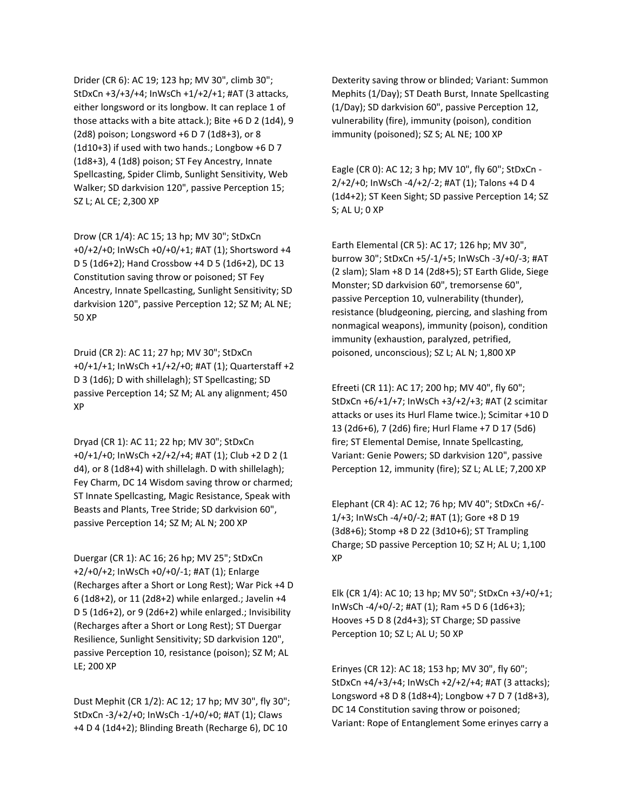Drider (CR 6): AC 19; 123 hp; MV 30", climb 30"; StDxCn +3/+3/+4; InWsCh +1/+2/+1; #AT (3 attacks, either longsword or its longbow. It can replace 1 of those attacks with a bite attack.); Bite +6 D 2 (1d4), 9 (2d8) poison; Longsword +6 D 7 (1d8+3), or 8 (1d10+3) if used with two hands.; Longbow +6 D 7 (1d8+3), 4 (1d8) poison; ST Fey Ancestry, Innate Spellcasting, Spider Climb, Sunlight Sensitivity, Web Walker; SD darkvision 120", passive Perception 15; SZ L; AL CE; 2,300 XP

Drow (CR 1/4): AC 15; 13 hp; MV 30"; StDxCn +0/+2/+0; InWsCh +0/+0/+1; #AT (1); Shortsword +4 D 5 (1d6+2); Hand Crossbow +4 D 5 (1d6+2), DC 13 Constitution saving throw or poisoned; ST Fey Ancestry, Innate Spellcasting, Sunlight Sensitivity; SD darkvision 120", passive Perception 12; SZ M; AL NE; 50 XP

Druid (CR 2): AC 11; 27 hp; MV 30"; StDxCn +0/+1/+1; InWsCh +1/+2/+0; #AT (1); Quarterstaff +2 D 3 (1d6); D with shillelagh); ST Spellcasting; SD passive Perception 14; SZ M; AL any alignment; 450 XP

Dryad (CR 1): AC 11; 22 hp; MV 30"; StDxCn +0/+1/+0; InWsCh +2/+2/+4; #AT (1); Club +2 D 2 (1 d4), or 8 (1d8+4) with shillelagh. D with shillelagh); Fey Charm, DC 14 Wisdom saving throw or charmed; ST Innate Spellcasting, Magic Resistance, Speak with Beasts and Plants, Tree Stride; SD darkvision 60", passive Perception 14; SZ M; AL N; 200 XP

Duergar (CR 1): AC 16; 26 hp; MV 25"; StDxCn +2/+0/+2; InWsCh +0/+0/-1; #AT (1); Enlarge (Recharges after a Short or Long Rest); War Pick +4 D 6 (1d8+2), or 11 (2d8+2) while enlarged.; Javelin +4 D 5 (1d6+2), or 9 (2d6+2) while enlarged.; Invisibility (Recharges after a Short or Long Rest); ST Duergar Resilience, Sunlight Sensitivity; SD darkvision 120", passive Perception 10, resistance (poison); SZ M; AL LE; 200 XP

Dust Mephit (CR 1/2): AC 12; 17 hp; MV 30", fly 30"; StDxCn -3/+2/+0; InWsCh -1/+0/+0; #AT (1); Claws +4 D 4 (1d4+2); Blinding Breath (Recharge 6), DC 10

Dexterity saving throw or blinded; Variant: Summon Mephits (1/Day); ST Death Burst, Innate Spellcasting (1/Day); SD darkvision 60", passive Perception 12, vulnerability (fire), immunity (poison), condition immunity (poisoned); SZ S; AL NE; 100 XP

Eagle (CR 0): AC 12; 3 hp; MV 10", fly 60"; StDxCn - 2/+2/+0; InWsCh -4/+2/-2; #AT (1); Talons +4 D 4 (1d4+2); ST Keen Sight; SD passive Perception 14; SZ S; AL U; 0 XP

Earth Elemental (CR 5): AC 17; 126 hp; MV 30", burrow 30"; StDxCn +5/-1/+5; InWsCh -3/+0/-3; #AT (2 slam); Slam +8 D 14 (2d8+5); ST Earth Glide, Siege Monster; SD darkvision 60", tremorsense 60", passive Perception 10, vulnerability (thunder), resistance (bludgeoning, piercing, and slashing from nonmagical weapons), immunity (poison), condition immunity (exhaustion, paralyzed, petrified, poisoned, unconscious); SZ L; AL N; 1,800 XP

Efreeti (CR 11): AC 17; 200 hp; MV 40", fly 60"; StDxCn +6/+1/+7; InWsCh +3/+2/+3; #AT (2 scimitar attacks or uses its Hurl Flame twice.); Scimitar +10 D 13 (2d6+6), 7 (2d6) fire; Hurl Flame +7 D 17 (5d6) fire; ST Elemental Demise, Innate Spellcasting, Variant: Genie Powers; SD darkvision 120", passive Perception 12, immunity (fire); SZ L; AL LE; 7,200 XP

Elephant (CR 4): AC 12; 76 hp; MV 40"; StDxCn +6/- 1/+3; InWsCh -4/+0/-2; #AT (1); Gore +8 D 19 (3d8+6); Stomp +8 D 22 (3d10+6); ST Trampling Charge; SD passive Perception 10; SZ H; AL U; 1,100 XP

Elk (CR 1/4): AC 10; 13 hp; MV 50"; StDxCn +3/+0/+1; InWsCh -4/+0/-2; #AT (1); Ram +5 D 6 (1d6+3); Hooves +5 D 8 (2d4+3); ST Charge; SD passive Perception 10; SZ L; AL U; 50 XP

Erinyes (CR 12): AC 18; 153 hp; MV 30", fly 60"; StDxCn +4/+3/+4; InWsCh +2/+2/+4; #AT (3 attacks); Longsword +8 D 8 (1d8+4); Longbow +7 D 7 (1d8+3), DC 14 Constitution saving throw or poisoned; Variant: Rope of Entanglement Some erinyes carry a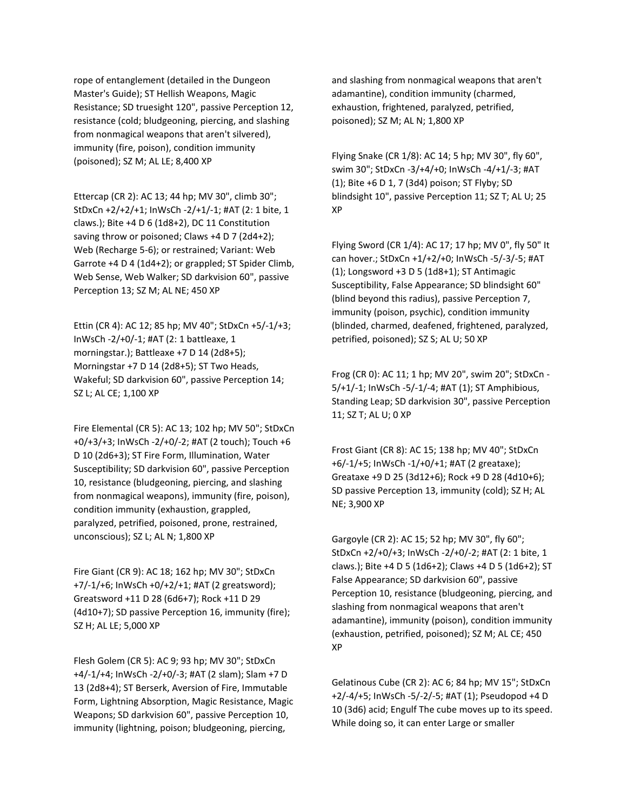rope of entanglement (detailed in the Dungeon Master's Guide); ST Hellish Weapons, Magic Resistance; SD truesight 120", passive Perception 12, resistance (cold; bludgeoning, piercing, and slashing from nonmagical weapons that aren't silvered), immunity (fire, poison), condition immunity (poisoned); SZ M; AL LE; 8,400 XP

Ettercap (CR 2): AC 13; 44 hp; MV 30", climb 30"; StDxCn +2/+2/+1; InWsCh -2/+1/-1; #AT (2: 1 bite, 1 claws.); Bite +4 D 6 (1d8+2), DC 11 Constitution saving throw or poisoned; Claws +4 D 7 (2d4+2); Web (Recharge 5-6); or restrained; Variant: Web Garrote +4 D 4 (1d4+2); or grappled; ST Spider Climb, Web Sense, Web Walker; SD darkvision 60", passive Perception 13; SZ M; AL NE; 450 XP

Ettin (CR 4): AC 12; 85 hp; MV 40"; StDxCn +5/-1/+3; InWsCh -2/+0/-1; #AT (2: 1 battleaxe, 1 morningstar.); Battleaxe +7 D 14 (2d8+5); Morningstar +7 D 14 (2d8+5); ST Two Heads, Wakeful; SD darkvision 60", passive Perception 14; SZ L; AL CE; 1,100 XP

Fire Elemental (CR 5): AC 13; 102 hp; MV 50"; StDxCn +0/+3/+3; InWsCh -2/+0/-2; #AT (2 touch); Touch +6 D 10 (2d6+3); ST Fire Form, Illumination, Water Susceptibility; SD darkvision 60", passive Perception 10, resistance (bludgeoning, piercing, and slashing from nonmagical weapons), immunity (fire, poison), condition immunity (exhaustion, grappled, paralyzed, petrified, poisoned, prone, restrained, unconscious); SZ L; AL N; 1,800 XP

Fire Giant (CR 9): AC 18; 162 hp; MV 30"; StDxCn +7/-1/+6; InWsCh +0/+2/+1; #AT (2 greatsword); Greatsword +11 D 28 (6d6+7); Rock +11 D 29 (4d10+7); SD passive Perception 16, immunity (fire); SZ H; AL LE; 5,000 XP

Flesh Golem (CR 5): AC 9; 93 hp; MV 30"; StDxCn +4/-1/+4; InWsCh -2/+0/-3; #AT (2 slam); Slam +7 D 13 (2d8+4); ST Berserk, Aversion of Fire, Immutable Form, Lightning Absorption, Magic Resistance, Magic Weapons; SD darkvision 60", passive Perception 10, immunity (lightning, poison; bludgeoning, piercing,

and slashing from nonmagical weapons that aren't adamantine), condition immunity (charmed, exhaustion, frightened, paralyzed, petrified, poisoned); SZ M; AL N; 1,800 XP

Flying Snake (CR 1/8): AC 14; 5 hp; MV 30", fly 60", swim 30"; StDxCn -3/+4/+0; InWsCh -4/+1/-3; #AT (1); Bite +6 D 1, 7 (3d4) poison; ST Flyby; SD blindsight 10", passive Perception 11; SZ T; AL U; 25 XP

Flying Sword (CR 1/4): AC 17; 17 hp; MV 0", fly 50" It can hover.; StDxCn +1/+2/+0; InWsCh -5/-3/-5; #AT (1); Longsword +3 D 5 (1d8+1); ST Antimagic Susceptibility, False Appearance; SD blindsight 60" (blind beyond this radius), passive Perception 7, immunity (poison, psychic), condition immunity (blinded, charmed, deafened, frightened, paralyzed, petrified, poisoned); SZ S; AL U; 50 XP

Frog (CR 0): AC 11; 1 hp; MV 20", swim 20"; StDxCn - 5/+1/-1; InWsCh -5/-1/-4; #AT (1); ST Amphibious, Standing Leap; SD darkvision 30", passive Perception 11; SZ T; AL U; 0 XP

Frost Giant (CR 8): AC 15; 138 hp; MV 40"; StDxCn +6/-1/+5; InWsCh -1/+0/+1; #AT (2 greataxe); Greataxe +9 D 25 (3d12+6); Rock +9 D 28 (4d10+6); SD passive Perception 13, immunity (cold); SZ H; AL NE; 3,900 XP

Gargoyle (CR 2): AC 15; 52 hp; MV 30", fly 60"; StDxCn +2/+0/+3; InWsCh -2/+0/-2; #AT (2: 1 bite, 1 claws.); Bite +4 D 5 (1d6+2); Claws +4 D 5 (1d6+2); ST False Appearance; SD darkvision 60", passive Perception 10, resistance (bludgeoning, piercing, and slashing from nonmagical weapons that aren't adamantine), immunity (poison), condition immunity (exhaustion, petrified, poisoned); SZ M; AL CE; 450 XP

Gelatinous Cube (CR 2): AC 6; 84 hp; MV 15"; StDxCn +2/-4/+5; InWsCh -5/-2/-5; #AT (1); Pseudopod +4 D 10 (3d6) acid; Engulf The cube moves up to its speed. While doing so, it can enter Large or smaller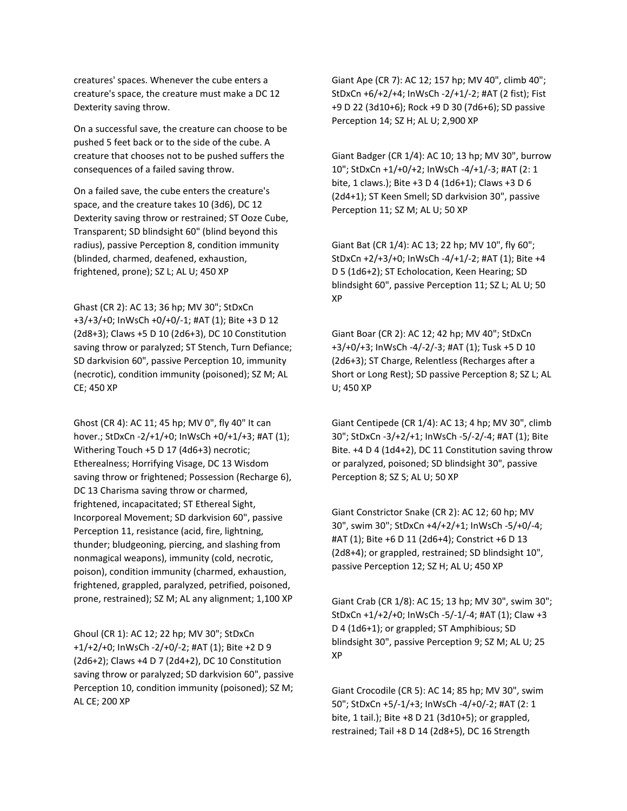creatures' spaces. Whenever the cube enters a creature's space, the creature must make a DC 12 Dexterity saving throw.

On a successful save, the creature can choose to be pushed 5 feet back or to the side of the cube. A creature that chooses not to be pushed suffers the consequences of a failed saving throw.

On a failed save, the cube enters the creature's space, and the creature takes 10 (3d6), DC 12 Dexterity saving throw or restrained; ST Ooze Cube, Transparent; SD blindsight 60" (blind beyond this radius), passive Perception 8, condition immunity (blinded, charmed, deafened, exhaustion, frightened, prone); SZ L; AL U; 450 XP

Ghast (CR 2): AC 13; 36 hp; MV 30"; StDxCn +3/+3/+0; InWsCh +0/+0/-1; #AT (1); Bite +3 D 12 (2d8+3); Claws +5 D 10 (2d6+3), DC 10 Constitution saving throw or paralyzed; ST Stench, Turn Defiance; SD darkvision 60", passive Perception 10, immunity (necrotic), condition immunity (poisoned); SZ M; AL CE; 450 XP

Ghost (CR 4): AC 11; 45 hp; MV 0", fly 40" It can hover.; StDxCn -2/+1/+0; InWsCh +0/+1/+3; #AT (1); Withering Touch +5 D 17 (4d6+3) necrotic; Etherealness; Horrifying Visage, DC 13 Wisdom saving throw or frightened; Possession (Recharge 6), DC 13 Charisma saving throw or charmed, frightened, incapacitated; ST Ethereal Sight, Incorporeal Movement; SD darkvision 60", passive Perception 11, resistance (acid, fire, lightning, thunder; bludgeoning, piercing, and slashing from nonmagical weapons), immunity (cold, necrotic, poison), condition immunity (charmed, exhaustion, frightened, grappled, paralyzed, petrified, poisoned, prone, restrained); SZ M; AL any alignment; 1,100 XP

Ghoul (CR 1): AC 12; 22 hp; MV 30"; StDxCn +1/+2/+0; InWsCh -2/+0/-2; #AT (1); Bite +2 D 9 (2d6+2); Claws +4 D 7 (2d4+2), DC 10 Constitution saving throw or paralyzed; SD darkvision 60", passive Perception 10, condition immunity (poisoned); SZ M; AL CE; 200 XP

Giant Ape (CR 7): AC 12; 157 hp; MV 40", climb 40"; StDxCn +6/+2/+4; InWsCh -2/+1/-2; #AT (2 fist); Fist +9 D 22 (3d10+6); Rock +9 D 30 (7d6+6); SD passive Perception 14; SZ H; AL U; 2,900 XP

Giant Badger (CR 1/4): AC 10; 13 hp; MV 30", burrow 10"; StDxCn +1/+0/+2; InWsCh -4/+1/-3; #AT (2: 1 bite, 1 claws.); Bite +3 D 4 (1d6+1); Claws +3 D 6 (2d4+1); ST Keen Smell; SD darkvision 30", passive Perception 11; SZ M; AL U; 50 XP

Giant Bat (CR 1/4): AC 13; 22 hp; MV 10", fly 60"; StDxCn +2/+3/+0; InWsCh -4/+1/-2; #AT (1); Bite +4 D 5 (1d6+2); ST Echolocation, Keen Hearing; SD blindsight 60", passive Perception 11; SZ L; AL U; 50 XP

Giant Boar (CR 2): AC 12; 42 hp; MV 40"; StDxCn +3/+0/+3; InWsCh -4/-2/-3; #AT (1); Tusk +5 D 10 (2d6+3); ST Charge, Relentless (Recharges after a Short or Long Rest); SD passive Perception 8; SZ L; AL U; 450 XP

Giant Centipede (CR 1/4): AC 13; 4 hp; MV 30", climb 30"; StDxCn -3/+2/+1; InWsCh -5/-2/-4; #AT (1); Bite Bite. +4 D 4 (1d4+2), DC 11 Constitution saving throw or paralyzed, poisoned; SD blindsight 30", passive Perception 8; SZ S; AL U; 50 XP

Giant Constrictor Snake (CR 2): AC 12; 60 hp; MV 30", swim 30"; StDxCn +4/+2/+1; InWsCh -5/+0/-4; #AT (1); Bite +6 D 11 (2d6+4); Constrict +6 D 13 (2d8+4); or grappled, restrained; SD blindsight 10", passive Perception 12; SZ H; AL U; 450 XP

Giant Crab (CR 1/8): AC 15; 13 hp; MV 30", swim 30"; StDxCn +1/+2/+0; InWsCh -5/-1/-4; #AT (1); Claw +3 D 4 (1d6+1); or grappled; ST Amphibious; SD blindsight 30", passive Perception 9; SZ M; AL U; 25 XP

Giant Crocodile (CR 5): AC 14; 85 hp; MV 30", swim 50"; StDxCn +5/-1/+3; InWsCh -4/+0/-2; #AT (2: 1 bite, 1 tail.); Bite +8 D 21 (3d10+5); or grappled, restrained; Tail +8 D 14 (2d8+5), DC 16 Strength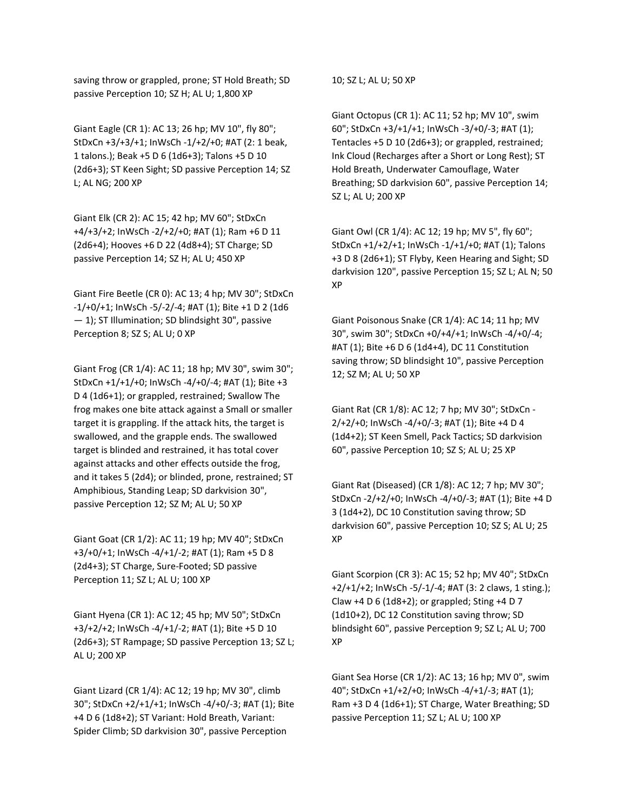saving throw or grappled, prone; ST Hold Breath; SD passive Perception 10; SZ H; AL U; 1,800 XP

Giant Eagle (CR 1): AC 13; 26 hp; MV 10", fly 80"; StDxCn +3/+3/+1; InWsCh -1/+2/+0; #AT (2: 1 beak, 1 talons.); Beak +5 D 6 (1d6+3); Talons +5 D 10 (2d6+3); ST Keen Sight; SD passive Perception 14; SZ L; AL NG; 200 XP

Giant Elk (CR 2): AC 15; 42 hp; MV 60"; StDxCn +4/+3/+2; InWsCh -2/+2/+0; #AT (1); Ram +6 D 11 (2d6+4); Hooves +6 D 22 (4d8+4); ST Charge; SD passive Perception 14; SZ H; AL U; 450 XP

Giant Fire Beetle (CR 0): AC 13; 4 hp; MV 30"; StDxCn -1/+0/+1; InWsCh -5/-2/-4; #AT (1); Bite +1 D 2 (1d6 — 1); ST Illumination; SD blindsight 30", passive Perception 8; SZ S; AL U; 0 XP

Giant Frog (CR 1/4): AC 11; 18 hp; MV 30", swim 30"; StDxCn +1/+1/+0; InWsCh -4/+0/-4; #AT (1); Bite +3 D 4 (1d6+1); or grappled, restrained; Swallow The frog makes one bite attack against a Small or smaller target it is grappling. If the attack hits, the target is swallowed, and the grapple ends. The swallowed target is blinded and restrained, it has total cover against attacks and other effects outside the frog, and it takes 5 (2d4); or blinded, prone, restrained; ST Amphibious, Standing Leap; SD darkvision 30", passive Perception 12; SZ M; AL U; 50 XP

Giant Goat (CR 1/2): AC 11; 19 hp; MV 40"; StDxCn +3/+0/+1; InWsCh -4/+1/-2; #AT (1); Ram +5 D 8 (2d4+3); ST Charge, Sure-Footed; SD passive Perception 11; SZ L; AL U; 100 XP

Giant Hyena (CR 1): AC 12; 45 hp; MV 50"; StDxCn +3/+2/+2; InWsCh -4/+1/-2; #AT (1); Bite +5 D 10 (2d6+3); ST Rampage; SD passive Perception 13; SZ L; AL U; 200 XP

Giant Lizard (CR 1/4): AC 12; 19 hp; MV 30", climb 30"; StDxCn +2/+1/+1; InWsCh -4/+0/-3; #AT (1); Bite +4 D 6 (1d8+2); ST Variant: Hold Breath, Variant: Spider Climb; SD darkvision 30", passive Perception

10; SZ L; AL U; 50 XP

Giant Octopus (CR 1): AC 11; 52 hp; MV 10", swim 60"; StDxCn +3/+1/+1; InWsCh -3/+0/-3; #AT (1); Tentacles +5 D 10 (2d6+3); or grappled, restrained; Ink Cloud (Recharges after a Short or Long Rest); ST Hold Breath, Underwater Camouflage, Water Breathing; SD darkvision 60", passive Perception 14; SZ L; AL U; 200 XP

Giant Owl (CR 1/4): AC 12; 19 hp; MV 5", fly 60"; StDxCn +1/+2/+1; InWsCh -1/+1/+0; #AT (1); Talons +3 D 8 (2d6+1); ST Flyby, Keen Hearing and Sight; SD darkvision 120", passive Perception 15; SZ L; AL N; 50 XP

Giant Poisonous Snake (CR 1/4): AC 14; 11 hp; MV 30", swim 30"; StDxCn +0/+4/+1; InWsCh -4/+0/-4; #AT (1); Bite +6 D 6 (1d4+4), DC 11 Constitution saving throw; SD blindsight 10", passive Perception 12; SZ M; AL U; 50 XP

Giant Rat (CR 1/8): AC 12; 7 hp; MV 30"; StDxCn - 2/+2/+0; InWsCh -4/+0/-3; #AT (1); Bite +4 D 4 (1d4+2); ST Keen Smell, Pack Tactics; SD darkvision 60", passive Perception 10; SZ S; AL U; 25 XP

Giant Rat (Diseased) (CR 1/8): AC 12; 7 hp; MV 30"; StDxCn -2/+2/+0; InWsCh -4/+0/-3; #AT (1); Bite +4 D 3 (1d4+2), DC 10 Constitution saving throw; SD darkvision 60", passive Perception 10; SZ S; AL U; 25 XP

Giant Scorpion (CR 3): AC 15; 52 hp; MV 40"; StDxCn +2/+1/+2; InWsCh -5/-1/-4; #AT (3: 2 claws, 1 sting.); Claw +4 D 6 (1d8+2); or grappled; Sting +4 D 7 (1d10+2), DC 12 Constitution saving throw; SD blindsight 60", passive Perception 9; SZ L; AL U; 700 XP

Giant Sea Horse (CR 1/2): AC 13; 16 hp; MV 0", swim 40"; StDxCn +1/+2/+0; InWsCh -4/+1/-3; #AT (1); Ram +3 D 4 (1d6+1); ST Charge, Water Breathing; SD passive Perception 11; SZ L; AL U; 100 XP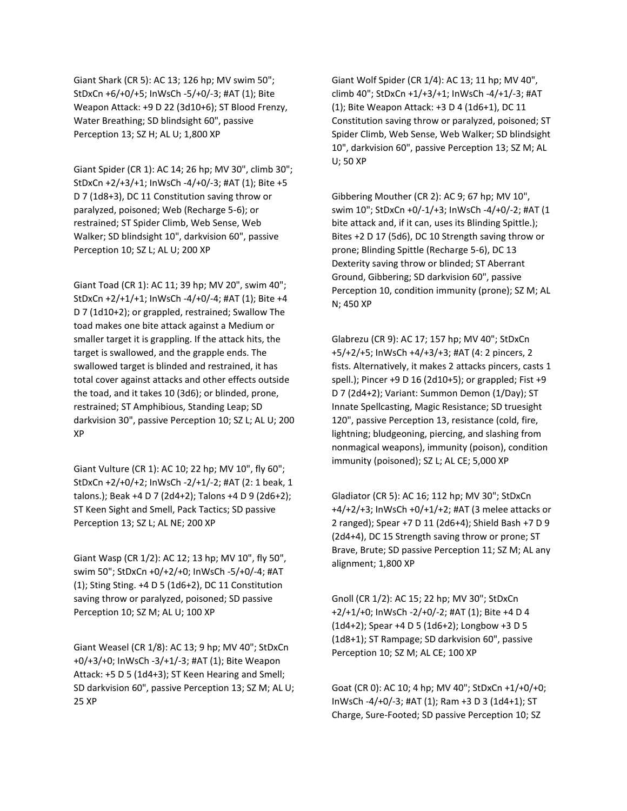Giant Shark (CR 5): AC 13; 126 hp; MV swim 50"; StDxCn +6/+0/+5; InWsCh -5/+0/-3; #AT (1); Bite Weapon Attack: +9 D 22 (3d10+6); ST Blood Frenzy, Water Breathing; SD blindsight 60", passive Perception 13; SZ H; AL U; 1,800 XP

Giant Spider (CR 1): AC 14; 26 hp; MV 30", climb 30"; StDxCn +2/+3/+1; InWsCh -4/+0/-3; #AT (1); Bite +5 D 7 (1d8+3), DC 11 Constitution saving throw or paralyzed, poisoned; Web (Recharge 5-6); or restrained; ST Spider Climb, Web Sense, Web Walker; SD blindsight 10", darkvision 60", passive Perception 10; SZ L; AL U; 200 XP

Giant Toad (CR 1): AC 11; 39 hp; MV 20", swim 40"; StDxCn +2/+1/+1; InWsCh -4/+0/-4; #AT (1); Bite +4 D 7 (1d10+2); or grappled, restrained; Swallow The toad makes one bite attack against a Medium or smaller target it is grappling. If the attack hits, the target is swallowed, and the grapple ends. The swallowed target is blinded and restrained, it has total cover against attacks and other effects outside the toad, and it takes 10 (3d6); or blinded, prone, restrained; ST Amphibious, Standing Leap; SD darkvision 30", passive Perception 10; SZ L; AL U; 200 XP

Giant Vulture (CR 1): AC 10; 22 hp; MV 10", fly 60"; StDxCn +2/+0/+2; InWsCh -2/+1/-2; #AT (2: 1 beak, 1 talons.); Beak +4 D 7 (2d4+2); Talons +4 D 9 (2d6+2); ST Keen Sight and Smell, Pack Tactics; SD passive Perception 13; SZ L; AL NE; 200 XP

Giant Wasp (CR 1/2): AC 12; 13 hp; MV 10", fly 50", swim 50"; StDxCn +0/+2/+0; InWsCh -5/+0/-4; #AT (1); Sting Sting. +4 D 5 (1d6+2), DC 11 Constitution saving throw or paralyzed, poisoned; SD passive Perception 10; SZ M; AL U; 100 XP

Giant Weasel (CR 1/8): AC 13; 9 hp; MV 40"; StDxCn +0/+3/+0; InWsCh -3/+1/-3; #AT (1); Bite Weapon Attack: +5 D 5 (1d4+3); ST Keen Hearing and Smell; SD darkvision 60", passive Perception 13; SZ M; AL U; 25 XP

Giant Wolf Spider (CR 1/4): AC 13; 11 hp; MV 40", climb 40"; StDxCn +1/+3/+1; InWsCh -4/+1/-3; #AT (1); Bite Weapon Attack: +3 D 4 (1d6+1), DC 11 Constitution saving throw or paralyzed, poisoned; ST Spider Climb, Web Sense, Web Walker; SD blindsight 10", darkvision 60", passive Perception 13; SZ M; AL U; 50 XP

Gibbering Mouther (CR 2): AC 9; 67 hp; MV 10", swim 10"; StDxCn +0/-1/+3; InWsCh -4/+0/-2; #AT (1 bite attack and, if it can, uses its Blinding Spittle.); Bites +2 D 17 (5d6), DC 10 Strength saving throw or prone; Blinding Spittle (Recharge 5-6), DC 13 Dexterity saving throw or blinded; ST Aberrant Ground, Gibbering; SD darkvision 60", passive Perception 10, condition immunity (prone); SZ M; AL N; 450 XP

Glabrezu (CR 9): AC 17; 157 hp; MV 40"; StDxCn +5/+2/+5; InWsCh +4/+3/+3; #AT (4: 2 pincers, 2 fists. Alternatively, it makes 2 attacks pincers, casts 1 spell.); Pincer +9 D 16 (2d10+5); or grappled; Fist +9 D 7 (2d4+2); Variant: Summon Demon (1/Day); ST Innate Spellcasting, Magic Resistance; SD truesight 120", passive Perception 13, resistance (cold, fire, lightning; bludgeoning, piercing, and slashing from nonmagical weapons), immunity (poison), condition immunity (poisoned); SZ L; AL CE; 5,000 XP

Gladiator (CR 5): AC 16; 112 hp; MV 30"; StDxCn +4/+2/+3; InWsCh +0/+1/+2; #AT (3 melee attacks or 2 ranged); Spear +7 D 11 (2d6+4); Shield Bash +7 D 9 (2d4+4), DC 15 Strength saving throw or prone; ST Brave, Brute; SD passive Perception 11; SZ M; AL any alignment; 1,800 XP

Gnoll (CR 1/2): AC 15; 22 hp; MV 30"; StDxCn +2/+1/+0; InWsCh -2/+0/-2; #AT (1); Bite +4 D 4 (1d4+2); Spear +4 D 5 (1d6+2); Longbow +3 D 5 (1d8+1); ST Rampage; SD darkvision 60", passive Perception 10; SZ M; AL CE; 100 XP

Goat (CR 0): AC 10; 4 hp; MV 40"; StDxCn +1/+0/+0; InWsCh -4/+0/-3; #AT (1); Ram +3 D 3 (1d4+1); ST Charge, Sure-Footed; SD passive Perception 10; SZ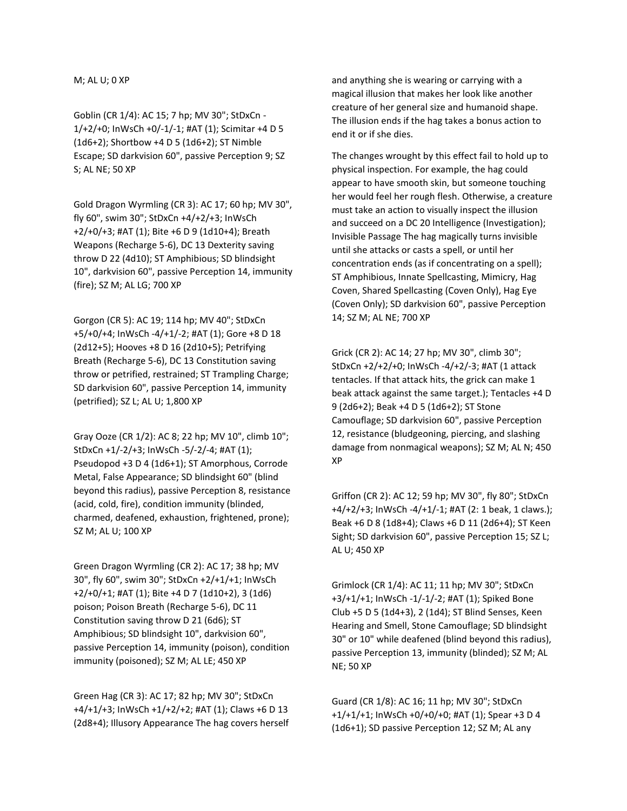Goblin (CR 1/4): AC 15; 7 hp; MV 30"; StDxCn - 1/+2/+0; InWsCh +0/-1/-1; #AT (1); Scimitar +4 D 5 (1d6+2); Shortbow +4 D 5 (1d6+2); ST Nimble Escape; SD darkvision 60", passive Perception 9; SZ S; AL NE; 50 XP

Gold Dragon Wyrmling (CR 3): AC 17; 60 hp; MV 30", fly 60", swim 30"; StDxCn +4/+2/+3; InWsCh +2/+0/+3; #AT (1); Bite +6 D 9 (1d10+4); Breath Weapons (Recharge 5-6), DC 13 Dexterity saving throw D 22 (4d10); ST Amphibious; SD blindsight 10", darkvision 60", passive Perception 14, immunity (fire); SZ M; AL LG; 700 XP

Gorgon (CR 5): AC 19; 114 hp; MV 40"; StDxCn +5/+0/+4; InWsCh -4/+1/-2; #AT (1); Gore +8 D 18 (2d12+5); Hooves +8 D 16 (2d10+5); Petrifying Breath (Recharge 5-6), DC 13 Constitution saving throw or petrified, restrained; ST Trampling Charge; SD darkvision 60", passive Perception 14, immunity (petrified); SZ L; AL U; 1,800 XP

Gray Ooze (CR 1/2): AC 8; 22 hp; MV 10", climb 10"; StDxCn +1/-2/+3; InWsCh -5/-2/-4; #AT (1); Pseudopod +3 D 4 (1d6+1); ST Amorphous, Corrode Metal, False Appearance; SD blindsight 60" (blind beyond this radius), passive Perception 8, resistance (acid, cold, fire), condition immunity (blinded, charmed, deafened, exhaustion, frightened, prone); SZ M; AL U; 100 XP

Green Dragon Wyrmling (CR 2): AC 17; 38 hp; MV 30", fly 60", swim 30"; StDxCn +2/+1/+1; InWsCh +2/+0/+1; #AT (1); Bite +4 D 7 (1d10+2), 3 (1d6) poison; Poison Breath (Recharge 5-6), DC 11 Constitution saving throw D 21 (6d6); ST Amphibious; SD blindsight 10", darkvision 60", passive Perception 14, immunity (poison), condition immunity (poisoned); SZ M; AL LE; 450 XP

Green Hag (CR 3): AC 17; 82 hp; MV 30"; StDxCn +4/+1/+3; InWsCh +1/+2/+2; #AT (1); Claws +6 D 13 (2d8+4); Illusory Appearance The hag covers herself and anything she is wearing or carrying with a magical illusion that makes her look like another creature of her general size and humanoid shape. The illusion ends if the hag takes a bonus action to end it or if she dies.

The changes wrought by this effect fail to hold up to physical inspection. For example, the hag could appear to have smooth skin, but someone touching her would feel her rough flesh. Otherwise, a creature must take an action to visually inspect the illusion and succeed on a DC 20 Intelligence (Investigation); Invisible Passage The hag magically turns invisible until she attacks or casts a spell, or until her concentration ends (as if concentrating on a spell); ST Amphibious, Innate Spellcasting, Mimicry, Hag Coven, Shared Spellcasting (Coven Only), Hag Eye (Coven Only); SD darkvision 60", passive Perception 14; SZ M; AL NE; 700 XP

Grick (CR 2): AC 14; 27 hp; MV 30", climb 30"; StDxCn +2/+2/+0; InWsCh -4/+2/-3; #AT (1 attack tentacles. If that attack hits, the grick can make 1 beak attack against the same target.); Tentacles +4 D 9 (2d6+2); Beak +4 D 5 (1d6+2); ST Stone Camouflage; SD darkvision 60", passive Perception 12, resistance (bludgeoning, piercing, and slashing damage from nonmagical weapons); SZ M; AL N; 450 XP

Griffon (CR 2): AC 12; 59 hp; MV 30", fly 80"; StDxCn +4/+2/+3; InWsCh -4/+1/-1; #AT (2: 1 beak, 1 claws.); Beak +6 D 8 (1d8+4); Claws +6 D 11 (2d6+4); ST Keen Sight; SD darkvision 60", passive Perception 15; SZ L; AL U; 450 XP

Grimlock (CR 1/4): AC 11; 11 hp; MV 30"; StDxCn +3/+1/+1; InWsCh -1/-1/-2; #AT (1); Spiked Bone Club +5 D 5 (1d4+3), 2 (1d4); ST Blind Senses, Keen Hearing and Smell, Stone Camouflage; SD blindsight 30" or 10" while deafened (blind beyond this radius), passive Perception 13, immunity (blinded); SZ M; AL NE; 50 XP

Guard (CR 1/8): AC 16; 11 hp; MV 30"; StDxCn +1/+1/+1; InWsCh +0/+0/+0; #AT (1); Spear +3 D 4 (1d6+1); SD passive Perception 12; SZ M; AL any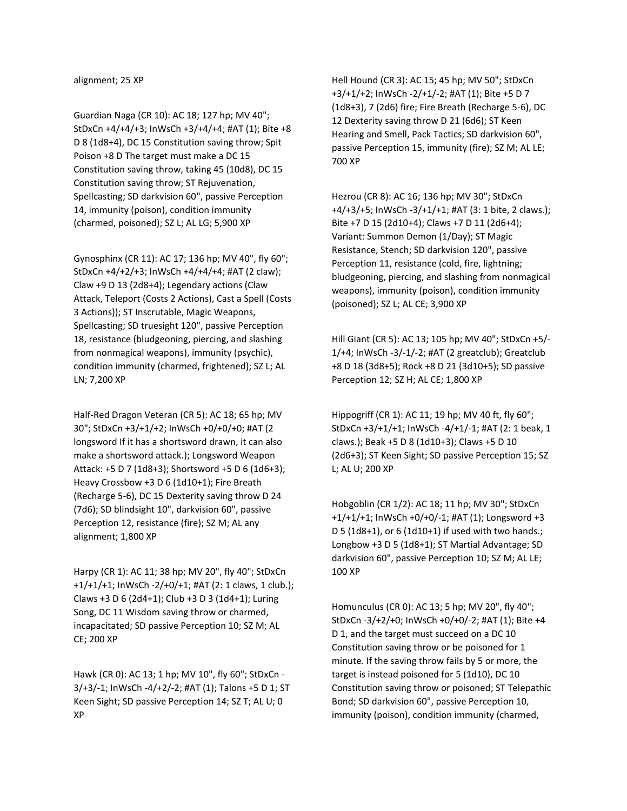Guardian Naga (CR 10): AC 18; 127 hp; MV 40"; StDxCn +4/+4/+3; InWsCh +3/+4/+4; #AT (1); Bite +8 D 8 (1d8+4), DC 15 Constitution saving throw; Spit Poison +8 D The target must make a DC 15 Constitution saving throw, taking 45 (10d8), DC 15 Constitution saving throw; ST Rejuvenation, Spellcasting; SD darkvision 60", passive Perception 14, immunity (poison), condition immunity (charmed, poisoned); SZ L; AL LG; 5,900 XP

Gynosphinx (CR 11): AC 17; 136 hp; MV 40", fly 60"; StDxCn +4/+2/+3; InWsCh +4/+4/+4; #AT (2 claw); Claw +9 D 13 (2d8+4); Legendary actions (Claw Attack, Teleport (Costs 2 Actions), Cast a Spell (Costs 3 Actions)); ST Inscrutable, Magic Weapons, Spellcasting; SD truesight 120", passive Perception 18, resistance (bludgeoning, piercing, and slashing from nonmagical weapons), immunity (psychic), condition immunity (charmed, frightened); SZ L; AL LN; 7,200 XP

Half-Red Dragon Veteran (CR 5): AC 18; 65 hp; MV 30"; StDxCn +3/+1/+2; InWsCh +0/+0/+0; #AT (2 longsword If it has a shortsword drawn, it can also make a shortsword attack.); Longsword Weapon Attack: +5 D 7 (1d8+3); Shortsword +5 D 6 (1d6+3); Heavy Crossbow +3 D 6 (1d10+1); Fire Breath (Recharge 5-6), DC 15 Dexterity saving throw D 24 (7d6); SD blindsight 10", darkvision 60", passive Perception 12, resistance (fire); SZ M; AL any alignment; 1,800 XP

Harpy (CR 1): AC 11; 38 hp; MV 20", fly 40"; StDxCn +1/+1/+1; InWsCh -2/+0/+1; #AT (2: 1 claws, 1 club.); Claws +3 D 6 (2d4+1); Club +3 D 3 (1d4+1); Luring Song, DC 11 Wisdom saving throw or charmed, incapacitated; SD passive Perception 10; SZ M; AL CE; 200 XP

Hawk (CR 0): AC 13; 1 hp; MV 10", fly 60"; StDxCn - 3/+3/-1; InWsCh -4/+2/-2; #AT (1); Talons +5 D 1; ST Keen Sight; SD passive Perception 14; SZ T; AL U; 0 XP

Hell Hound (CR 3): AC 15; 45 hp; MV 50"; StDxCn +3/+1/+2; InWsCh -2/+1/-2; #AT (1); Bite +5 D 7 (1d8+3), 7 (2d6) fire; Fire Breath (Recharge 5-6), DC 12 Dexterity saving throw D 21 (6d6); ST Keen Hearing and Smell, Pack Tactics; SD darkvision 60", passive Perception 15, immunity (fire); SZ M; AL LE; 700 XP

Hezrou (CR 8): AC 16; 136 hp; MV 30"; StDxCn +4/+3/+5; InWsCh -3/+1/+1; #AT (3: 1 bite, 2 claws.); Bite +7 D 15 (2d10+4); Claws +7 D 11 (2d6+4); Variant: Summon Demon (1/Day); ST Magic Resistance, Stench; SD darkvision 120", passive Perception 11, resistance (cold, fire, lightning; bludgeoning, piercing, and slashing from nonmagical weapons), immunity (poison), condition immunity (poisoned); SZ L; AL CE; 3,900 XP

Hill Giant (CR 5): AC 13; 105 hp; MV 40"; StDxCn +5/- 1/+4; InWsCh -3/-1/-2; #AT (2 greatclub); Greatclub +8 D 18 (3d8+5); Rock +8 D 21 (3d10+5); SD passive Perception 12; SZ H; AL CE; 1,800 XP

Hippogriff (CR 1): AC 11; 19 hp; MV 40 ft, fly 60"; StDxCn +3/+1/+1; InWsCh -4/+1/-1; #AT (2: 1 beak, 1 claws.); Beak +5 D 8 (1d10+3); Claws +5 D 10 (2d6+3); ST Keen Sight; SD passive Perception 15; SZ L; AL U; 200 XP

Hobgoblin (CR 1/2): AC 18; 11 hp; MV 30"; StDxCn +1/+1/+1; InWsCh +0/+0/-1; #AT (1); Longsword +3 D 5 (1d8+1), or 6 (1d10+1) if used with two hands.; Longbow +3 D 5 (1d8+1); ST Martial Advantage; SD darkvision 60", passive Perception 10; SZ M; AL LE; 100 XP

Homunculus (CR 0): AC 13; 5 hp; MV 20", fly 40"; StDxCn -3/+2/+0; InWsCh +0/+0/-2; #AT (1); Bite +4 D 1, and the target must succeed on a DC 10 Constitution saving throw or be poisoned for 1 minute. If the saving throw fails by 5 or more, the target is instead poisoned for 5 (1d10), DC 10 Constitution saving throw or poisoned; ST Telepathic Bond; SD darkvision 60", passive Perception 10, immunity (poison), condition immunity (charmed,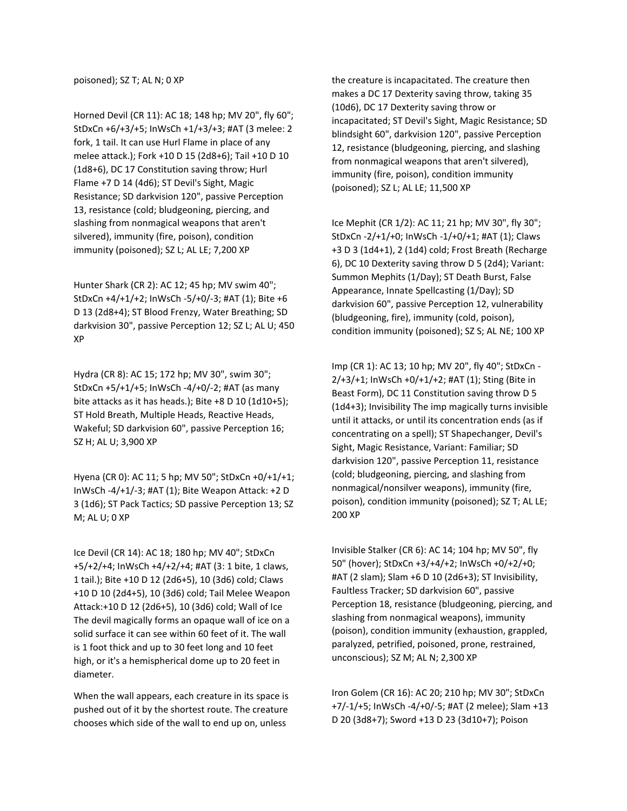Horned Devil (CR 11): AC 18; 148 hp; MV 20", fly 60"; StDxCn +6/+3/+5; InWsCh +1/+3/+3; #AT (3 melee: 2 fork, 1 tail. It can use Hurl Flame in place of any melee attack.); Fork +10 D 15 (2d8+6); Tail +10 D 10 (1d8+6), DC 17 Constitution saving throw; Hurl Flame +7 D 14 (4d6); ST Devil's Sight, Magic Resistance; SD darkvision 120", passive Perception 13, resistance (cold; bludgeoning, piercing, and slashing from nonmagical weapons that aren't silvered), immunity (fire, poison), condition immunity (poisoned); SZ L; AL LE; 7,200 XP

Hunter Shark (CR 2): AC 12; 45 hp; MV swim 40"; StDxCn +4/+1/+2; InWsCh -5/+0/-3; #AT (1); Bite +6 D 13 (2d8+4); ST Blood Frenzy, Water Breathing; SD darkvision 30", passive Perception 12; SZ L; AL U; 450 XP

Hydra (CR 8): AC 15; 172 hp; MV 30", swim 30"; StDxCn +5/+1/+5; InWsCh -4/+0/-2; #AT (as many bite attacks as it has heads.); Bite +8 D 10 (1d10+5); ST Hold Breath, Multiple Heads, Reactive Heads, Wakeful; SD darkvision 60", passive Perception 16; SZ H; AL U; 3,900 XP

Hyena (CR 0): AC 11; 5 hp; MV 50"; StDxCn +0/+1/+1; InWsCh -4/+1/-3; #AT (1); Bite Weapon Attack: +2 D 3 (1d6); ST Pack Tactics; SD passive Perception 13; SZ M; AL U; 0 XP

Ice Devil (CR 14): AC 18; 180 hp; MV 40"; StDxCn +5/+2/+4; InWsCh +4/+2/+4; #AT (3: 1 bite, 1 claws, 1 tail.); Bite +10 D 12 (2d6+5), 10 (3d6) cold; Claws +10 D 10 (2d4+5), 10 (3d6) cold; Tail Melee Weapon Attack:+10 D 12 (2d6+5), 10 (3d6) cold; Wall of Ice The devil magically forms an opaque wall of ice on a solid surface it can see within 60 feet of it. The wall is 1 foot thick and up to 30 feet long and 10 feet high, or it's a hemispherical dome up to 20 feet in diameter.

When the wall appears, each creature in its space is pushed out of it by the shortest route. The creature chooses which side of the wall to end up on, unless

the creature is incapacitated. The creature then makes a DC 17 Dexterity saving throw, taking 35 (10d6), DC 17 Dexterity saving throw or incapacitated; ST Devil's Sight, Magic Resistance; SD blindsight 60", darkvision 120", passive Perception 12, resistance (bludgeoning, piercing, and slashing from nonmagical weapons that aren't silvered), immunity (fire, poison), condition immunity (poisoned); SZ L; AL LE; 11,500 XP

Ice Mephit (CR 1/2): AC 11; 21 hp; MV 30", fly 30"; StDxCn -2/+1/+0; InWsCh -1/+0/+1; #AT (1); Claws +3 D 3 (1d4+1), 2 (1d4) cold; Frost Breath (Recharge 6), DC 10 Dexterity saving throw D 5 (2d4); Variant: Summon Mephits (1/Day); ST Death Burst, False Appearance, Innate Spellcasting (1/Day); SD darkvision 60", passive Perception 12, vulnerability (bludgeoning, fire), immunity (cold, poison), condition immunity (poisoned); SZ S; AL NE; 100 XP

Imp (CR 1): AC 13; 10 hp; MV 20", fly 40"; StDxCn - 2/+3/+1; InWsCh +0/+1/+2; #AT (1); Sting (Bite in Beast Form), DC 11 Constitution saving throw D 5 (1d4+3); Invisibility The imp magically turns invisible until it attacks, or until its concentration ends (as if concentrating on a spell); ST Shapechanger, Devil's Sight, Magic Resistance, Variant: Familiar; SD darkvision 120", passive Perception 11, resistance (cold; bludgeoning, piercing, and slashing from nonmagical/nonsilver weapons), immunity (fire, poison), condition immunity (poisoned); SZ T; AL LE; 200 XP

Invisible Stalker (CR 6): AC 14; 104 hp; MV 50", fly 50" (hover); StDxCn +3/+4/+2; InWsCh +0/+2/+0; #AT (2 slam); Slam +6 D 10 (2d6+3); ST Invisibility, Faultless Tracker; SD darkvision 60", passive Perception 18, resistance (bludgeoning, piercing, and slashing from nonmagical weapons), immunity (poison), condition immunity (exhaustion, grappled, paralyzed, petrified, poisoned, prone, restrained, unconscious); SZ M; AL N; 2,300 XP

Iron Golem (CR 16): AC 20; 210 hp; MV 30"; StDxCn +7/-1/+5; InWsCh -4/+0/-5; #AT (2 melee); Slam +13 D 20 (3d8+7); Sword +13 D 23 (3d10+7); Poison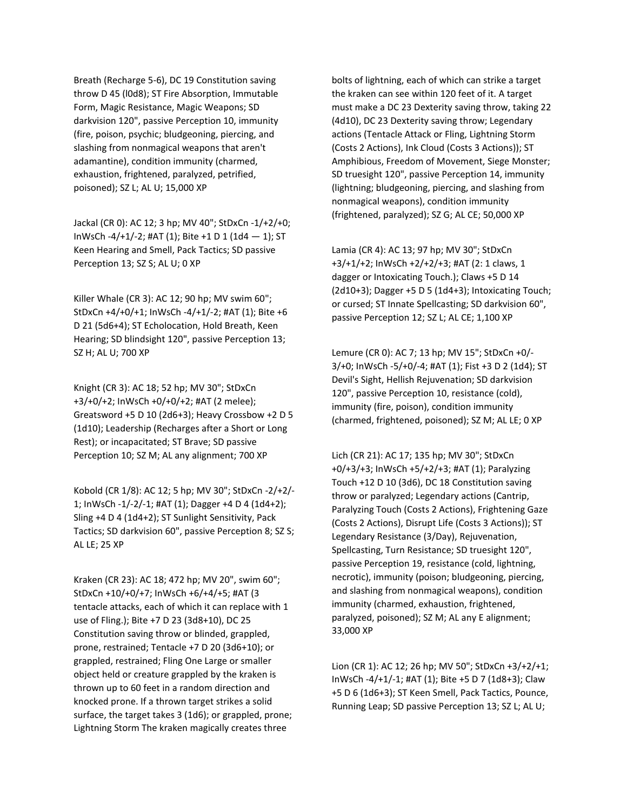Breath (Recharge 5-6), DC 19 Constitution saving throw D 45 (l0d8); ST Fire Absorption, Immutable Form, Magic Resistance, Magic Weapons; SD darkvision 120", passive Perception 10, immunity (fire, poison, psychic; bludgeoning, piercing, and slashing from nonmagical weapons that aren't adamantine), condition immunity (charmed, exhaustion, frightened, paralyzed, petrified, poisoned); SZ L; AL U; 15,000 XP

Jackal (CR 0): AC 12; 3 hp; MV 40"; StDxCn -1/+2/+0; InWsCh -4/+1/-2; #AT (1); Bite +1 D 1 (1d4  $-$  1); ST Keen Hearing and Smell, Pack Tactics; SD passive Perception 13; SZ S; AL U; 0 XP

Killer Whale (CR 3): AC 12; 90 hp; MV swim 60"; StDxCn +4/+0/+1; InWsCh -4/+1/-2; #AT (1); Bite +6 D 21 (5d6+4); ST Echolocation, Hold Breath, Keen Hearing; SD blindsight 120", passive Perception 13; SZ H; AL U; 700 XP

Knight (CR 3): AC 18; 52 hp; MV 30"; StDxCn +3/+0/+2; InWsCh +0/+0/+2; #AT (2 melee); Greatsword +5 D 10 (2d6+3); Heavy Crossbow +2 D 5 (1d10); Leadership (Recharges after a Short or Long Rest); or incapacitated; ST Brave; SD passive Perception 10; SZ M; AL any alignment; 700 XP

Kobold (CR 1/8): AC 12; 5 hp; MV 30"; StDxCn -2/+2/- 1; InWsCh -1/-2/-1; #AT (1); Dagger +4 D 4 (1d4+2); Sling +4 D 4 (1d4+2); ST Sunlight Sensitivity, Pack Tactics; SD darkvision 60", passive Perception 8; SZ S; AL LE; 25 XP

Kraken (CR 23): AC 18; 472 hp; MV 20", swim 60"; StDxCn +10/+0/+7; InWsCh +6/+4/+5; #AT (3 tentacle attacks, each of which it can replace with 1 use of Fling.); Bite +7 D 23 (3d8+10), DC 25 Constitution saving throw or blinded, grappled, prone, restrained; Tentacle +7 D 20 (3d6+10); or grappled, restrained; Fling One Large or smaller object held or creature grappled by the kraken is thrown up to 60 feet in a random direction and knocked prone. If a thrown target strikes a solid surface, the target takes 3 (1d6); or grappled, prone; Lightning Storm The kraken magically creates three

bolts of lightning, each of which can strike a target the kraken can see within 120 feet of it. A target must make a DC 23 Dexterity saving throw, taking 22 (4d10), DC 23 Dexterity saving throw; Legendary actions (Tentacle Attack or Fling, Lightning Storm (Costs 2 Actions), Ink Cloud (Costs 3 Actions)); ST Amphibious, Freedom of Movement, Siege Monster; SD truesight 120", passive Perception 14, immunity (lightning; bludgeoning, piercing, and slashing from nonmagical weapons), condition immunity (frightened, paralyzed); SZ G; AL CE; 50,000 XP

Lamia (CR 4): AC 13; 97 hp; MV 30"; StDxCn +3/+1/+2; InWsCh +2/+2/+3; #AT (2: 1 claws, 1 dagger or Intoxicating Touch.); Claws +5 D 14 (2d10+3); Dagger +5 D 5 (1d4+3); Intoxicating Touch; or cursed; ST Innate Spellcasting; SD darkvision 60", passive Perception 12; SZ L; AL CE; 1,100 XP

Lemure (CR 0): AC 7; 13 hp; MV 15"; StDxCn +0/- 3/+0; InWsCh -5/+0/-4; #AT (1); Fist +3 D 2 (1d4); ST Devil's Sight, Hellish Rejuvenation; SD darkvision 120", passive Perception 10, resistance (cold), immunity (fire, poison), condition immunity (charmed, frightened, poisoned); SZ M; AL LE; 0 XP

Lich (CR 21): AC 17; 135 hp; MV 30"; StDxCn +0/+3/+3; InWsCh +5/+2/+3; #AT (1); Paralyzing Touch +12 D 10 (3d6), DC 18 Constitution saving throw or paralyzed; Legendary actions (Cantrip, Paralyzing Touch (Costs 2 Actions), Frightening Gaze (Costs 2 Actions), Disrupt Life (Costs 3 Actions)); ST Legendary Resistance (3/Day), Rejuvenation, Spellcasting, Turn Resistance; SD truesight 120", passive Perception 19, resistance (cold, lightning, necrotic), immunity (poison; bludgeoning, piercing, and slashing from nonmagical weapons), condition immunity (charmed, exhaustion, frightened, paralyzed, poisoned); SZ M; AL any E alignment; 33,000 XP

Lion (CR 1): AC 12; 26 hp; MV 50"; StDxCn +3/+2/+1; InWsCh -4/+1/-1; #AT (1); Bite +5 D 7 (1d8+3); Claw +5 D 6 (1d6+3); ST Keen Smell, Pack Tactics, Pounce, Running Leap; SD passive Perception 13; SZ L; AL U;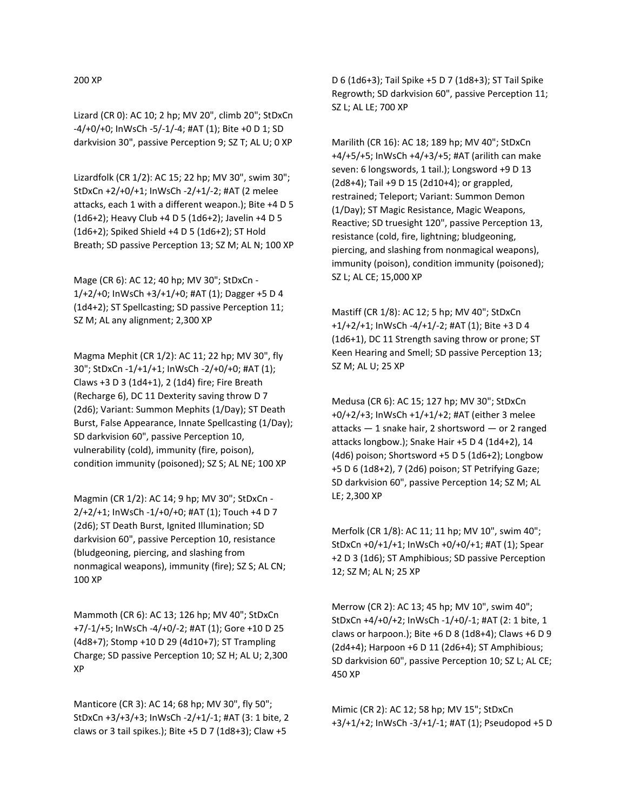## 200 XP

Lizard (CR 0): AC 10; 2 hp; MV 20", climb 20"; StDxCn -4/+0/+0; InWsCh -5/-1/-4; #AT (1); Bite +0 D 1; SD darkvision 30", passive Perception 9; SZ T; AL U; 0 XP

Lizardfolk (CR 1/2): AC 15; 22 hp; MV 30", swim 30"; StDxCn +2/+0/+1; InWsCh -2/+1/-2; #AT (2 melee attacks, each 1 with a different weapon.); Bite +4 D 5 (1d6+2); Heavy Club +4 D 5 (1d6+2); Javelin +4 D 5 (1d6+2); Spiked Shield +4 D 5 (1d6+2); ST Hold Breath; SD passive Perception 13; SZ M; AL N; 100 XP

Mage (CR 6): AC 12; 40 hp; MV 30"; StDxCn - 1/+2/+0; InWsCh +3/+1/+0; #AT (1); Dagger +5 D 4 (1d4+2); ST Spellcasting; SD passive Perception 11; SZ M; AL any alignment; 2,300 XP

Magma Mephit (CR 1/2): AC 11; 22 hp; MV 30", fly 30"; StDxCn -1/+1/+1; InWsCh -2/+0/+0; #AT (1); Claws +3 D 3 (1d4+1), 2 (1d4) fire; Fire Breath (Recharge 6), DC 11 Dexterity saving throw D 7 (2d6); Variant: Summon Mephits (1/Day); ST Death Burst, False Appearance, Innate Spellcasting (1/Day); SD darkvision 60", passive Perception 10, vulnerability (cold), immunity (fire, poison), condition immunity (poisoned); SZ S; AL NE; 100 XP

Magmin (CR 1/2): AC 14; 9 hp; MV 30"; StDxCn - 2/+2/+1; InWsCh -1/+0/+0; #AT (1); Touch +4 D 7 (2d6); ST Death Burst, Ignited Illumination; SD darkvision 60", passive Perception 10, resistance (bludgeoning, piercing, and slashing from nonmagical weapons), immunity (fire); SZ S; AL CN; 100 XP

Mammoth (CR 6): AC 13; 126 hp; MV 40"; StDxCn +7/-1/+5; InWsCh -4/+0/-2; #AT (1); Gore +10 D 25 (4d8+7); Stomp +10 D 29 (4d10+7); ST Trampling Charge; SD passive Perception 10; SZ H; AL U; 2,300 XP

Manticore (CR 3): AC 14; 68 hp; MV 30", fly 50"; StDxCn +3/+3/+3; InWsCh -2/+1/-1; #AT (3: 1 bite, 2 claws or 3 tail spikes.); Bite +5 D 7 (1d8+3); Claw +5

D 6 (1d6+3); Tail Spike +5 D 7 (1d8+3); ST Tail Spike Regrowth; SD darkvision 60", passive Perception 11; SZ L; AL LE; 700 XP

Marilith (CR 16): AC 18; 189 hp; MV 40"; StDxCn +4/+5/+5; InWsCh +4/+3/+5; #AT (arilith can make seven: 6 longswords, 1 tail.); Longsword +9 D 13 (2d8+4); Tail +9 D 15 (2d10+4); or grappled, restrained; Teleport; Variant: Summon Demon (1/Day); ST Magic Resistance, Magic Weapons, Reactive; SD truesight 120", passive Perception 13, resistance (cold, fire, lightning; bludgeoning, piercing, and slashing from nonmagical weapons), immunity (poison), condition immunity (poisoned); SZ L; AL CE; 15,000 XP

Mastiff (CR 1/8): AC 12; 5 hp; MV 40"; StDxCn +1/+2/+1; InWsCh -4/+1/-2; #AT (1); Bite +3 D 4 (1d6+1), DC 11 Strength saving throw or prone; ST Keen Hearing and Smell; SD passive Perception 13; SZ M; AL U; 25 XP

Medusa (CR 6): AC 15; 127 hp; MV 30"; StDxCn +0/+2/+3; InWsCh +1/+1/+2; #AT (either 3 melee attacks — 1 snake hair, 2 shortsword — or 2 ranged attacks longbow.); Snake Hair +5 D 4 (1d4+2), 14 (4d6) poison; Shortsword +5 D 5 (1d6+2); Longbow +5 D 6 (1d8+2), 7 (2d6) poison; ST Petrifying Gaze; SD darkvision 60", passive Perception 14; SZ M; AL LE; 2,300 XP

Merfolk (CR 1/8): AC 11; 11 hp; MV 10", swim 40"; StDxCn +0/+1/+1; InWsCh +0/+0/+1; #AT (1); Spear +2 D 3 (1d6); ST Amphibious; SD passive Perception 12; SZ M; AL N; 25 XP

Merrow (CR 2): AC 13; 45 hp; MV 10", swim 40"; StDxCn +4/+0/+2; InWsCh -1/+0/-1; #AT (2: 1 bite, 1 claws or harpoon.); Bite +6 D 8 (1d8+4); Claws +6 D 9 (2d4+4); Harpoon +6 D 11 (2d6+4); ST Amphibious; SD darkvision 60", passive Perception 10; SZ L; AL CE; 450 XP

Mimic (CR 2): AC 12; 58 hp; MV 15"; StDxCn +3/+1/+2; InWsCh -3/+1/-1; #AT (1); Pseudopod +5 D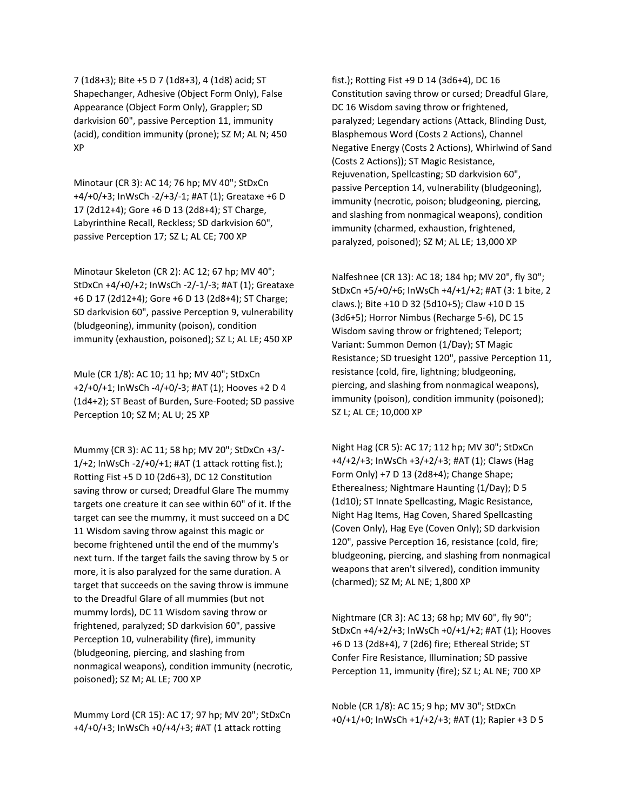7 (1d8+3); Bite +5 D 7 (1d8+3), 4 (1d8) acid; ST Shapechanger, Adhesive (Object Form Only), False Appearance (Object Form Only), Grappler; SD darkvision 60", passive Perception 11, immunity (acid), condition immunity (prone); SZ M; AL N; 450 XP

Minotaur (CR 3): AC 14; 76 hp; MV 40"; StDxCn +4/+0/+3; InWsCh -2/+3/-1; #AT (1); Greataxe +6 D 17 (2d12+4); Gore +6 D 13 (2d8+4); ST Charge, Labyrinthine Recall, Reckless; SD darkvision 60", passive Perception 17; SZ L; AL CE; 700 XP

Minotaur Skeleton (CR 2): AC 12; 67 hp; MV 40"; StDxCn +4/+0/+2; InWsCh -2/-1/-3; #AT (1); Greataxe +6 D 17 (2d12+4); Gore +6 D 13 (2d8+4); ST Charge; SD darkvision 60", passive Perception 9, vulnerability (bludgeoning), immunity (poison), condition immunity (exhaustion, poisoned); SZ L; AL LE; 450 XP

Mule (CR 1/8): AC 10; 11 hp; MV 40"; StDxCn +2/+0/+1; InWsCh -4/+0/-3; #AT (1); Hooves +2 D 4 (1d4+2); ST Beast of Burden, Sure-Footed; SD passive Perception 10; SZ M; AL U; 25 XP

Mummy (CR 3): AC 11; 58 hp; MV 20"; StDxCn +3/- 1/+2; InWsCh -2/+0/+1; #AT (1 attack rotting fist.); Rotting Fist +5 D 10 (2d6+3), DC 12 Constitution saving throw or cursed; Dreadful Glare The mummy targets one creature it can see within 60" of it. If the target can see the mummy, it must succeed on a DC 11 Wisdom saving throw against this magic or become frightened until the end of the mummy's next turn. If the target fails the saving throw by 5 or more, it is also paralyzed for the same duration. A target that succeeds on the saving throw is immune to the Dreadful Glare of all mummies (but not mummy lords), DC 11 Wisdom saving throw or frightened, paralyzed; SD darkvision 60", passive Perception 10, vulnerability (fire), immunity (bludgeoning, piercing, and slashing from nonmagical weapons), condition immunity (necrotic, poisoned); SZ M; AL LE; 700 XP

Mummy Lord (CR 15): AC 17; 97 hp; MV 20"; StDxCn +4/+0/+3; InWsCh +0/+4/+3; #AT (1 attack rotting

fist.); Rotting Fist +9 D 14 (3d6+4), DC 16 Constitution saving throw or cursed; Dreadful Glare, DC 16 Wisdom saving throw or frightened, paralyzed; Legendary actions (Attack, Blinding Dust, Blasphemous Word (Costs 2 Actions), Channel Negative Energy (Costs 2 Actions), Whirlwind of Sand (Costs 2 Actions)); ST Magic Resistance, Rejuvenation, Spellcasting; SD darkvision 60", passive Perception 14, vulnerability (bludgeoning), immunity (necrotic, poison; bludgeoning, piercing, and slashing from nonmagical weapons), condition immunity (charmed, exhaustion, frightened, paralyzed, poisoned); SZ M; AL LE; 13,000 XP

Nalfeshnee (CR 13): AC 18; 184 hp; MV 20", fly 30"; StDxCn +5/+0/+6; InWsCh +4/+1/+2; #AT (3: 1 bite, 2 claws.); Bite +10 D 32 (5d10+5); Claw +10 D 15 (3d6+5); Horror Nimbus (Recharge 5-6), DC 15 Wisdom saving throw or frightened; Teleport; Variant: Summon Demon (1/Day); ST Magic Resistance; SD truesight 120", passive Perception 11, resistance (cold, fire, lightning; bludgeoning, piercing, and slashing from nonmagical weapons), immunity (poison), condition immunity (poisoned); SZ L; AL CE; 10,000 XP

Night Hag (CR 5): AC 17; 112 hp; MV 30"; StDxCn +4/+2/+3; InWsCh +3/+2/+3; #AT (1); Claws (Hag Form Only) +7 D 13 (2d8+4); Change Shape; Etherealness; Nightmare Haunting (1/Day); D 5 (1d10); ST Innate Spellcasting, Magic Resistance, Night Hag Items, Hag Coven, Shared Spellcasting (Coven Only), Hag Eye (Coven Only); SD darkvision 120", passive Perception 16, resistance (cold, fire; bludgeoning, piercing, and slashing from nonmagical weapons that aren't silvered), condition immunity (charmed); SZ M; AL NE; 1,800 XP

Nightmare (CR 3): AC 13; 68 hp; MV 60", fly 90"; StDxCn +4/+2/+3; InWsCh +0/+1/+2; #AT (1); Hooves +6 D 13 (2d8+4), 7 (2d6) fire; Ethereal Stride; ST Confer Fire Resistance, Illumination; SD passive Perception 11, immunity (fire); SZ L; AL NE; 700 XP

Noble (CR 1/8): AC 15; 9 hp; MV 30"; StDxCn +0/+1/+0; InWsCh +1/+2/+3; #AT (1); Rapier +3 D 5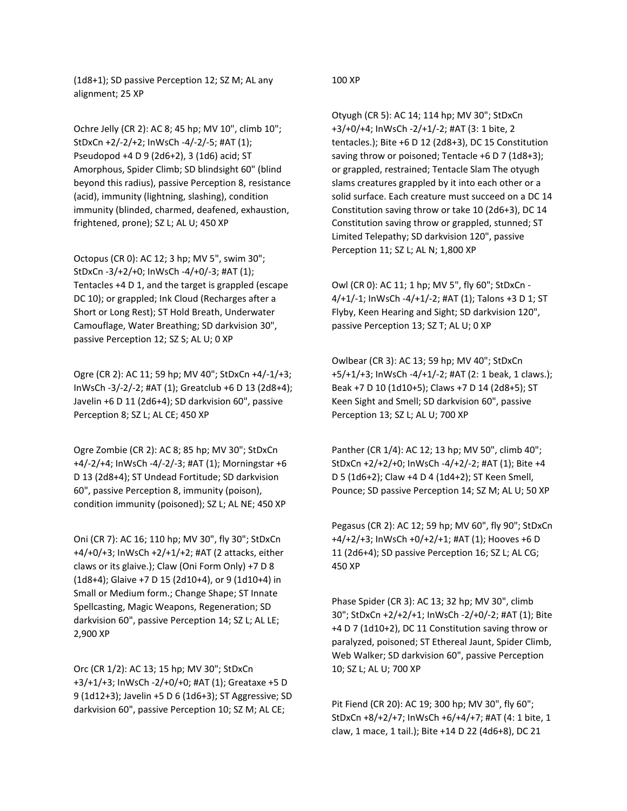(1d8+1); SD passive Perception 12; SZ M; AL any alignment; 25 XP

Ochre Jelly (CR 2): AC 8; 45 hp; MV 10", climb 10"; StDxCn +2/-2/+2; InWsCh -4/-2/-5; #AT (1); Pseudopod +4 D 9 (2d6+2), 3 (1d6) acid; ST Amorphous, Spider Climb; SD blindsight 60" (blind beyond this radius), passive Perception 8, resistance (acid), immunity (lightning, slashing), condition immunity (blinded, charmed, deafened, exhaustion, frightened, prone); SZ L; AL U; 450 XP

Octopus (CR 0): AC 12; 3 hp; MV 5", swim 30"; StDxCn -3/+2/+0; InWsCh -4/+0/-3; #AT (1); Tentacles +4 D 1, and the target is grappled (escape DC 10); or grappled; Ink Cloud (Recharges after a Short or Long Rest); ST Hold Breath, Underwater Camouflage, Water Breathing; SD darkvision 30", passive Perception 12; SZ S; AL U; 0 XP

Ogre (CR 2): AC 11; 59 hp; MV 40"; StDxCn +4/-1/+3; InWsCh -3/-2/-2; #AT (1); Greatclub +6 D 13 (2d8+4); Javelin +6 D 11 (2d6+4); SD darkvision 60", passive Perception 8; SZ L; AL CE; 450 XP

Ogre Zombie (CR 2): AC 8; 85 hp; MV 30"; StDxCn +4/-2/+4; InWsCh -4/-2/-3; #AT (1); Morningstar +6 D 13 (2d8+4); ST Undead Fortitude; SD darkvision 60", passive Perception 8, immunity (poison), condition immunity (poisoned); SZ L; AL NE; 450 XP

Oni (CR 7): AC 16; 110 hp; MV 30", fly 30"; StDxCn +4/+0/+3; InWsCh +2/+1/+2; #AT (2 attacks, either claws or its glaive.); Claw (Oni Form Only) +7 D 8 (1d8+4); Glaive +7 D 15 (2d10+4), or 9 (1d10+4) in Small or Medium form.; Change Shape; ST Innate Spellcasting, Magic Weapons, Regeneration; SD darkvision 60", passive Perception 14; SZ L; AL LE; 2,900 XP

Orc (CR 1/2): AC 13; 15 hp; MV 30"; StDxCn +3/+1/+3; InWsCh -2/+0/+0; #AT (1); Greataxe +5 D 9 (1d12+3); Javelin +5 D 6 (1d6+3); ST Aggressive; SD darkvision 60", passive Perception 10; SZ M; AL CE;

100 XP

Otyugh (CR 5): AC 14; 114 hp; MV 30"; StDxCn +3/+0/+4; InWsCh -2/+1/-2; #AT (3: 1 bite, 2 tentacles.); Bite +6 D 12 (2d8+3), DC 15 Constitution saving throw or poisoned; Tentacle +6 D 7 (1d8+3); or grappled, restrained; Tentacle Slam The otyugh slams creatures grappled by it into each other or a solid surface. Each creature must succeed on a DC 14 Constitution saving throw or take 10 (2d6+3), DC 14 Constitution saving throw or grappled, stunned; ST Limited Telepathy; SD darkvision 120", passive Perception 11; SZ L; AL N; 1,800 XP

Owl (CR 0): AC 11; 1 hp; MV 5", fly 60"; StDxCn - 4/+1/-1; InWsCh -4/+1/-2; #AT (1); Talons +3 D 1; ST Flyby, Keen Hearing and Sight; SD darkvision 120", passive Perception 13; SZ T; AL U; 0 XP

Owlbear (CR 3): AC 13; 59 hp; MV 40"; StDxCn +5/+1/+3; InWsCh -4/+1/-2; #AT (2: 1 beak, 1 claws.); Beak +7 D 10 (1d10+5); Claws +7 D 14 (2d8+5); ST Keen Sight and Smell; SD darkvision 60", passive Perception 13; SZ L; AL U; 700 XP

Panther (CR 1/4): AC 12; 13 hp; MV 50", climb 40"; StDxCn +2/+2/+0; InWsCh -4/+2/-2; #AT (1); Bite +4 D 5 (1d6+2); Claw +4 D 4 (1d4+2); ST Keen Smell, Pounce; SD passive Perception 14; SZ M; AL U; 50 XP

Pegasus (CR 2): AC 12; 59 hp; MV 60", fly 90"; StDxCn +4/+2/+3; InWsCh +0/+2/+1; #AT (1); Hooves +6 D 11 (2d6+4); SD passive Perception 16; SZ L; AL CG; 450 XP

Phase Spider (CR 3): AC 13; 32 hp; MV 30", climb 30"; StDxCn +2/+2/+1; InWsCh -2/+0/-2; #AT (1); Bite +4 D 7 (1d10+2), DC 11 Constitution saving throw or paralyzed, poisoned; ST Ethereal Jaunt, Spider Climb, Web Walker; SD darkvision 60", passive Perception 10; SZ L; AL U; 700 XP

Pit Fiend (CR 20): AC 19; 300 hp; MV 30", fly 60"; StDxCn +8/+2/+7; InWsCh +6/+4/+7; #AT (4: 1 bite, 1 claw, 1 mace, 1 tail.); Bite +14 D 22 (4d6+8), DC 21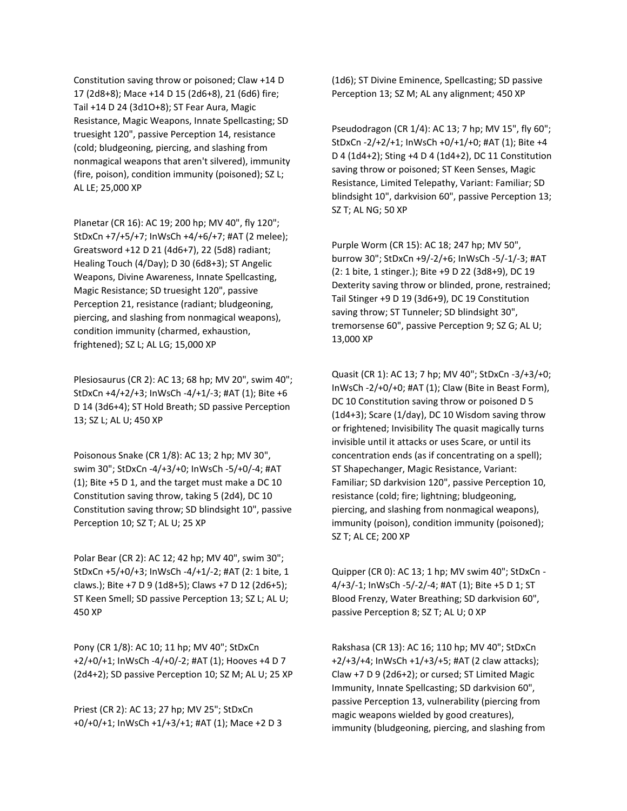Constitution saving throw or poisoned; Claw +14 D 17 (2d8+8); Mace +14 D 15 (2d6+8), 21 (6d6) fire; Tail +14 D 24 (3d1O+8); ST Fear Aura, Magic Resistance, Magic Weapons, Innate Spellcasting; SD truesight 120", passive Perception 14, resistance (cold; bludgeoning, piercing, and slashing from nonmagical weapons that aren't silvered), immunity (fire, poison), condition immunity (poisoned); SZ L; AL LE; 25,000 XP

Planetar (CR 16): AC 19; 200 hp; MV 40", fly 120"; StDxCn +7/+5/+7; InWsCh +4/+6/+7; #AT (2 melee); Greatsword +12 D 21 (4d6+7), 22 (5d8) radiant; Healing Touch (4/Day); D 30 (6d8+3); ST Angelic Weapons, Divine Awareness, Innate Spellcasting, Magic Resistance; SD truesight 120", passive Perception 21, resistance (radiant; bludgeoning, piercing, and slashing from nonmagical weapons), condition immunity (charmed, exhaustion, frightened); SZ L; AL LG; 15,000 XP

Plesiosaurus (CR 2): AC 13; 68 hp; MV 20", swim 40"; StDxCn +4/+2/+3; InWsCh -4/+1/-3; #AT (1); Bite +6 D 14 (3d6+4); ST Hold Breath; SD passive Perception 13; SZ L; AL U; 450 XP

Poisonous Snake (CR 1/8): AC 13; 2 hp; MV 30", swim 30"; StDxCn -4/+3/+0; InWsCh -5/+0/-4; #AT (1); Bite +5 D 1, and the target must make a DC 10 Constitution saving throw, taking 5 (2d4), DC 10 Constitution saving throw; SD blindsight 10", passive Perception 10; SZ T; AL U; 25 XP

Polar Bear (CR 2): AC 12; 42 hp; MV 40", swim 30"; StDxCn +5/+0/+3; InWsCh -4/+1/-2; #AT (2: 1 bite, 1 claws.); Bite +7 D 9 (1d8+5); Claws +7 D 12 (2d6+5); ST Keen Smell; SD passive Perception 13; SZ L; AL U; 450 XP

Pony (CR 1/8): AC 10; 11 hp; MV 40"; StDxCn +2/+0/+1; InWsCh -4/+0/-2; #AT (1); Hooves +4 D 7 (2d4+2); SD passive Perception 10; SZ M; AL U; 25 XP

Priest (CR 2): AC 13; 27 hp; MV 25"; StDxCn +0/+0/+1; InWsCh +1/+3/+1; #AT (1); Mace +2 D 3 (1d6); ST Divine Eminence, Spellcasting; SD passive Perception 13; SZ M; AL any alignment; 450 XP

Pseudodragon (CR 1/4): AC 13; 7 hp; MV 15", fly 60"; StDxCn -2/+2/+1; InWsCh +0/+1/+0; #AT (1); Bite +4 D 4 (1d4+2); Sting +4 D 4 (1d4+2), DC 11 Constitution saving throw or poisoned; ST Keen Senses, Magic Resistance, Limited Telepathy, Variant: Familiar; SD blindsight 10", darkvision 60", passive Perception 13; SZ T; AL NG; 50 XP

Purple Worm (CR 15): AC 18; 247 hp; MV 50", burrow 30"; StDxCn +9/-2/+6; InWsCh -5/-1/-3; #AT (2: 1 bite, 1 stinger.); Bite +9 D 22 (3d8+9), DC 19 Dexterity saving throw or blinded, prone, restrained; Tail Stinger +9 D 19 (3d6+9), DC 19 Constitution saving throw; ST Tunneler; SD blindsight 30", tremorsense 60", passive Perception 9; SZ G; AL U; 13,000 XP

Quasit (CR 1): AC 13; 7 hp; MV 40"; StDxCn -3/+3/+0; InWsCh -2/+0/+0; #AT (1); Claw (Bite in Beast Form), DC 10 Constitution saving throw or poisoned D 5 (1d4+3); Scare (1/day), DC 10 Wisdom saving throw or frightened; Invisibility The quasit magically turns invisible until it attacks or uses Scare, or until its concentration ends (as if concentrating on a spell); ST Shapechanger, Magic Resistance, Variant: Familiar; SD darkvision 120", passive Perception 10, resistance (cold; fire; lightning; bludgeoning, piercing, and slashing from nonmagical weapons), immunity (poison), condition immunity (poisoned); SZ T; AL CE; 200 XP

Quipper (CR 0): AC 13; 1 hp; MV swim 40"; StDxCn - 4/+3/-1; InWsCh -5/-2/-4; #AT (1); Bite +5 D 1; ST Blood Frenzy, Water Breathing; SD darkvision 60", passive Perception 8; SZ T; AL U; 0 XP

Rakshasa (CR 13): AC 16; 110 hp; MV 40"; StDxCn +2/+3/+4; InWsCh +1/+3/+5; #AT (2 claw attacks); Claw +7 D 9 (2d6+2); or cursed; ST Limited Magic Immunity, Innate Spellcasting; SD darkvision 60", passive Perception 13, vulnerability (piercing from magic weapons wielded by good creatures), immunity (bludgeoning, piercing, and slashing from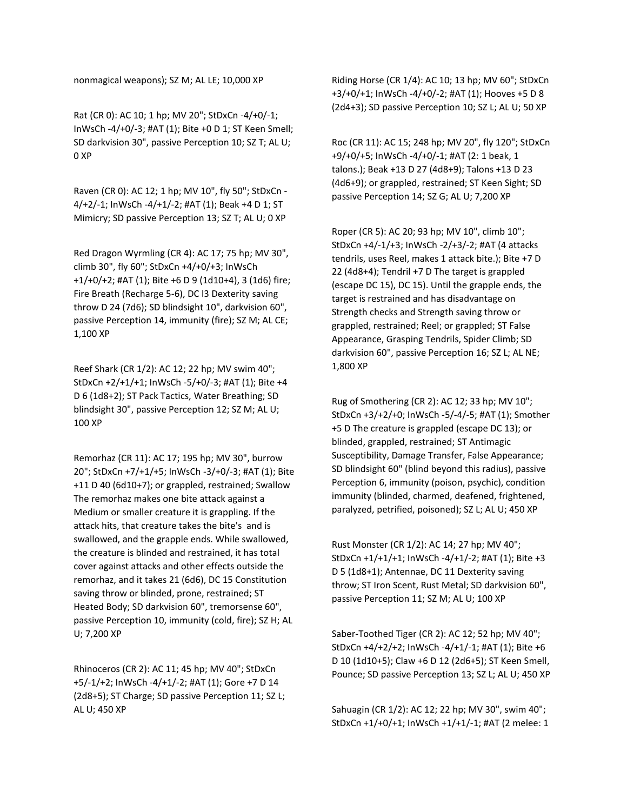nonmagical weapons); SZ M; AL LE; 10,000 XP

Rat (CR 0): AC 10; 1 hp; MV 20"; StDxCn -4/+0/-1; InWsCh -4/+0/-3; #AT (1); Bite +0 D 1; ST Keen Smell; SD darkvision 30", passive Perception 10; SZ T; AL U; 0 XP

Raven (CR 0): AC 12; 1 hp; MV 10", fly 50"; StDxCn - 4/+2/-1; InWsCh -4/+1/-2; #AT (1); Beak +4 D 1; ST Mimicry; SD passive Perception 13; SZ T; AL U; 0 XP

Red Dragon Wyrmling (CR 4): AC 17; 75 hp; MV 30", climb 30", fly 60"; StDxCn +4/+0/+3; InWsCh +1/+0/+2; #AT (1); Bite +6 D 9 (1d10+4), 3 (1d6) fire; Fire Breath (Recharge 5-6), DC l3 Dexterity saving throw D 24 (7d6); SD blindsight 10", darkvision 60", passive Perception 14, immunity (fire); SZ M; AL CE; 1,100 XP

Reef Shark (CR 1/2): AC 12; 22 hp; MV swim 40"; StDxCn +2/+1/+1; InWsCh -5/+0/-3; #AT (1); Bite +4 D 6 (1d8+2); ST Pack Tactics, Water Breathing; SD blindsight 30", passive Perception 12; SZ M; AL U; 100 XP

Remorhaz (CR 11): AC 17; 195 hp; MV 30", burrow 20"; StDxCn +7/+1/+5; InWsCh -3/+0/-3; #AT (1); Bite +11 D 40 (6d10+7); or grappled, restrained; Swallow The remorhaz makes one bite attack against a Medium or smaller creature it is grappling. If the attack hits, that creature takes the bite's and is swallowed, and the grapple ends. While swallowed, the creature is blinded and restrained, it has total cover against attacks and other effects outside the remorhaz, and it takes 21 (6d6), DC 15 Constitution saving throw or blinded, prone, restrained; ST Heated Body; SD darkvision 60", tremorsense 60", passive Perception 10, immunity (cold, fire); SZ H; AL U; 7,200 XP

Rhinoceros (CR 2): AC 11; 45 hp; MV 40"; StDxCn +5/-1/+2; InWsCh -4/+1/-2; #AT (1); Gore +7 D 14 (2d8+5); ST Charge; SD passive Perception 11; SZ L; AL U; 450 XP

Riding Horse (CR 1/4): AC 10; 13 hp; MV 60"; StDxCn +3/+0/+1; InWsCh -4/+0/-2; #AT (1); Hooves +5 D 8 (2d4+3); SD passive Perception 10; SZ L; AL U; 50 XP

Roc (CR 11): AC 15; 248 hp; MV 20", fly 120"; StDxCn +9/+0/+5; InWsCh -4/+0/-1; #AT (2: 1 beak, 1 talons.); Beak +13 D 27 (4d8+9); Talons +13 D 23 (4d6+9); or grappled, restrained; ST Keen Sight; SD passive Perception 14; SZ G; AL U; 7,200 XP

Roper (CR 5): AC 20; 93 hp; MV 10", climb 10"; StDxCn +4/-1/+3; InWsCh -2/+3/-2; #AT (4 attacks tendrils, uses Reel, makes 1 attack bite.); Bite +7 D 22 (4d8+4); Tendril +7 D The target is grappled (escape DC 15), DC 15). Until the grapple ends, the target is restrained and has disadvantage on Strength checks and Strength saving throw or grappled, restrained; Reel; or grappled; ST False Appearance, Grasping Tendrils, Spider Climb; SD darkvision 60", passive Perception 16; SZ L; AL NE; 1,800 XP

Rug of Smothering (CR 2): AC 12; 33 hp; MV 10"; StDxCn +3/+2/+0; InWsCh -5/-4/-5; #AT (1); Smother +5 D The creature is grappled (escape DC 13); or blinded, grappled, restrained; ST Antimagic Susceptibility, Damage Transfer, False Appearance; SD blindsight 60" (blind beyond this radius), passive Perception 6, immunity (poison, psychic), condition immunity (blinded, charmed, deafened, frightened, paralyzed, petrified, poisoned); SZ L; AL U; 450 XP

Rust Monster (CR 1/2): AC 14; 27 hp; MV 40"; StDxCn +1/+1/+1; InWsCh -4/+1/-2; #AT (1); Bite +3 D 5 (1d8+1); Antennae, DC 11 Dexterity saving throw; ST Iron Scent, Rust Metal; SD darkvision 60", passive Perception 11; SZ M; AL U; 100 XP

Saber-Toothed Tiger (CR 2): AC 12; 52 hp; MV 40"; StDxCn +4/+2/+2; InWsCh -4/+1/-1; #AT (1); Bite +6 D 10 (1d10+5); Claw +6 D 12 (2d6+5); ST Keen Smell, Pounce; SD passive Perception 13; SZ L; AL U; 450 XP

Sahuagin (CR 1/2): AC 12; 22 hp; MV 30", swim 40"; StDxCn +1/+0/+1; InWsCh +1/+1/-1; #AT (2 melee: 1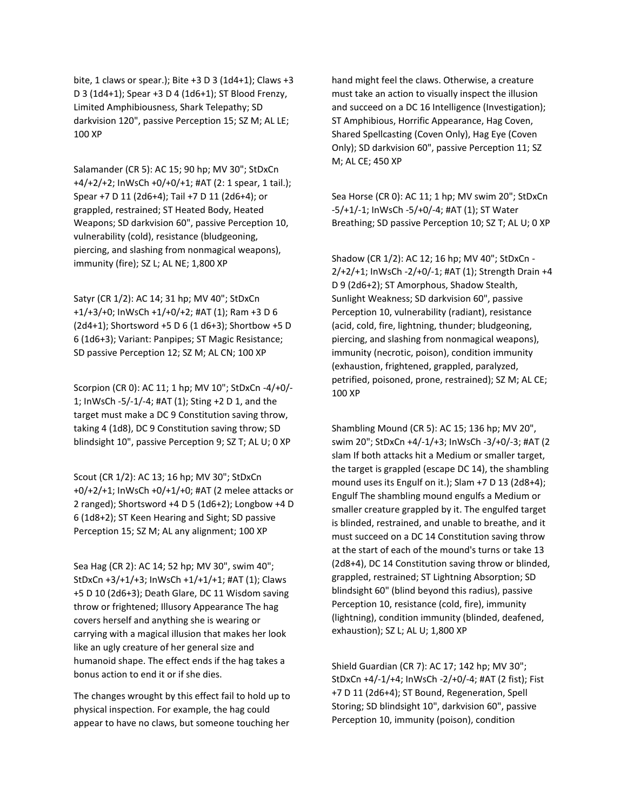bite, 1 claws or spear.); Bite +3 D 3 (1d4+1); Claws +3 D 3 (1d4+1); Spear +3 D 4 (1d6+1); ST Blood Frenzy, Limited Amphibiousness, Shark Telepathy; SD darkvision 120", passive Perception 15; SZ M; AL LE; 100 XP

Salamander (CR 5): AC 15; 90 hp; MV 30"; StDxCn +4/+2/+2; InWsCh +0/+0/+1; #AT (2: 1 spear, 1 tail.); Spear +7 D 11 (2d6+4); Tail +7 D 11 (2d6+4); or grappled, restrained; ST Heated Body, Heated Weapons; SD darkvision 60", passive Perception 10, vulnerability (cold), resistance (bludgeoning, piercing, and slashing from nonmagical weapons), immunity (fire); SZ L; AL NE; 1,800 XP

Satyr (CR 1/2): AC 14; 31 hp; MV 40"; StDxCn +1/+3/+0; InWsCh +1/+0/+2; #AT (1); Ram +3 D 6 (2d4+1); Shortsword +5 D 6 (1 d6+3); Shortbow +5 D 6 (1d6+3); Variant: Panpipes; ST Magic Resistance; SD passive Perception 12; SZ M; AL CN; 100 XP

Scorpion (CR 0): AC 11; 1 hp; MV 10"; StDxCn -4/+0/- 1; InWsCh -5/-1/-4; #AT (1); Sting +2 D 1, and the target must make a DC 9 Constitution saving throw, taking 4 (1d8), DC 9 Constitution saving throw; SD blindsight 10", passive Perception 9; SZ T; AL U; 0 XP

Scout (CR 1/2): AC 13; 16 hp; MV 30"; StDxCn +0/+2/+1; InWsCh +0/+1/+0; #AT (2 melee attacks or 2 ranged); Shortsword +4 D 5 (1d6+2); Longbow +4 D 6 (1d8+2); ST Keen Hearing and Sight; SD passive Perception 15; SZ M; AL any alignment; 100 XP

Sea Hag (CR 2): AC 14; 52 hp; MV 30", swim 40"; StDxCn +3/+1/+3; InWsCh +1/+1/+1; #AT (1); Claws +5 D 10 (2d6+3); Death Glare, DC 11 Wisdom saving throw or frightened; Illusory Appearance The hag covers herself and anything she is wearing or carrying with a magical illusion that makes her look like an ugly creature of her general size and humanoid shape. The effect ends if the hag takes a bonus action to end it or if she dies.

The changes wrought by this effect fail to hold up to physical inspection. For example, the hag could appear to have no claws, but someone touching her hand might feel the claws. Otherwise, a creature must take an action to visually inspect the illusion and succeed on a DC 16 Intelligence (Investigation); ST Amphibious, Horrific Appearance, Hag Coven, Shared Spellcasting (Coven Only), Hag Eye (Coven Only); SD darkvision 60", passive Perception 11; SZ M; AL CE; 450 XP

Sea Horse (CR 0): AC 11; 1 hp; MV swim 20"; StDxCn -5/+1/-1; InWsCh -5/+0/-4; #AT (1); ST Water Breathing; SD passive Perception 10; SZ T; AL U; 0 XP

Shadow (CR 1/2): AC 12; 16 hp; MV 40"; StDxCn - 2/+2/+1; InWsCh -2/+0/-1; #AT (1); Strength Drain +4 D 9 (2d6+2); ST Amorphous, Shadow Stealth, Sunlight Weakness; SD darkvision 60", passive Perception 10, vulnerability (radiant), resistance (acid, cold, fire, lightning, thunder; bludgeoning, piercing, and slashing from nonmagical weapons), immunity (necrotic, poison), condition immunity (exhaustion, frightened, grappled, paralyzed, petrified, poisoned, prone, restrained); SZ M; AL CE; 100 XP

Shambling Mound (CR 5): AC 15; 136 hp; MV 20", swim 20"; StDxCn +4/-1/+3; InWsCh -3/+0/-3; #AT (2 slam If both attacks hit a Medium or smaller target, the target is grappled (escape DC 14), the shambling mound uses its Engulf on it.); Slam +7 D 13 (2d8+4); Engulf The shambling mound engulfs a Medium or smaller creature grappled by it. The engulfed target is blinded, restrained, and unable to breathe, and it must succeed on a DC 14 Constitution saving throw at the start of each of the mound's turns or take 13 (2d8+4), DC 14 Constitution saving throw or blinded, grappled, restrained; ST Lightning Absorption; SD blindsight 60" (blind beyond this radius), passive Perception 10, resistance (cold, fire), immunity (lightning), condition immunity (blinded, deafened, exhaustion); SZ L; AL U; 1,800 XP

Shield Guardian (CR 7): AC 17; 142 hp; MV 30"; StDxCn +4/-1/+4; InWsCh -2/+0/-4; #AT (2 fist); Fist +7 D 11 (2d6+4); ST Bound, Regeneration, Spell Storing; SD blindsight 10", darkvision 60", passive Perception 10, immunity (poison), condition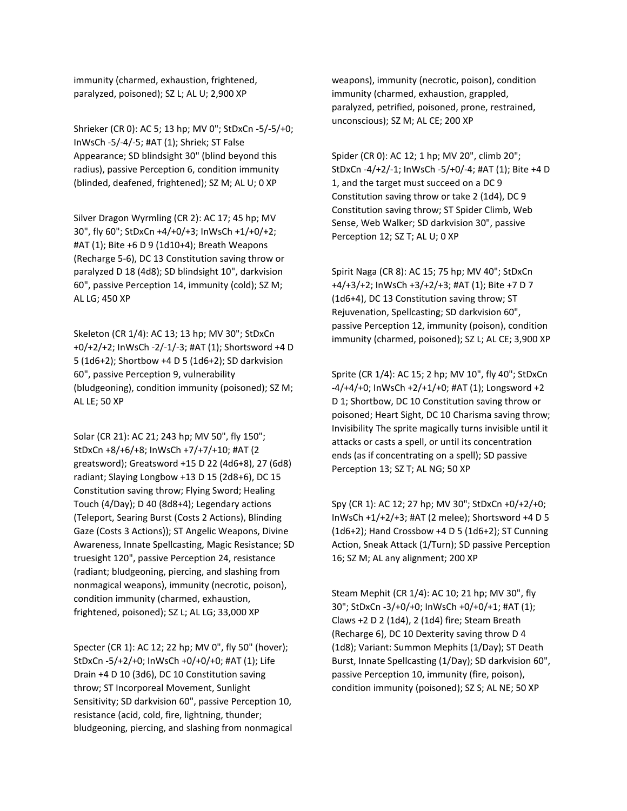immunity (charmed, exhaustion, frightened, paralyzed, poisoned); SZ L; AL U; 2,900 XP

Shrieker (CR 0): AC 5; 13 hp; MV 0"; StDxCn -5/-5/+0; InWsCh -5/-4/-5; #AT (1); Shriek; ST False Appearance; SD blindsight 30" (blind beyond this radius), passive Perception 6, condition immunity (blinded, deafened, frightened); SZ M; AL U; 0 XP

Silver Dragon Wyrmling (CR 2): AC 17; 45 hp; MV 30", fly 60"; StDxCn +4/+0/+3; InWsCh +1/+0/+2; #AT (1); Bite +6 D 9 (1d10+4); Breath Weapons (Recharge 5-6), DC 13 Constitution saving throw or paralyzed D 18 (4d8); SD blindsight 10", darkvision 60", passive Perception 14, immunity (cold); SZ M; AL LG; 450 XP

Skeleton (CR 1/4): AC 13; 13 hp; MV 30"; StDxCn +0/+2/+2; InWsCh -2/-1/-3; #AT (1); Shortsword +4 D 5 (1d6+2); Shortbow +4 D 5 (1d6+2); SD darkvision 60", passive Perception 9, vulnerability (bludgeoning), condition immunity (poisoned); SZ M; AL LE; 50 XP

Solar (CR 21): AC 21; 243 hp; MV 50", fly 150"; StDxCn +8/+6/+8; InWsCh +7/+7/+10; #AT (2 greatsword); Greatsword +15 D 22 (4d6+8), 27 (6d8) radiant; Slaying Longbow +13 D 15 (2d8+6), DC 15 Constitution saving throw; Flying Sword; Healing Touch (4/Day); D 40 (8d8+4); Legendary actions (Teleport, Searing Burst (Costs 2 Actions), Blinding Gaze (Costs 3 Actions)); ST Angelic Weapons, Divine Awareness, Innate Spellcasting, Magic Resistance; SD truesight 120", passive Perception 24, resistance (radiant; bludgeoning, piercing, and slashing from nonmagical weapons), immunity (necrotic, poison), condition immunity (charmed, exhaustion, frightened, poisoned); SZ L; AL LG; 33,000 XP

Specter (CR 1): AC 12; 22 hp; MV 0", fly 50" (hover); StDxCn -5/+2/+0; InWsCh +0/+0/+0; #AT (1); Life Drain +4 D 10 (3d6), DC 10 Constitution saving throw; ST Incorporeal Movement, Sunlight Sensitivity; SD darkvision 60", passive Perception 10, resistance (acid, cold, fire, lightning, thunder; bludgeoning, piercing, and slashing from nonmagical weapons), immunity (necrotic, poison), condition immunity (charmed, exhaustion, grappled, paralyzed, petrified, poisoned, prone, restrained, unconscious); SZ M; AL CE; 200 XP

Spider (CR 0): AC 12; 1 hp; MV 20", climb 20"; StDxCn -4/+2/-1; InWsCh -5/+0/-4; #AT (1); Bite +4 D 1, and the target must succeed on a DC 9 Constitution saving throw or take 2 (1d4), DC 9 Constitution saving throw; ST Spider Climb, Web Sense, Web Walker; SD darkvision 30", passive Perception 12; SZ T; AL U; 0 XP

Spirit Naga (CR 8): AC 15; 75 hp; MV 40"; StDxCn +4/+3/+2; InWsCh +3/+2/+3; #AT (1); Bite +7 D 7 (1d6+4), DC 13 Constitution saving throw; ST Rejuvenation, Spellcasting; SD darkvision 60", passive Perception 12, immunity (poison), condition immunity (charmed, poisoned); SZ L; AL CE; 3,900 XP

Sprite (CR 1/4): AC 15; 2 hp; MV 10", fly 40"; StDxCn -4/+4/+0; InWsCh +2/+1/+0; #AT (1); Longsword +2 D 1; Shortbow, DC 10 Constitution saving throw or poisoned; Heart Sight, DC 10 Charisma saving throw; Invisibility The sprite magically turns invisible until it attacks or casts a spell, or until its concentration ends (as if concentrating on a spell); SD passive Perception 13; SZ T; AL NG; 50 XP

Spy (CR 1): AC 12; 27 hp; MV 30"; StDxCn +0/+2/+0; InWsCh +1/+2/+3; #AT (2 melee); Shortsword +4 D 5 (1d6+2); Hand Crossbow +4 D 5 (1d6+2); ST Cunning Action, Sneak Attack (1/Turn); SD passive Perception 16; SZ M; AL any alignment; 200 XP

Steam Mephit (CR 1/4): AC 10; 21 hp; MV 30", fly 30"; StDxCn -3/+0/+0; InWsCh +0/+0/+1; #AT (1); Claws +2 D 2 (1d4), 2 (1d4) fire; Steam Breath (Recharge 6), DC 10 Dexterity saving throw D 4 (1d8); Variant: Summon Mephits (1/Day); ST Death Burst, Innate Spellcasting (1/Day); SD darkvision 60", passive Perception 10, immunity (fire, poison), condition immunity (poisoned); SZ S; AL NE; 50 XP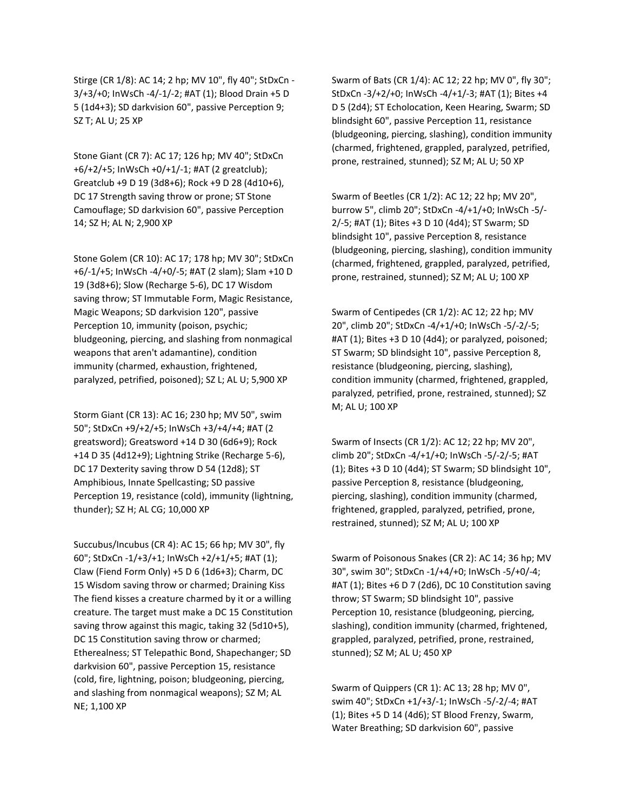Stirge (CR 1/8): AC 14; 2 hp; MV 10", fly 40"; StDxCn - 3/+3/+0; InWsCh -4/-1/-2; #AT (1); Blood Drain +5 D 5 (1d4+3); SD darkvision 60", passive Perception 9; SZ T; AL U; 25 XP

Stone Giant (CR 7): AC 17; 126 hp; MV 40"; StDxCn +6/+2/+5; InWsCh +0/+1/-1; #AT (2 greatclub); Greatclub +9 D 19 (3d8+6); Rock +9 D 28 (4d10+6), DC 17 Strength saving throw or prone; ST Stone Camouflage; SD darkvision 60", passive Perception 14; SZ H; AL N; 2,900 XP

Stone Golem (CR 10): AC 17; 178 hp; MV 30"; StDxCn +6/-1/+5; InWsCh -4/+0/-5; #AT (2 slam); Slam +10 D 19 (3d8+6); Slow (Recharge 5-6), DC 17 Wisdom saving throw; ST Immutable Form, Magic Resistance, Magic Weapons; SD darkvision 120", passive Perception 10, immunity (poison, psychic; bludgeoning, piercing, and slashing from nonmagical weapons that aren't adamantine), condition immunity (charmed, exhaustion, frightened, paralyzed, petrified, poisoned); SZ L; AL U; 5,900 XP

Storm Giant (CR 13): AC 16; 230 hp; MV 50", swim 50"; StDxCn +9/+2/+5; InWsCh +3/+4/+4; #AT (2 greatsword); Greatsword +14 D 30 (6d6+9); Rock +14 D 35 (4d12+9); Lightning Strike (Recharge 5-6), DC 17 Dexterity saving throw D 54 (12d8); ST Amphibious, Innate Spellcasting; SD passive Perception 19, resistance (cold), immunity (lightning, thunder); SZ H; AL CG; 10,000 XP

Succubus/Incubus (CR 4): AC 15; 66 hp; MV 30", fly 60"; StDxCn -1/+3/+1; InWsCh +2/+1/+5; #AT (1); Claw (Fiend Form Only) +5 D 6 (1d6+3); Charm, DC 15 Wisdom saving throw or charmed; Draining Kiss The fiend kisses a creature charmed by it or a willing creature. The target must make a DC 15 Constitution saving throw against this magic, taking 32 (5d10+5), DC 15 Constitution saving throw or charmed; Etherealness; ST Telepathic Bond, Shapechanger; SD darkvision 60", passive Perception 15, resistance (cold, fire, lightning, poison; bludgeoning, piercing, and slashing from nonmagical weapons); SZ M; AL NE; 1,100 XP

Swarm of Bats (CR 1/4): AC 12; 22 hp; MV 0", fly 30"; StDxCn -3/+2/+0; InWsCh -4/+1/-3; #AT (1); Bites +4 D 5 (2d4); ST Echolocation, Keen Hearing, Swarm; SD blindsight 60", passive Perception 11, resistance (bludgeoning, piercing, slashing), condition immunity (charmed, frightened, grappled, paralyzed, petrified, prone, restrained, stunned); SZ M; AL U; 50 XP

Swarm of Beetles (CR 1/2): AC 12; 22 hp; MV 20", burrow 5", climb 20"; StDxCn -4/+1/+0; InWsCh -5/- 2/-5; #AT (1); Bites +3 D 10 (4d4); ST Swarm; SD blindsight 10", passive Perception 8, resistance (bludgeoning, piercing, slashing), condition immunity (charmed, frightened, grappled, paralyzed, petrified, prone, restrained, stunned); SZ M; AL U; 100 XP

Swarm of Centipedes (CR 1/2): AC 12; 22 hp; MV 20", climb 20"; StDxCn -4/+1/+0; InWsCh -5/-2/-5; #AT (1); Bites +3 D 10 (4d4); or paralyzed, poisoned; ST Swarm; SD blindsight 10", passive Perception 8, resistance (bludgeoning, piercing, slashing), condition immunity (charmed, frightened, grappled, paralyzed, petrified, prone, restrained, stunned); SZ M; AL U; 100 XP

Swarm of Insects (CR 1/2): AC 12; 22 hp; MV 20", climb 20"; StDxCn -4/+1/+0; InWsCh -5/-2/-5; #AT (1); Bites +3 D 10 (4d4); ST Swarm; SD blindsight 10", passive Perception 8, resistance (bludgeoning, piercing, slashing), condition immunity (charmed, frightened, grappled, paralyzed, petrified, prone, restrained, stunned); SZ M; AL U; 100 XP

Swarm of Poisonous Snakes (CR 2): AC 14; 36 hp; MV 30", swim 30"; StDxCn -1/+4/+0; InWsCh -5/+0/-4; #AT (1); Bites +6 D 7 (2d6), DC 10 Constitution saving throw; ST Swarm; SD blindsight 10", passive Perception 10, resistance (bludgeoning, piercing, slashing), condition immunity (charmed, frightened, grappled, paralyzed, petrified, prone, restrained, stunned); SZ M; AL U; 450 XP

Swarm of Quippers (CR 1): AC 13; 28 hp; MV 0", swim 40"; StDxCn +1/+3/-1; InWsCh -5/-2/-4; #AT (1); Bites +5 D 14 (4d6); ST Blood Frenzy, Swarm, Water Breathing; SD darkvision 60", passive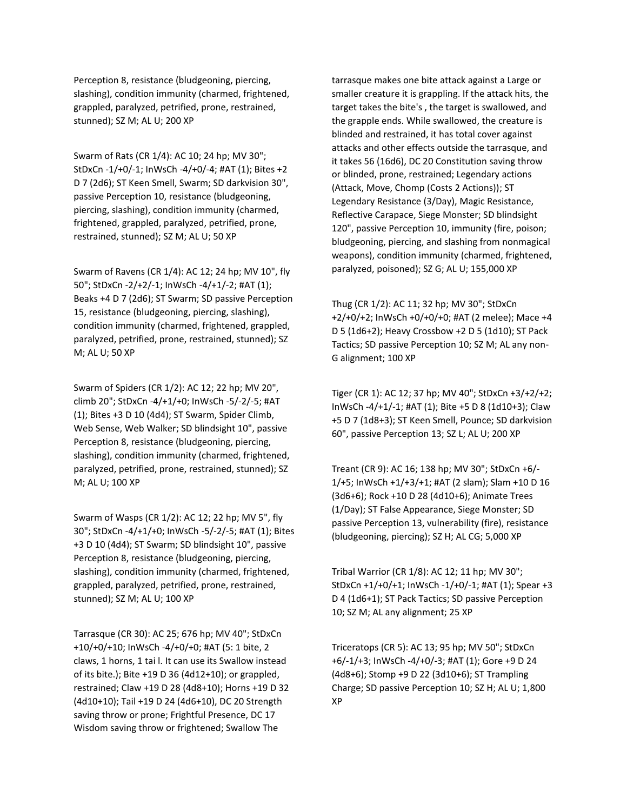Perception 8, resistance (bludgeoning, piercing, slashing), condition immunity (charmed, frightened, grappled, paralyzed, petrified, prone, restrained, stunned); SZ M; AL U; 200 XP

Swarm of Rats (CR 1/4): AC 10; 24 hp; MV 30"; StDxCn -1/+0/-1; InWsCh -4/+0/-4; #AT (1); Bites +2 D 7 (2d6); ST Keen Smell, Swarm; SD darkvision 30", passive Perception 10, resistance (bludgeoning, piercing, slashing), condition immunity (charmed, frightened, grappled, paralyzed, petrified, prone, restrained, stunned); SZ M; AL U; 50 XP

Swarm of Ravens (CR 1/4): AC 12; 24 hp; MV 10", fly 50"; StDxCn -2/+2/-1; InWsCh -4/+1/-2; #AT (1); Beaks +4 D 7 (2d6); ST Swarm; SD passive Perception 15, resistance (bludgeoning, piercing, slashing), condition immunity (charmed, frightened, grappled, paralyzed, petrified, prone, restrained, stunned); SZ M; AL U; 50 XP

Swarm of Spiders (CR 1/2): AC 12; 22 hp; MV 20", climb 20"; StDxCn -4/+1/+0; InWsCh -5/-2/-5; #AT (1); Bites +3 D 10 (4d4); ST Swarm, Spider Climb, Web Sense, Web Walker; SD blindsight 10", passive Perception 8, resistance (bludgeoning, piercing, slashing), condition immunity (charmed, frightened, paralyzed, petrified, prone, restrained, stunned); SZ M; AL U; 100 XP

Swarm of Wasps (CR 1/2): AC 12; 22 hp; MV 5", fly 30"; StDxCn -4/+1/+0; InWsCh -5/-2/-5; #AT (1); Bites +3 D 10 (4d4); ST Swarm; SD blindsight 10", passive Perception 8, resistance (bludgeoning, piercing, slashing), condition immunity (charmed, frightened, grappled, paralyzed, petrified, prone, restrained, stunned); SZ M; AL U; 100 XP

Tarrasque (CR 30): AC 25; 676 hp; MV 40"; StDxCn +10/+0/+10; InWsCh -4/+0/+0; #AT (5: 1 bite, 2 claws, 1 horns, 1 tai l. It can use its Swallow instead of its bite.); Bite +19 D 36 (4d12+10); or grappled, restrained; Claw +19 D 28 (4d8+10); Horns +19 D 32 (4d10+10); Tail +19 D 24 (4d6+10), DC 20 Strength saving throw or prone; Frightful Presence, DC 17 Wisdom saving throw or frightened; Swallow The

tarrasque makes one bite attack against a Large or smaller creature it is grappling. If the attack hits, the target takes the bite's , the target is swallowed, and the grapple ends. While swallowed, the creature is blinded and restrained, it has total cover against attacks and other effects outside the tarrasque, and it takes 56 (16d6), DC 20 Constitution saving throw or blinded, prone, restrained; Legendary actions (Attack, Move, Chomp (Costs 2 Actions)); ST Legendary Resistance (3/Day), Magic Resistance, Reflective Carapace, Siege Monster; SD blindsight 120", passive Perception 10, immunity (fire, poison; bludgeoning, piercing, and slashing from nonmagical weapons), condition immunity (charmed, frightened, paralyzed, poisoned); SZ G; AL U; 155,000 XP

Thug (CR 1/2): AC 11; 32 hp; MV 30"; StDxCn +2/+0/+2; InWsCh +0/+0/+0; #AT (2 melee); Mace +4 D 5 (1d6+2); Heavy Crossbow +2 D 5 (1d10); ST Pack Tactics; SD passive Perception 10; SZ M; AL any non-G alignment; 100 XP

Tiger (CR 1): AC 12; 37 hp; MV 40"; StDxCn +3/+2/+2; InWsCh -4/+1/-1; #AT (1); Bite +5 D 8 (1d10+3); Claw +5 D 7 (1d8+3); ST Keen Smell, Pounce; SD darkvision 60", passive Perception 13; SZ L; AL U; 200 XP

Treant (CR 9): AC 16; 138 hp; MV 30"; StDxCn +6/- 1/+5; InWsCh +1/+3/+1; #AT (2 slam); Slam +10 D 16 (3d6+6); Rock +10 D 28 (4d10+6); Animate Trees (1/Day); ST False Appearance, Siege Monster; SD passive Perception 13, vulnerability (fire), resistance (bludgeoning, piercing); SZ H; AL CG; 5,000 XP

Tribal Warrior (CR 1/8): AC 12; 11 hp; MV 30"; StDxCn +1/+0/+1; InWsCh -1/+0/-1; #AT (1); Spear +3 D 4 (1d6+1); ST Pack Tactics; SD passive Perception 10; SZ M; AL any alignment; 25 XP

Triceratops (CR 5): AC 13; 95 hp; MV 50"; StDxCn +6/-1/+3; InWsCh -4/+0/-3; #AT (1); Gore +9 D 24 (4d8+6); Stomp +9 D 22 (3d10+6); ST Trampling Charge; SD passive Perception 10; SZ H; AL U; 1,800 XP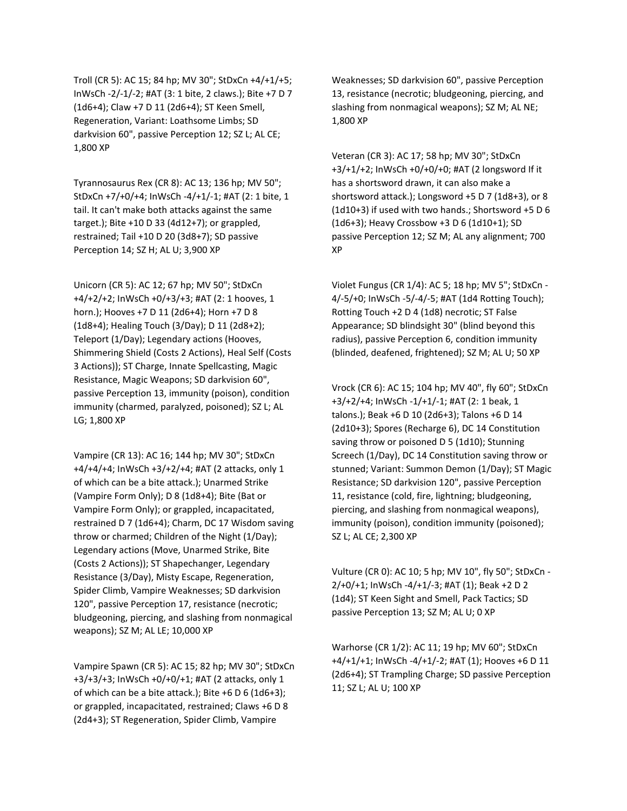Troll (CR 5): AC 15; 84 hp; MV 30"; StDxCn +4/+1/+5; InWsCh -2/-1/-2; #AT (3: 1 bite, 2 claws.); Bite +7 D 7 (1d6+4); Claw +7 D 11 (2d6+4); ST Keen Smell, Regeneration, Variant: Loathsome Limbs; SD darkvision 60", passive Perception 12; SZ L; AL CE; 1,800 XP

Tyrannosaurus Rex (CR 8): AC 13; 136 hp; MV 50"; StDxCn +7/+0/+4; InWsCh -4/+1/-1; #AT (2: 1 bite, 1 tail. It can't make both attacks against the same target.); Bite +10 D 33 (4d12+7); or grappled, restrained; Tail +10 D 20 (3d8+7); SD passive Perception 14; SZ H; AL U; 3,900 XP

Unicorn (CR 5): AC 12; 67 hp; MV 50"; StDxCn +4/+2/+2; InWsCh +0/+3/+3; #AT (2: 1 hooves, 1 horn.); Hooves +7 D 11 (2d6+4); Horn +7 D 8 (1d8+4); Healing Touch (3/Day); D 11 (2d8+2); Teleport (1/Day); Legendary actions (Hooves, Shimmering Shield (Costs 2 Actions), Heal Self (Costs 3 Actions)); ST Charge, Innate Spellcasting, Magic Resistance, Magic Weapons; SD darkvision 60", passive Perception 13, immunity (poison), condition immunity (charmed, paralyzed, poisoned); SZ L; AL LG; 1,800 XP

Vampire (CR 13): AC 16; 144 hp; MV 30"; StDxCn +4/+4/+4; InWsCh +3/+2/+4; #AT (2 attacks, only 1 of which can be a bite attack.); Unarmed Strike (Vampire Form Only); D 8 (1d8+4); Bite (Bat or Vampire Form Only); or grappled, incapacitated, restrained D 7 (1d6+4); Charm, DC 17 Wisdom saving throw or charmed; Children of the Night (1/Day); Legendary actions (Move, Unarmed Strike, Bite (Costs 2 Actions)); ST Shapechanger, Legendary Resistance (3/Day), Misty Escape, Regeneration, Spider Climb, Vampire Weaknesses; SD darkvision 120", passive Perception 17, resistance (necrotic; bludgeoning, piercing, and slashing from nonmagical weapons); SZ M; AL LE; 10,000 XP

Vampire Spawn (CR 5): AC 15; 82 hp; MV 30"; StDxCn +3/+3/+3; InWsCh +0/+0/+1; #AT (2 attacks, only 1 of which can be a bite attack.); Bite +6 D 6 (1d6+3); or grappled, incapacitated, restrained; Claws +6 D 8 (2d4+3); ST Regeneration, Spider Climb, Vampire

Weaknesses; SD darkvision 60", passive Perception 13, resistance (necrotic; bludgeoning, piercing, and slashing from nonmagical weapons); SZ M; AL NE; 1,800 XP

Veteran (CR 3): AC 17; 58 hp; MV 30"; StDxCn +3/+1/+2; InWsCh +0/+0/+0; #AT (2 longsword If it has a shortsword drawn, it can also make a shortsword attack.); Longsword +5 D 7 (1d8+3), or 8 (1d10+3) if used with two hands.; Shortsword +5 D 6 (1d6+3); Heavy Crossbow +3 D 6 (1d10+1); SD passive Perception 12; SZ M; AL any alignment; 700 XP

Violet Fungus (CR 1/4): AC 5; 18 hp; MV 5"; StDxCn - 4/-5/+0; InWsCh -5/-4/-5; #AT (1d4 Rotting Touch); Rotting Touch +2 D 4 (1d8) necrotic; ST False Appearance; SD blindsight 30" (blind beyond this radius), passive Perception 6, condition immunity (blinded, deafened, frightened); SZ M; AL U; 50 XP

Vrock (CR 6): AC 15; 104 hp; MV 40", fly 60"; StDxCn +3/+2/+4; InWsCh -1/+1/-1; #AT (2: 1 beak, 1 talons.); Beak +6 D 10 (2d6+3); Talons +6 D 14 (2d10+3); Spores (Recharge 6), DC 14 Constitution saving throw or poisoned D 5 (1d10); Stunning Screech (1/Day), DC 14 Constitution saving throw or stunned; Variant: Summon Demon (1/Day); ST Magic Resistance; SD darkvision 120", passive Perception 11, resistance (cold, fire, lightning; bludgeoning, piercing, and slashing from nonmagical weapons), immunity (poison), condition immunity (poisoned); SZ L; AL CE; 2,300 XP

Vulture (CR 0): AC 10; 5 hp; MV 10", fly 50"; StDxCn - 2/+0/+1; InWsCh -4/+1/-3; #AT (1); Beak +2 D 2 (1d4); ST Keen Sight and Smell, Pack Tactics; SD passive Perception 13; SZ M; AL U; 0 XP

Warhorse (CR 1/2): AC 11; 19 hp; MV 60"; StDxCn +4/+1/+1; InWsCh -4/+1/-2; #AT (1); Hooves +6 D 11 (2d6+4); ST Trampling Charge; SD passive Perception 11; SZ L; AL U; 100 XP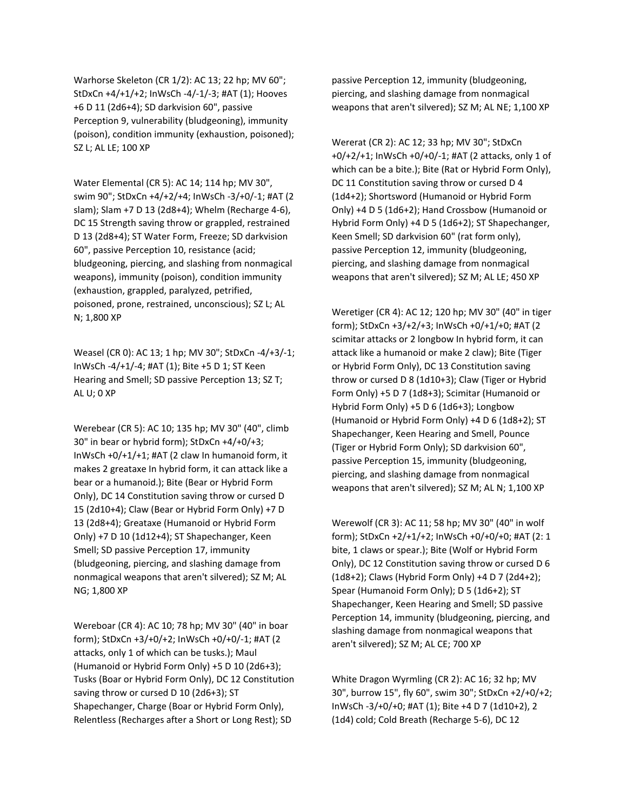Warhorse Skeleton (CR 1/2): AC 13; 22 hp; MV 60"; StDxCn +4/+1/+2; InWsCh -4/-1/-3; #AT (1); Hooves +6 D 11 (2d6+4); SD darkvision 60", passive Perception 9, vulnerability (bludgeoning), immunity (poison), condition immunity (exhaustion, poisoned); SZ L; AL LE; 100 XP

Water Elemental (CR 5): AC 14; 114 hp; MV 30", swim 90"; StDxCn +4/+2/+4; InWsCh -3/+0/-1; #AT (2 slam); Slam +7 D 13 (2d8+4); Whelm (Recharge 4-6), DC 15 Strength saving throw or grappled, restrained D 13 (2d8+4); ST Water Form, Freeze; SD darkvision 60", passive Perception 10, resistance (acid; bludgeoning, piercing, and slashing from nonmagical weapons), immunity (poison), condition immunity (exhaustion, grappled, paralyzed, petrified, poisoned, prone, restrained, unconscious); SZ L; AL N; 1,800 XP

Weasel (CR 0): AC 13; 1 hp; MV 30"; StDxCn -4/+3/-1; InWsCh -4/+1/-4; #AT (1); Bite +5 D 1; ST Keen Hearing and Smell; SD passive Perception 13; SZ T; AL U; 0 XP

Werebear (CR 5): AC 10; 135 hp; MV 30" (40", climb 30" in bear or hybrid form); StDxCn +4/+0/+3; InWsCh +0/+1/+1; #AT (2 claw In humanoid form, it makes 2 greataxe In hybrid form, it can attack like a bear or a humanoid.); Bite (Bear or Hybrid Form Only), DC 14 Constitution saving throw or cursed D 15 (2d10+4); Claw (Bear or Hybrid Form Only) +7 D 13 (2d8+4); Greataxe (Humanoid or Hybrid Form Only) +7 D 10 (1d12+4); ST Shapechanger, Keen Smell; SD passive Perception 17, immunity (bludgeoning, piercing, and slashing damage from nonmagical weapons that aren't silvered); SZ M; AL NG; 1,800 XP

Wereboar (CR 4): AC 10; 78 hp; MV 30" (40" in boar form); StDxCn +3/+0/+2; InWsCh +0/+0/-1; #AT (2 attacks, only 1 of which can be tusks.); Maul (Humanoid or Hybrid Form Only) +5 D 10 (2d6+3); Tusks (Boar or Hybrid Form Only), DC 12 Constitution saving throw or cursed D 10 (2d6+3); ST Shapechanger, Charge (Boar or Hybrid Form Only), Relentless (Recharges after a Short or Long Rest); SD

passive Perception 12, immunity (bludgeoning, piercing, and slashing damage from nonmagical weapons that aren't silvered); SZ M; AL NE; 1,100 XP

Wererat (CR 2): AC 12; 33 hp; MV 30"; StDxCn +0/+2/+1; InWsCh +0/+0/-1; #AT (2 attacks, only 1 of which can be a bite.); Bite (Rat or Hybrid Form Only), DC 11 Constitution saving throw or cursed D 4 (1d4+2); Shortsword (Humanoid or Hybrid Form Only) +4 D 5 (1d6+2); Hand Crossbow (Humanoid or Hybrid Form Only) +4 D 5 (1d6+2); ST Shapechanger, Keen Smell; SD darkvision 60" (rat form only), passive Perception 12, immunity (bludgeoning, piercing, and slashing damage from nonmagical weapons that aren't silvered); SZ M; AL LE; 450 XP

Weretiger (CR 4): AC 12; 120 hp; MV 30" (40" in tiger form); StDxCn +3/+2/+3; InWsCh +0/+1/+0; #AT (2 scimitar attacks or 2 longbow In hybrid form, it can attack like a humanoid or make 2 claw); Bite (Tiger or Hybrid Form Only), DC 13 Constitution saving throw or cursed D 8 (1d10+3); Claw (Tiger or Hybrid Form Only) +5 D 7 (1d8+3); Scimitar (Humanoid or Hybrid Form Only) +5 D 6 (1d6+3); Longbow (Humanoid or Hybrid Form Only) +4 D 6 (1d8+2); ST Shapechanger, Keen Hearing and Smell, Pounce (Tiger or Hybrid Form Only); SD darkvision 60", passive Perception 15, immunity (bludgeoning, piercing, and slashing damage from nonmagical weapons that aren't silvered); SZ M; AL N; 1,100 XP

Werewolf (CR 3): AC 11; 58 hp; MV 30" (40" in wolf form); StDxCn +2/+1/+2; InWsCh +0/+0/+0; #AT (2: 1 bite, 1 claws or spear.); Bite (Wolf or Hybrid Form Only), DC 12 Constitution saving throw or cursed D 6 (1d8+2); Claws (Hybrid Form Only) +4 D 7 (2d4+2); Spear (Humanoid Form Only); D 5 (1d6+2); ST Shapechanger, Keen Hearing and Smell; SD passive Perception 14, immunity (bludgeoning, piercing, and slashing damage from nonmagical weapons that aren't silvered); SZ M; AL CE; 700 XP

White Dragon Wyrmling (CR 2): AC 16; 32 hp; MV 30", burrow 15", fly 60", swim 30"; StDxCn +2/+0/+2; InWsCh -3/+0/+0; #AT (1); Bite +4 D 7 (1d10+2), 2 (1d4) cold; Cold Breath (Recharge 5-6), DC 12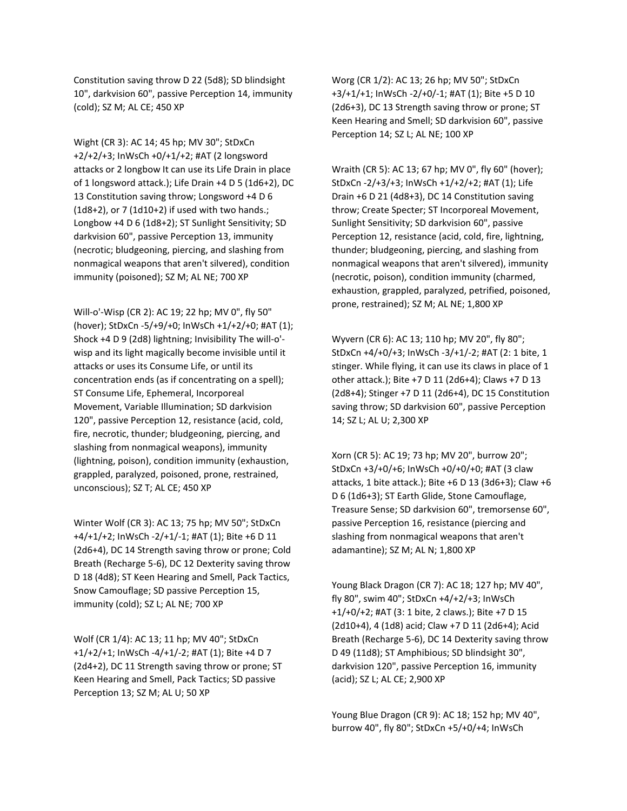Constitution saving throw D 22 (5d8); SD blindsight 10", darkvision 60", passive Perception 14, immunity (cold); SZ M; AL CE; 450 XP

Wight (CR 3): AC 14; 45 hp; MV 30"; StDxCn +2/+2/+3; InWsCh +0/+1/+2; #AT (2 longsword attacks or 2 longbow It can use its Life Drain in place of 1 longsword attack.); Life Drain +4 D 5 (1d6+2), DC 13 Constitution saving throw; Longsword +4 D 6 (1d8+2), or 7 (1d10+2) if used with two hands.; Longbow +4 D 6 (1d8+2); ST Sunlight Sensitivity; SD darkvision 60", passive Perception 13, immunity (necrotic; bludgeoning, piercing, and slashing from nonmagical weapons that aren't silvered), condition immunity (poisoned); SZ M; AL NE; 700 XP

Will-o'-Wisp (CR 2): AC 19; 22 hp; MV 0", fly 50" (hover); StDxCn -5/+9/+0; InWsCh +1/+2/+0; #AT (1); Shock +4 D 9 (2d8) lightning; Invisibility The will-o' wisp and its light magically become invisible until it attacks or uses its Consume Life, or until its concentration ends (as if concentrating on a spell); ST Consume Life, Ephemeral, Incorporeal Movement, Variable Illumination; SD darkvision 120", passive Perception 12, resistance (acid, cold, fire, necrotic, thunder; bludgeoning, piercing, and slashing from nonmagical weapons), immunity (lightning, poison), condition immunity (exhaustion, grappled, paralyzed, poisoned, prone, restrained, unconscious); SZ T; AL CE; 450 XP

Winter Wolf (CR 3): AC 13; 75 hp; MV 50"; StDxCn +4/+1/+2; InWsCh -2/+1/-1; #AT (1); Bite +6 D 11 (2d6+4), DC 14 Strength saving throw or prone; Cold Breath (Recharge 5-6), DC 12 Dexterity saving throw D 18 (4d8); ST Keen Hearing and Smell, Pack Tactics, Snow Camouflage; SD passive Perception 15, immunity (cold); SZ L; AL NE; 700 XP

Wolf (CR 1/4): AC 13; 11 hp; MV 40"; StDxCn +1/+2/+1; InWsCh -4/+1/-2; #AT (1); Bite +4 D 7 (2d4+2), DC 11 Strength saving throw or prone; ST Keen Hearing and Smell, Pack Tactics; SD passive Perception 13; SZ M; AL U; 50 XP

Worg (CR 1/2): AC 13; 26 hp; MV 50"; StDxCn +3/+1/+1; InWsCh -2/+0/-1; #AT (1); Bite +5 D 10 (2d6+3), DC 13 Strength saving throw or prone; ST Keen Hearing and Smell; SD darkvision 60", passive Perception 14; SZ L; AL NE; 100 XP

Wraith (CR 5): AC 13; 67 hp; MV 0", fly 60" (hover); StDxCn -2/+3/+3; InWsCh +1/+2/+2; #AT (1); Life Drain +6 D 21 (4d8+3), DC 14 Constitution saving throw; Create Specter; ST Incorporeal Movement, Sunlight Sensitivity; SD darkvision 60", passive Perception 12, resistance (acid, cold, fire, lightning, thunder; bludgeoning, piercing, and slashing from nonmagical weapons that aren't silvered), immunity (necrotic, poison), condition immunity (charmed, exhaustion, grappled, paralyzed, petrified, poisoned, prone, restrained); SZ M; AL NE; 1,800 XP

Wyvern (CR 6): AC 13; 110 hp; MV 20", fly 80"; StDxCn +4/+0/+3; InWsCh -3/+1/-2; #AT (2: 1 bite, 1 stinger. While flying, it can use its claws in place of 1 other attack.); Bite +7 D 11 (2d6+4); Claws +7 D 13 (2d8+4); Stinger +7 D 11 (2d6+4), DC 15 Constitution saving throw; SD darkvision 60", passive Perception 14; SZ L; AL U; 2,300 XP

Xorn (CR 5): AC 19; 73 hp; MV 20", burrow 20"; StDxCn +3/+0/+6; InWsCh +0/+0/+0; #AT (3 claw attacks, 1 bite attack.); Bite +6 D 13 (3d6+3); Claw +6 D 6 (1d6+3); ST Earth Glide, Stone Camouflage, Treasure Sense; SD darkvision 60", tremorsense 60", passive Perception 16, resistance (piercing and slashing from nonmagical weapons that aren't adamantine); SZ M; AL N; 1,800 XP

Young Black Dragon (CR 7): AC 18; 127 hp; MV 40", fly 80", swim 40"; StDxCn +4/+2/+3; InWsCh +1/+0/+2; #AT (3: 1 bite, 2 claws.); Bite +7 D 15 (2d10+4), 4 (1d8) acid; Claw +7 D 11 (2d6+4); Acid Breath (Recharge 5-6), DC 14 Dexterity saving throw D 49 (11d8); ST Amphibious; SD blindsight 30", darkvision 120", passive Perception 16, immunity (acid); SZ L; AL CE; 2,900 XP

Young Blue Dragon (CR 9): AC 18; 152 hp; MV 40", burrow 40", fly 80"; StDxCn +5/+0/+4; InWsCh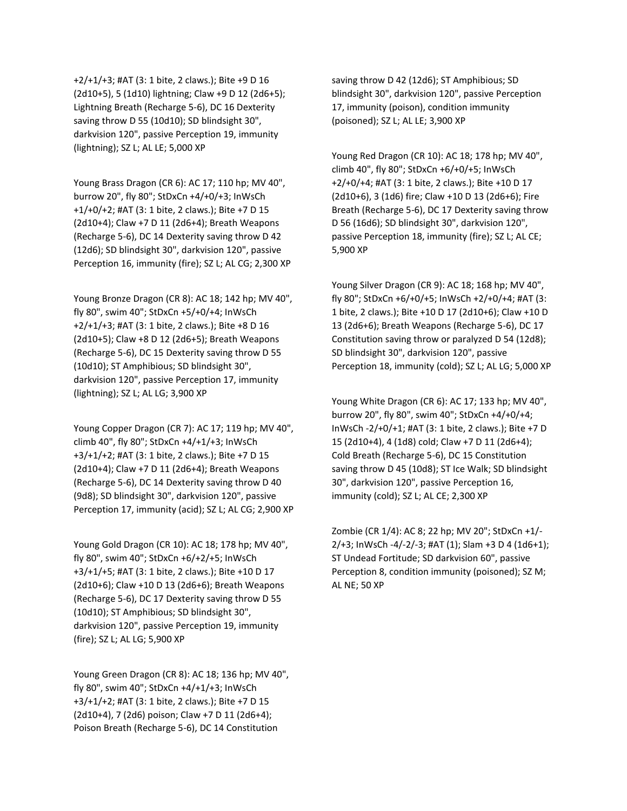+2/+1/+3; #AT (3: 1 bite, 2 claws.); Bite +9 D 16 (2d10+5), 5 (1d10) lightning; Claw +9 D 12 (2d6+5); Lightning Breath (Recharge 5-6), DC 16 Dexterity saving throw D 55 (10d10); SD blindsight 30", darkvision 120", passive Perception 19, immunity (lightning); SZ L; AL LE; 5,000 XP

Young Brass Dragon (CR 6): AC 17; 110 hp; MV 40", burrow 20", fly 80"; StDxCn +4/+0/+3; InWsCh +1/+0/+2; #AT (3: 1 bite, 2 claws.); Bite +7 D 15 (2d10+4); Claw +7 D 11 (2d6+4); Breath Weapons (Recharge 5-6), DC 14 Dexterity saving throw D 42 (12d6); SD blindsight 30", darkvision 120", passive Perception 16, immunity (fire); SZ L; AL CG; 2,300 XP

Young Bronze Dragon (CR 8): AC 18; 142 hp; MV 40", fly 80", swim 40"; StDxCn +5/+0/+4; InWsCh +2/+1/+3; #AT (3: 1 bite, 2 claws.); Bite +8 D 16 (2d10+5); Claw +8 D 12 (2d6+5); Breath Weapons (Recharge 5-6), DC 15 Dexterity saving throw D 55 (10d10); ST Amphibious; SD blindsight 30", darkvision 120", passive Perception 17, immunity (lightning); SZ L; AL LG; 3,900 XP

Young Copper Dragon (CR 7): AC 17; 119 hp; MV 40", climb 40", fly 80"; StDxCn +4/+1/+3; InWsCh +3/+1/+2; #AT (3: 1 bite, 2 claws.); Bite +7 D 15 (2d10+4); Claw +7 D 11 (2d6+4); Breath Weapons (Recharge 5-6), DC 14 Dexterity saving throw D 40 (9d8); SD blindsight 30", darkvision 120", passive Perception 17, immunity (acid); SZ L; AL CG; 2,900 XP

Young Gold Dragon (CR 10): AC 18; 178 hp; MV 40", fly 80", swim 40"; StDxCn +6/+2/+5; InWsCh +3/+1/+5; #AT (3: 1 bite, 2 claws.); Bite +10 D 17 (2d10+6); Claw +10 D 13 (2d6+6); Breath Weapons (Recharge 5-6), DC 17 Dexterity saving throw D 55 (10d10); ST Amphibious; SD blindsight 30", darkvision 120", passive Perception 19, immunity (fire); SZ L; AL LG; 5,900 XP

Young Green Dragon (CR 8): AC 18; 136 hp; MV 40", fly 80", swim 40"; StDxCn +4/+1/+3; InWsCh +3/+1/+2; #AT (3: 1 bite, 2 claws.); Bite +7 D 15 (2d10+4), 7 (2d6) poison; Claw +7 D 11 (2d6+4); Poison Breath (Recharge 5-6), DC 14 Constitution

saving throw D 42 (12d6); ST Amphibious; SD blindsight 30", darkvision 120", passive Perception 17, immunity (poison), condition immunity (poisoned); SZ L; AL LE; 3,900 XP

Young Red Dragon (CR 10): AC 18; 178 hp; MV 40", climb 40", fly 80"; StDxCn +6/+0/+5; InWsCh +2/+0/+4; #AT (3: 1 bite, 2 claws.); Bite +10 D 17 (2d10+6), 3 (1d6) fire; Claw +10 D 13 (2d6+6); Fire Breath (Recharge 5-6), DC 17 Dexterity saving throw D 56 (16d6); SD blindsight 30", darkvision 120", passive Perception 18, immunity (fire); SZ L; AL CE; 5,900 XP

Young Silver Dragon (CR 9): AC 18; 168 hp; MV 40", fly 80"; StDxCn +6/+0/+5; InWsCh +2/+0/+4; #AT (3: 1 bite, 2 claws.); Bite +10 D 17 (2d10+6); Claw +10 D 13 (2d6+6); Breath Weapons (Recharge 5-6), DC 17 Constitution saving throw or paralyzed D 54 (12d8); SD blindsight 30", darkvision 120", passive Perception 18, immunity (cold); SZ L; AL LG; 5,000 XP

Young White Dragon (CR 6): AC 17; 133 hp; MV 40", burrow 20", fly 80", swim 40"; StDxCn +4/+0/+4; InWsCh -2/+0/+1; #AT (3: 1 bite, 2 claws.); Bite +7 D 15 (2d10+4), 4 (1d8) cold; Claw +7 D 11 (2d6+4); Cold Breath (Recharge 5-6), DC 15 Constitution saving throw D 45 (10d8); ST Ice Walk; SD blindsight 30", darkvision 120", passive Perception 16, immunity (cold); SZ L; AL CE; 2,300 XP

Zombie (CR 1/4): AC 8; 22 hp; MV 20"; StDxCn +1/- 2/+3; InWsCh -4/-2/-3; #AT (1); Slam +3 D 4 (1d6+1); ST Undead Fortitude; SD darkvision 60", passive Perception 8, condition immunity (poisoned); SZ M; AL NE; 50 XP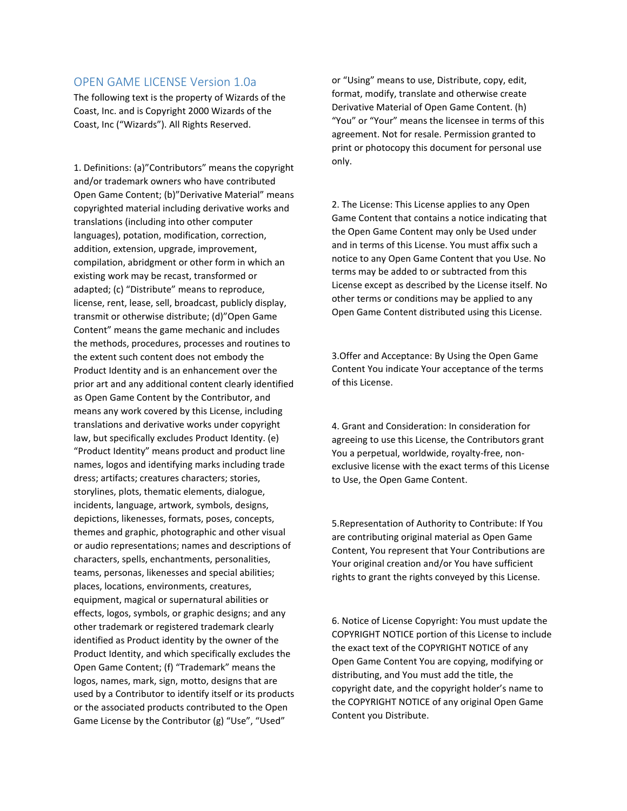## OPEN GAME LICENSE Version 1.0a

The following text is the property of Wizards of the Coast, Inc. and is Copyright 2000 Wizards of the Coast, Inc ("Wizards"). All Rights Reserved.

1. Definitions: (a)"Contributors" means the copyright and/or trademark owners who have contributed Open Game Content; (b)"Derivative Material" means copyrighted material including derivative works and translations (including into other computer languages), potation, modification, correction, addition, extension, upgrade, improvement, compilation, abridgment or other form in which an existing work may be recast, transformed or adapted; (c) "Distribute" means to reproduce, license, rent, lease, sell, broadcast, publicly display, transmit or otherwise distribute; (d)"Open Game Content" means the game mechanic and includes the methods, procedures, processes and routines to the extent such content does not embody the Product Identity and is an enhancement over the prior art and any additional content clearly identified as Open Game Content by the Contributor, and means any work covered by this License, including translations and derivative works under copyright law, but specifically excludes Product Identity. (e) "Product Identity" means product and product line names, logos and identifying marks including trade dress; artifacts; creatures characters; stories, storylines, plots, thematic elements, dialogue, incidents, language, artwork, symbols, designs, depictions, likenesses, formats, poses, concepts, themes and graphic, photographic and other visual or audio representations; names and descriptions of characters, spells, enchantments, personalities, teams, personas, likenesses and special abilities; places, locations, environments, creatures, equipment, magical or supernatural abilities or effects, logos, symbols, or graphic designs; and any other trademark or registered trademark clearly identified as Product identity by the owner of the Product Identity, and which specifically excludes the Open Game Content; (f) "Trademark" means the logos, names, mark, sign, motto, designs that are used by a Contributor to identify itself or its products or the associated products contributed to the Open Game License by the Contributor (g) "Use", "Used"

or "Using" means to use, Distribute, copy, edit, format, modify, translate and otherwise create Derivative Material of Open Game Content. (h) "You" or "Your" means the licensee in terms of this agreement. Not for resale. Permission granted to print or photocopy this document for personal use only.

2. The License: This License applies to any Open Game Content that contains a notice indicating that the Open Game Content may only be Used under and in terms of this License. You must affix such a notice to any Open Game Content that you Use. No terms may be added to or subtracted from this License except as described by the License itself. No other terms or conditions may be applied to any Open Game Content distributed using this License.

3.Offer and Acceptance: By Using the Open Game Content You indicate Your acceptance of the terms of this License.

4. Grant and Consideration: In consideration for agreeing to use this License, the Contributors grant You a perpetual, worldwide, royalty-free, nonexclusive license with the exact terms of this License to Use, the Open Game Content.

5.Representation of Authority to Contribute: If You are contributing original material as Open Game Content, You represent that Your Contributions are Your original creation and/or You have sufficient rights to grant the rights conveyed by this License.

6. Notice of License Copyright: You must update the COPYRIGHT NOTICE portion of this License to include the exact text of the COPYRIGHT NOTICE of any Open Game Content You are copying, modifying or distributing, and You must add the title, the copyright date, and the copyright holder's name to the COPYRIGHT NOTICE of any original Open Game Content you Distribute.